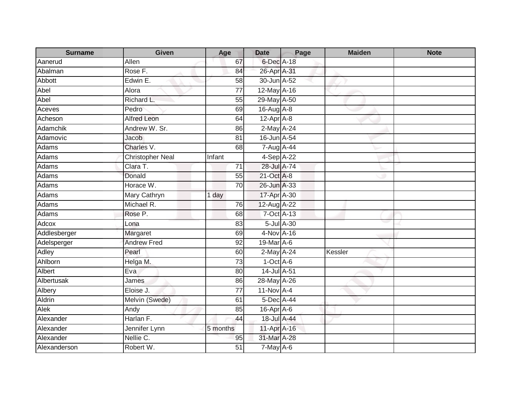| <b>Surname</b> | <b>Given</b>            | Age             | <b>Date</b>      | Page       | <b>Maiden</b> | <b>Note</b> |
|----------------|-------------------------|-----------------|------------------|------------|---------------|-------------|
| Aanerud        | Allen                   | 67              | $6$ -Dec $A$ -18 |            |               |             |
| Abalman        | Rose F.                 | 84              | 26-Apr A-31      |            |               |             |
| Abbott         | Edwin E.                | 58              | 30-Jun A-52      |            |               |             |
| Abel           | Alora                   | $\overline{77}$ | 12-May A-16      |            |               |             |
| Abel           | Richard L.              | 55              | 29-May A-50      |            |               |             |
| Aceves         | Pedro                   | 69              | $16$ -Aug $A$ -8 |            |               |             |
| Acheson        | <b>Alfred Leon</b>      | 64              | $12-Apr$ A-8     |            |               |             |
| Adamchik       | Andrew W. Sr.           | 86              | 2-May A-24       |            |               |             |
| Adamovic       | <b>Jacob</b>            | $\overline{81}$ | 16-Jun A-54      |            |               |             |
| Adams          | Charles V.              | 68              | 7-Aug A-44       |            |               |             |
| Adams          | <b>Christopher Neal</b> | Infant          | $4-SepA-22$      |            |               |             |
| Adams          | Clara T.                | $\overline{71}$ | 28-Jul A-74      |            |               |             |
| Adams          | Donald                  | 55              | 21-Oct A-8       |            |               |             |
| Adams          | Horace W.               | $\overline{70}$ | 26-Jun A-33      |            |               |             |
| Adams          | Mary Cathryn            | 1 day           | 17-Apr A-30      |            |               |             |
| Adams          | Michael R.              | 76              | 12-Aug A-22      |            |               |             |
| Adams          | Rose P.                 | 68              | 7-Oct A-13       |            |               |             |
| Adcox          | Lona                    | 83              |                  | 5-Jul A-30 |               |             |
| Addlesberger   | Margaret                | 69              | 4-Nov A-16       |            |               |             |
| Adelsperger    | <b>Andrew Fred</b>      | 92              | 19-Mar A-6       |            |               |             |
| Adley          | Pearl                   | 60              | 2-May A-24       |            | Kessler       |             |
| Ahlborn        | Helga M.                | 73              | $1-Oct$ A-6      |            |               |             |
| Albert         | Eva                     | 80              | 14-Jul A-51      |            |               |             |
| Albertusak     | James                   | 86              | 28-May A-26      |            |               |             |
| Albery         | Eloise J.               | 77              | 11-Nov A-4       |            |               |             |
| Aldrin         | Melvin (Swede)          | 61              | 5-Dec A-44       |            |               |             |
| Alek           | Andy                    | 85              | 16-Apr A-6       |            |               |             |
| Alexander      | Harlan F.               | 44              | 18-Jul A-44      |            |               |             |
| Alexander      | Jennifer Lynn           | 5 months        | 11-Apr A-16      |            |               |             |
| Alexander      | Nellie C.               | 95              | 31-Mar A-28      |            |               |             |
| Alexanderson   | Robert W.               | 51              | $7$ -May $A$ -6  |            |               |             |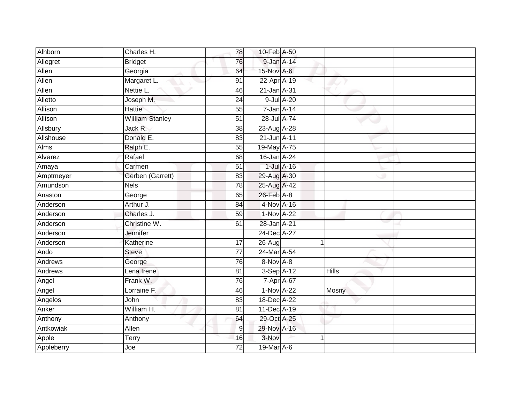| Alhborn        | Charles H.             | 78              | 10-Feb A-50 |                 |              |  |
|----------------|------------------------|-----------------|-------------|-----------------|--------------|--|
| Allegret       | <b>Bridget</b>         | 76              | 9-Jan A-14  |                 |              |  |
| Allen          | Georgia                | 64              | 15-Nov A-6  |                 |              |  |
| Allen          | Margaret L.            | 91              | 22-Apr A-19 |                 |              |  |
| Allen          | Nettie L.              | 46              | 21-Jan A-31 |                 |              |  |
| Alletto        | Joseph M.              | 24              |             | 9-Jul A-20      |              |  |
| Allison        | <b>Hattie</b>          | 55              | 7-Jan A-14  |                 |              |  |
| Allison        | <b>William Stanley</b> | $\overline{51}$ | 28-Jul A-74 |                 |              |  |
| Allsbury       | Jack R.                | 38              | 23-Aug A-28 |                 |              |  |
| Allshouse      | Donald E.              | 83              | 21-Jun A-11 |                 |              |  |
| <b>Alms</b>    | Ralph E.               | 55              | 19-May A-75 |                 |              |  |
| Alvarez        | Rafael                 | 68              | 16-Jan A-24 |                 |              |  |
| Amaya          | Carmen                 | 51              |             | $1$ -Jul $A-16$ |              |  |
| Amptmeyer      | Gerben (Garrett)       | 83              | 29-Aug A-30 |                 |              |  |
| Amundson       | <b>Nels</b>            | 78              | 25-Aug A-42 |                 |              |  |
| Anaston        | George                 | 65              | 26-Feb A-8  |                 |              |  |
| Anderson       | Arthur J.              | 84              | 4-Nov A-16  |                 |              |  |
| Anderson       | Charles J.             | 59              | 1-Nov A-22  |                 |              |  |
| Anderson       | Christine W.           | 61              | 28-Jan A-21 |                 |              |  |
| Anderson       | Jennifer               |                 | 24-Dec A-27 |                 |              |  |
| Anderson       | Katherine              | 17              | 26-Aug      |                 |              |  |
| Ando           | <b>Steve</b>           | $\overline{77}$ | 24-Mar A-54 |                 |              |  |
| Andrews        | George                 | 76              | 8-Nov A-8   |                 |              |  |
| <b>Andrews</b> | Lena Irene             | 81              | 3-Sep A-12  |                 | <b>Hills</b> |  |
| Angel          | Frank W.               | 76              | 7-Apr A-67  |                 |              |  |
| Angel          | Lorraine F.            | 46              | 1-Nov A-22  |                 | Mosny        |  |
| Angelos        | John                   | 83              | 18-Dec A-22 |                 |              |  |
| Anker          | William H.             | 81              | 11-Dec A-19 |                 |              |  |
| Anthony        | Anthony                | 64              | 29-Oct A-25 |                 |              |  |
| Antkowiak      | Allen                  | $\overline{9}$  | 29-Nov A-16 |                 |              |  |
| Apple          | Terry                  | 16              | 3-Nov       |                 | 4            |  |
| Appleberry     | Joe                    | $\overline{72}$ | 19-Mar A-6  |                 |              |  |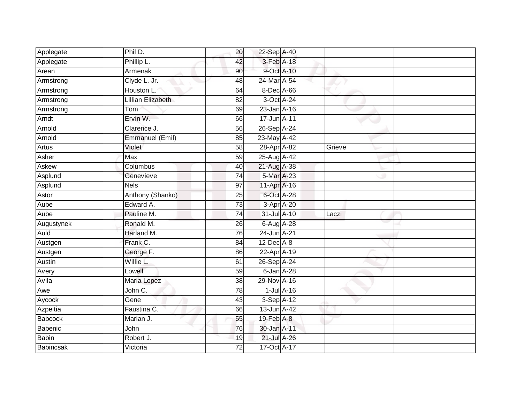| Applegate        | Phil D.           | 20              | 22-Sep A-40      |                 |        |  |
|------------------|-------------------|-----------------|------------------|-----------------|--------|--|
| Applegate        | Phillip L.        | 42              | 3-Feb A-18       |                 |        |  |
| Arean            | <b>Armenak</b>    | 90              | 9-Oct A-10       |                 |        |  |
| Armstrong        | Clyde L. Jr.      | 48              | 24-Mar A-54      |                 |        |  |
| Armstrong        | Houston L.        | 64              | 8-Dec A-66       |                 |        |  |
| Armstrong        | Lillian Elizabeth | 82              | 3-Oct A-24       |                 |        |  |
| Armstrong        | Tom               | 69              | 23-Jan A-16      |                 |        |  |
| Arndt            | Ervin W.          | 66              | 17-Jun A-11      |                 |        |  |
| Arnold           | Clarence J.       | 56              | 26-Sep A-24      |                 |        |  |
| Arnold           | Emmanuel (Emil)   | 85              | 23-May A-42      |                 |        |  |
| <b>Artus</b>     | Violet            | 58              | 28-Apr A-82      |                 | Grieve |  |
| Asher            | Max               | 59              | 25-Aug A-42      |                 |        |  |
| Askew            | Columbus          | 40              | 21-Aug A-38      |                 |        |  |
| Asplund          | Genevieve         | 74              | 5-Mar A-23       |                 |        |  |
| Asplund          | <b>Nels</b>       | $\overline{97}$ | 11-Apr A-16      |                 |        |  |
| Astor            | Anthony (Shanko)  | 25              | 6-Oct A-28       |                 |        |  |
| Aube             | Edward A.         | 73              | 3-Apr A-20       |                 |        |  |
| Aube             | Pauline M.        | 74              | 31-Jul A-10      |                 | Laczi  |  |
| Augustynek       | Ronald M.         | 26              | 6-Aug A-28       |                 |        |  |
| Auld             | Harland M.        | 76              | 24-Jun A-21      |                 |        |  |
| Austgen          | Frank C.          | 84              | $12$ -Dec $A$ -8 |                 |        |  |
| Austgen          | George F.         | 86              | 22-Apr A-19      |                 |        |  |
| Austin           | Willie L.         | 61              | 26-Sep A-24      |                 |        |  |
| Avery            | Lowell            | 59              | $6$ -Jan $A-28$  |                 |        |  |
| Avila            | Maria Lopez       | 38              | 29-Nov A-16      |                 |        |  |
| Awe              | John C.           | 78              |                  | $1$ -Jul $A-16$ |        |  |
| Aycock           | Gene              | 43              | 3-Sep A-12       |                 |        |  |
| Azpeitia         | Faustina C.       | 66              | 13-Jun A-42      |                 |        |  |
| Babcock          | Marian J.         | 55              | 19-Feb A-8       |                 |        |  |
| Babenic          | John              | 76              | 30-Jan A-11      |                 |        |  |
| <b>Babin</b>     | Robert J.         | 19              | 21-Jul A-26      |                 |        |  |
| <b>Babincsak</b> | Victoria          | 72              | 17-Oct A-17      |                 |        |  |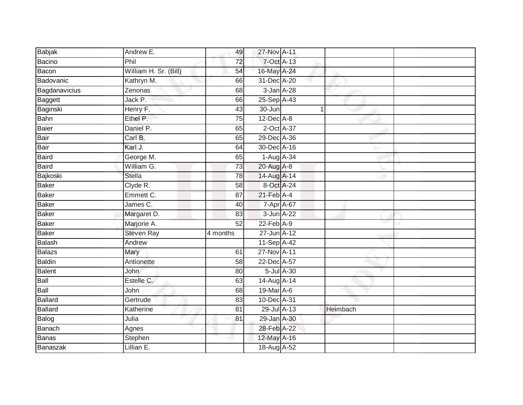| Babjak        | Andrew E.             | 49              | 27-Nov A-11       |                  |          |  |
|---------------|-----------------------|-----------------|-------------------|------------------|----------|--|
| Bacino        | Phil                  | 72              | $7-Oct$ $A-13$    |                  |          |  |
| Bacon         | William H. Sr. (Bill) | 54              | 16-May A-24       |                  |          |  |
| Badovanic     | Kathryn M.            | 66              | 31-Dec A-20       |                  |          |  |
| Bagdanavicius | Zenonas               | 68              | 3-Jan A-28        |                  |          |  |
| Baggett       | Jack P.               | 66              | 25-Sep A-43       |                  |          |  |
| Baginski      | Henry F.              | 43              | 30-Jun            |                  | 1        |  |
| Bahn          | Ethel P.              | 75              | $12$ -Dec $A-8$   |                  |          |  |
| Baier         | Daniel P.             | 65              | 2-Oct A-37        |                  |          |  |
| Bair          | Carl B.               | 65              | 29-Dec A-36       |                  |          |  |
| Bair          | Karl J.               | 64              | 30-Dec A-16       |                  |          |  |
| <b>Baird</b>  | George M.             | 65              | 1-Aug A-34        |                  |          |  |
| Baird         | William G.            | 73              | 20-Aug A-8        |                  |          |  |
| Bajkoski      | <b>Stella</b>         | 78              | 14-Aug A-14       |                  |          |  |
| Baker         | Clyde R.              | $\overline{58}$ | 8-Oct A-24        |                  |          |  |
| <b>Baker</b>  | Emmett C.             | 87              | $21$ -Feb $A$ -4  |                  |          |  |
| Baker         | James C.              | 40              | 7-Apr A-67        |                  |          |  |
| Baker         | Margaret D.           | 83              | 3-Jun A-22        |                  |          |  |
| <b>Baker</b>  | Marjorie A.           | 52              | $22-Feb$ A-9      |                  |          |  |
| <b>Baker</b>  | <b>Steven Ray</b>     | 4 months        | 27-Jun A-12       |                  |          |  |
| Balash        | Andrew                |                 | 11-Sep A-42       |                  |          |  |
| Balazs        | Mary                  | 61              | 27-Nov A-11       |                  |          |  |
| <b>Baldin</b> | Antionette            | 58              | $22$ -Dec $A$ -57 |                  |          |  |
| Balent        | <b>John</b>           | 80              |                   | $5$ -Jul $A$ -30 |          |  |
| Ball          | Estelle C.            | 63              | 14-Aug A-14       |                  |          |  |
| Ball          | John                  | 68              | 19-Mar A-6        |                  |          |  |
| Ballard       | Gertrude              | 83              | 10-Dec A-31       |                  |          |  |
| Ballard       | Katherine             | 81              | 29-Jul A-13       |                  | Heimbach |  |
| Balog         | Julia                 | 81              | 29-Jan A-30       |                  |          |  |
| Banach        | Agnes                 |                 | 28-Feb A-22       |                  |          |  |
| <b>Banas</b>  | Stephen               |                 | 12-May A-16       |                  |          |  |
| Banaszak      | Lillian E.            |                 | 18-Aug A-52       |                  |          |  |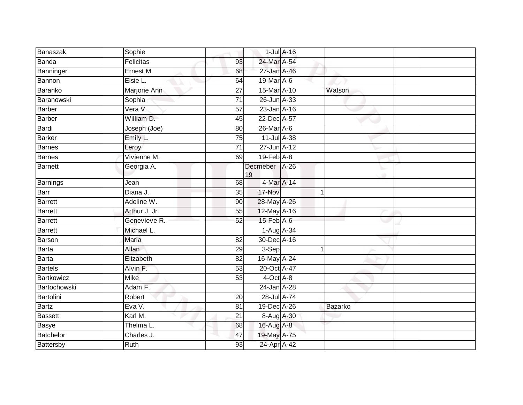| Banaszak         | Sophie        |                 |                     | $1$ -Jul $A$ -16 |             |  |
|------------------|---------------|-----------------|---------------------|------------------|-------------|--|
| <b>Banda</b>     | Felicitas     | 93              | 24-Mar A-54         |                  |             |  |
| Banninger        | Ernest M.     | 68              | 27-Jan A-46         |                  |             |  |
| Bannon           | Elsie L.      | 64              | 19-Mar A-6          |                  |             |  |
| Baranko          | Marjorie Ann  | $\overline{27}$ | 15-Mar A-10         |                  | Watson      |  |
| Baranowski       | Sophia        | 71              | 26-Jun A-33         |                  |             |  |
| <b>Barber</b>    | Vera V.       | 57              | 23-Jan A-16         |                  |             |  |
| <b>Barber</b>    | William D.    | 45              | 22-Dec A-57         |                  |             |  |
| Bardi            | Joseph (Joe)  | 80              | 26-Mar A-6          |                  |             |  |
| <b>Barker</b>    | Emily L.      | 75              | 11-Jul A-38         |                  |             |  |
| <b>Barnes</b>    | Leroy         | $\overline{71}$ | 27-Jun A-12         |                  |             |  |
| <b>Barnes</b>    | Vivienne M.   | 69              | $19$ -Feb $A$ -8    |                  |             |  |
| <b>Barnett</b>   | Georgia A.    |                 | Decmeber A-26<br>19 |                  |             |  |
| Barnings         | Jean          | 68              | 4-Mar A-14          |                  |             |  |
| Barr             | Diana J.      | $\overline{35}$ | 17-Nov              |                  | $\mathbf 1$ |  |
| <b>Barrett</b>   | Adeline W.    | 90              | 28-May A-26         |                  |             |  |
| <b>Barrett</b>   | Arthur J. Jr. | 55              | 12-May A-16         |                  |             |  |
| <b>Barrett</b>   | Genevieve R.  | 52              | $15$ -Feb $A$ -6    |                  |             |  |
| <b>Barrett</b>   | Michael L.    |                 | 1-Aug A-34          |                  |             |  |
| Barson           | <b>Maria</b>  | $\overline{82}$ | 30-Dec A-16         |                  |             |  |
| <b>Barta</b>     | Allan         | 29              | 3-Sep               |                  | 1           |  |
| <b>Barta</b>     | Elizabeth     | 82              | 16-May A-24         |                  |             |  |
| <b>Bartels</b>   | Alvin F.      | 53              | 20-Oct A-47         |                  |             |  |
| Bartkowicz       | <b>Mike</b>   | 53              | 4-Oct A-8           |                  |             |  |
| Bartochowski     | Adam F.       |                 | 24-Jan A-28         |                  |             |  |
| Bartolini        | Robert        | 20              | 28-Jul A-74         |                  |             |  |
| <b>Bartz</b>     | Eva V.        | 81              | 19-Dec A-26         |                  | Bazarko     |  |
| <b>Bassett</b>   | Karl M.       | 21              | 8-Aug A-30          |                  |             |  |
| <b>Basye</b>     | Thelma L.     | 68              | 16-Aug A-8          |                  |             |  |
| <b>Batchelor</b> | Charles J.    | 47              | 19-May A-75         |                  |             |  |
| Battersby        | Ruth          | 93              | 24-Apr A-42         |                  |             |  |
|                  |               |                 |                     |                  |             |  |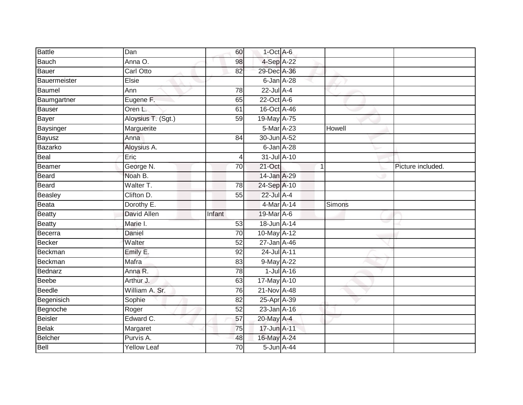| <b>Battle</b>  | Dan                | 60              | $1$ -Oct A-6    |                  |               |                   |
|----------------|--------------------|-----------------|-----------------|------------------|---------------|-------------------|
| Bauch          | Anna O.            | 98              | 4-Sep A-22      |                  |               |                   |
| Bauer          | <b>Carl Otto</b>   | 82              | 29-Dec A-36     |                  |               |                   |
| Bauermeister   | Elsie              |                 | 6-Jan A-28      |                  |               |                   |
| Baumel         | Ann                | 78              | $22$ -Jul $A-4$ |                  |               |                   |
| Baumgartner    | Eugene F.          | 65              | 22-Oct A-6      |                  |               |                   |
| Bauser         | Oren L.            | 61              | 16-Oct A-46     |                  |               |                   |
| Bayer          | Aloysius T. (Sgt.) | 59              | 19-May A-75     |                  |               |                   |
| Baysinger      | Marguerite         |                 | 5-Mar A-23      |                  | Howell        |                   |
| Bayusz         | Anna               | 84              | 30-Jun A-52     |                  |               |                   |
| Bazarko        | Aloysius A.        |                 | 6-Jan A-28      |                  |               |                   |
| Beal           | Eric               | 4               | 31-Jul A-10     |                  |               |                   |
| Beamer         | George N.          | 70              | $21$ -Oct       | 1                |               | Picture included. |
| Beard          | Noah B.            |                 | 14-Jan A-29     |                  |               |                   |
| Beard          | Walter T.          | 78              | 24-Sep A-10     |                  |               |                   |
| Beasley        | Clifton D.         | 55              | 22-Jul A-4      |                  |               |                   |
| Beata          | Dorothy E.         |                 | 4-Mar A-14      |                  | <b>Simons</b> |                   |
| <b>Beatty</b>  | <b>David Allen</b> | Infant          | 19-Mar A-6      |                  |               |                   |
| <b>Beatty</b>  | Marie I.           | 53              | 18-Jun A-14     |                  |               |                   |
| Becerra        | <b>Daniel</b>      | $\overline{70}$ | 10-May A-12     |                  |               |                   |
| Becker         | Walter             | 52              | 27-Jan A-46     |                  |               |                   |
| Beckman        | Emily E.           | 92              | 24-Jul A-11     |                  |               |                   |
| Beckman        | Mafra              | 83              | 9-May A-22      |                  |               |                   |
| Bednarz        | Anna R.            | 78              |                 | $1$ -Jul $A$ -16 |               |                   |
| <b>Beebe</b>   | Arthur J.          | 63              | 17-May A-10     |                  |               |                   |
| Beedle         | William A. Sr.     | 76              | 21-Nov A-48     |                  |               |                   |
| Begenisich     | Sophie             | $\overline{82}$ | 25-Apr A-39     |                  |               |                   |
| Begnoche       | Roger              | 52              | 23-Jan A-16     |                  |               |                   |
| <b>Beisler</b> | Edward C.          | 57              | 20-May A-4      |                  |               |                   |
| <b>Belak</b>   | Margaret           | 75              | 17-Jun A-11     |                  |               |                   |
| Belcher        | Purvis A.          | 48              | 16-May A-24     |                  |               |                   |
| Bell           | <b>Yellow Leaf</b> | $\overline{70}$ | 5-Jun A-44      |                  |               |                   |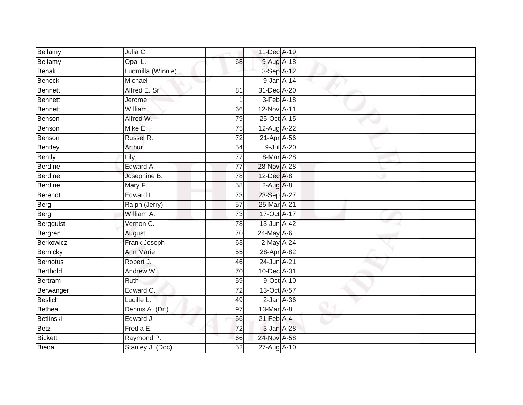| Bellamy         | Julia C.          |                 | 11-Dec A-19                 |            |  |
|-----------------|-------------------|-----------------|-----------------------------|------------|--|
| Bellamy         | Opal L.           | 68              | 9-Aug A-18                  |            |  |
| Benak           | Ludmilla (Winnie) |                 | 3-Sep A-12                  |            |  |
| Benecki         | Michael           |                 | 9-Jan A-14                  |            |  |
| Bennett         | Alfred E. Sr.     | 81              | 31-Dec A-20                 |            |  |
| Bennett         | Jerome            | 1               | 3-Feb A-18                  |            |  |
| Bennett         | William           | 66              | 12-Nov A-11                 |            |  |
| Benson          | Alfred W.         | 79              | 25-Oct A-15                 |            |  |
| Benson          | Mike E.           | 75              | 12-Aug A-22                 |            |  |
| Benson          | Russel R.         | $\overline{72}$ | 21-Apr A-56                 |            |  |
| Bentley         | Arthur            | $\overline{54}$ |                             | 9-Jul A-20 |  |
| Bently          | Lily              | 77              | 8-Mar A-28                  |            |  |
| <b>Berdine</b>  | Edward A.         | $\overline{77}$ | 28-Nov A-28                 |            |  |
| <b>Berdine</b>  | Josephine B.      | 78              | 12-Dec A-8                  |            |  |
| Berdine         | Mary F.           | $\overline{58}$ | $2-Aug$ A-8                 |            |  |
| Berendt         | Edward L.         | 73              | 23-Sep A-27                 |            |  |
| Berg            | Ralph (Jerry)     | $\overline{57}$ | 25-Mar A-21                 |            |  |
| Berg            | William A.        | 73              | 17-Oct A-17                 |            |  |
| Bergquist       | Vernon C.         | 78              | 13-Jun A-42                 |            |  |
| Bergren         | August            | 70              | $24$ -May $A-6$             |            |  |
| Berkowicz       | Frank Joseph      | 63              | 2-May A-24                  |            |  |
| Bernicky        | <b>Ann Marie</b>  | 55              | 28-Apr A-82                 |            |  |
| Bernotus        | Robert J.         | 46              | 24-Jun A-21                 |            |  |
| <b>Berthold</b> | Andrew W.         | 70              | 10-Dec A-31                 |            |  |
| Bertram         | Ruth              | 59              | $9$ -Oct $\overline{A}$ -10 |            |  |
| Berwanger       | Edward C.         | $\overline{72}$ | 13-Oct A-57                 |            |  |
| Beslich         | Lucille L.        | 49              | $2$ -Jan $A$ -36            |            |  |
| Bethea          | Dennis A. (Dr.)   | 97              | $13-MarA-8$                 |            |  |
| Betlinski       | Edward J.         | 56              | $21$ -Feb $A$ -4            |            |  |
| Betz            | Fredia E.         | 72              | 3-Jan A-28                  |            |  |
| <b>Bickett</b>  | Raymond P.        | 66              | 24-Nov A-58                 |            |  |
| <b>Bieda</b>    | Stanley J. (Doc)  | 52              | 27-Aug A-10                 |            |  |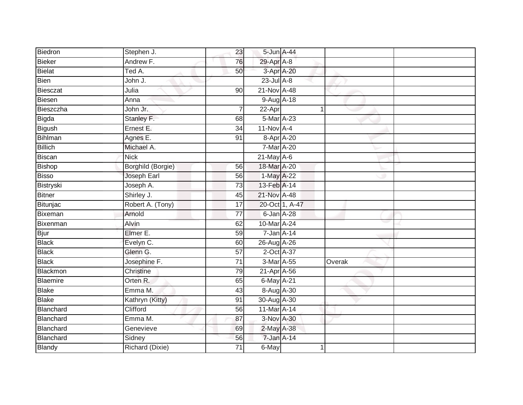| Biedron        | Stephen J.        | 23              | 5-Jun A-44      |                |        |  |
|----------------|-------------------|-----------------|-----------------|----------------|--------|--|
| Bieker         | Andrew F.         | 76              | 29-Apr A-8      |                |        |  |
| Bielat         | Ted A.            | 50              | 3-Apr A-20      |                |        |  |
| Bien           | John J.           |                 | $23$ -Jul $A-8$ |                |        |  |
| Biesczat       | Julia             | $\overline{90}$ | 21-Nov A-48     |                |        |  |
| <b>Biesen</b>  | Anna              |                 | 9-Aug A-18      |                |        |  |
| Bieszczha      | John Jr.          |                 | 22-Apr          |                | 1      |  |
| Bigda          | Stanley F.        | 68              | 5-Mar A-23      |                |        |  |
| Bigush         | Ernest E.         | $\overline{34}$ | $11-NovA-4$     |                |        |  |
| Bihlman        | Agnes E.          | 91              | 8-Apr A-20      |                |        |  |
| <b>Billich</b> | Michael A.        |                 | $7-Mar A-20$    |                |        |  |
| <b>Biscan</b>  | <b>Nick</b>       |                 | $21$ -May A-6   |                |        |  |
| Bishop         | Borghild (Borgie) | 56              | 18-Mar A-20     |                |        |  |
| <b>Bisso</b>   | Joseph Earl       | 56              | 1-May A-22      |                |        |  |
| Bistryski      | Joseph A.         | $\overline{73}$ | 13-Feb A-14     |                |        |  |
| <b>Bitner</b>  | Shirley J.        | 45              | 21-Nov A-48     |                |        |  |
| Bitunjac       | Robert A. (Tony)  | $\overline{17}$ |                 | 20-Oct 1, A-47 |        |  |
| Bixeman        | Arnold            | $\overline{77}$ | 6-Jan A-28      |                |        |  |
| Bixenman       | Alvin             | 62              | 10-Mar A-24     |                |        |  |
| <b>Bjur</b>    | Elmer E.          | 59              | 7-Jan A-14      |                |        |  |
| <b>Black</b>   | Evelyn C.         | 60              | 26-Aug A-26     |                |        |  |
| <b>Black</b>   | Glenn G.          | 57              | 2-Oct A-37      |                |        |  |
| <b>Black</b>   | Josephine F.      | 71              | $3-Mar A-55$    |                | Overak |  |
| Blackmon       | Christine         | 79              | 21-Apr A-56     |                |        |  |
| Blaemire       | Orten R.          | 65              | 6-May A-21      |                |        |  |
| <b>Blake</b>   | Emma M.           | 43              | 8-Aug A-30      |                |        |  |
| <b>Blake</b>   | Kathryn (Kitty)   | 91              | 30-Aug A-30     |                |        |  |
| Blanchard      | Clifford          | 56              | 11-Mar A-14     |                |        |  |
| Blanchard      | Emma M.           | 87              | 3-Nov A-30      |                |        |  |
| Blanchard      | Genevieve         | 69              | 2-May A-38      |                |        |  |
| Blanchard      | Sidney            | 56              | 7-Jan A-14      |                |        |  |
| <b>Blandy</b>  | Richard (Dixie)   | $\overline{71}$ | 6-May           |                | 1      |  |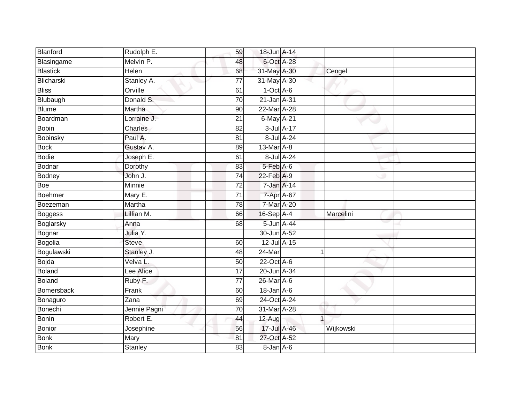| Blanford        | Rudolph E.     | 59              | 18-Jun A-14      |                |           |
|-----------------|----------------|-----------------|------------------|----------------|-----------|
| Blasingame      | Melvin P.      | 48              | 6-Oct A-28       |                |           |
| <b>Blastick</b> | Helen          | 68              | 31-May A-30      |                | Cengel    |
| Blicharski      | Stanley A.     | 77              | 31-May A-30      |                |           |
| <b>Bliss</b>    | Orville        | 61              | $1-Oct$ A-6      |                |           |
| Blubaugh        | Donald S.      | 70              | 21-Jan A-31      |                |           |
| <b>Blume</b>    | Martha         | 90              | 22-Mar A-28      |                |           |
| Boardman        | Lorraine J.    | 21              | 6-May A-21       |                |           |
| Bobin           | Charles        | 82              | 3-Jul A-17       |                |           |
| <b>Bobinsky</b> | Paul A.        | 81              | 8-Jul A-24       |                |           |
| <b>Bock</b>     | Gustav A.      | 89              | 13-Mar A-8       |                |           |
| Bodie           | Joseph E.      | 61              | 8-Jul A-24       |                |           |
| Bodnar          | Dorothy        | 83              | $5-Feb$ $A-6$    |                |           |
| Bodney          | John J.        | 74              | 22-Feb A-9       |                |           |
| Boe             | <b>Minnie</b>  | $\overline{72}$ | 7-Jan A-14       |                |           |
| Boehmer         | Mary E.        | 71              | 7-Apr A-67       |                |           |
| Boezeman        | Martha         | $\overline{78}$ | 7-Mar A-20       |                |           |
| <b>Boggess</b>  | Lillian M.     | 66              | 16-Sep A-4       |                | Marcelini |
| Boglarsky       | Anna           | 68              | 5-Jun A-44       |                |           |
| Bognar          | Julia Y.       |                 | 30-Jun A-52      |                |           |
| Bogolia         | <b>Steve</b>   | 60              | 12-Jul A-15      |                |           |
| Bogulawski      | Stanley J.     | 48              | $24$ -Mar        | -1             |           |
| Bojda           | Velva L.       | 50              | 22-Oct A-6       |                |           |
| <b>Boland</b>   | Lee Alice      | 17              | 20-Jun A-34      |                |           |
| Boland          | Ruby F.        | 77              | 26-Mar A-6       |                |           |
| Bomersback      | Frank          | 60              | $18$ -Jan $A$ -6 |                |           |
| Bonaguro        | Zana           | 69              | 24-Oct A-24      |                |           |
| Bonechi         | Jennie Pagni   | 70              | 31-Mar A-28      |                |           |
| Bonin           | Robert E.      | 44              | $12$ -Aug        | $\overline{1}$ |           |
| Bonior          | Josephine      | 56              | 17-Jul A-46      |                | Wijkowski |
| <b>Bonk</b>     | Mary           | 81              | 27-Oct A-52      |                |           |
| Bonk            | <b>Stanley</b> | $\overline{83}$ | 8-Jan A-6        |                |           |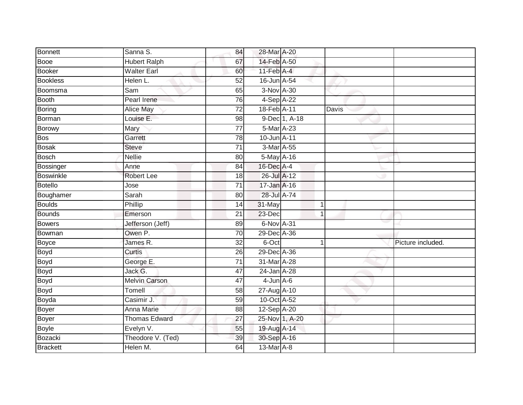| <b>Bonnett</b>   | Sanna S.             | 84              | 28-Mar A-20      |                |       |                   |
|------------------|----------------------|-----------------|------------------|----------------|-------|-------------------|
| <b>Booe</b>      | <b>Hubert Ralph</b>  | 67              | 14-Feb A-50      |                |       |                   |
| <b>Booker</b>    | <b>Walter Earl</b>   | 60              | $11$ -Feb $A$ -4 |                |       |                   |
| <b>Bookless</b>  | Helen L.             | 52              | 16-Jun A-54      |                |       |                   |
| Boomsma          | Sam                  | 65              | 3-Nov A-30       |                |       |                   |
| <b>Booth</b>     | Pearl Irene          | 76              | 4-Sep A-22       |                |       |                   |
| Boring           | Alice May            | $\overline{72}$ | 18-Feb A-11      |                | Davis |                   |
| Borman           | Louise E.            | 98              |                  | 9-Dec 1, A-18  |       |                   |
| <b>Borowy</b>    | Mary                 | $\overline{77}$ | 5-Mar A-23       |                |       |                   |
| <b>Bos</b>       | Garrett              | 78              | 10-Jun A-11      |                |       |                   |
| <b>Bosak</b>     | Steve                | 71              | 3-Mar A-55       |                |       |                   |
| <b>Bosch</b>     | <b>Nellie</b>        | 80              | 5-May A-16       |                |       |                   |
| <b>Bossinger</b> | Anne                 | 84              | 16-Dec A-4       |                |       |                   |
| <b>Boswinkle</b> | <b>Robert Lee</b>    | 18              | 26-Jul A-12      |                |       |                   |
| <b>Botello</b>   | Jose                 | $\overline{71}$ | 17-Jan A-16      |                |       |                   |
| Boughamer        | Sarah                | 80              | 28-Jul A-74      |                |       |                   |
| <b>Boulds</b>    | Phillip              | 14              | 31-May           | $\mathbf{1}$   |       |                   |
| <b>Bounds</b>    | Emerson              | 21              | 23-Dec           | 1              |       |                   |
| <b>Bowers</b>    | Jefferson (Jeff)     | 89              | 6-Nov A-31       |                |       |                   |
| Bowman           | Owen P.              | $\overline{70}$ | 29-Dec A-36      |                |       |                   |
| <b>Boyce</b>     | James R.             | 32              | 6-Oct            | 1              |       | Picture included. |
| Boyd             | Curtis               | 26              | 29-Dec A-36      |                |       |                   |
| <b>Boyd</b>      | George E.            | 71              | 31-Mar A-28      |                |       |                   |
| <b>Boyd</b>      | Jack G.              | 47              | 24-Jan A-28      |                |       |                   |
| Boyd             | <b>Melvin Carson</b> | 47              | $4$ -Jun $A$ -6  |                |       |                   |
| Boyd             | Tomell               | 58              | 27-Aug A-10      |                |       |                   |
| Boyda            | Casimir J.           | 59              | 10-Oct A-52      |                |       |                   |
| Boyer            | Anna Marie           | 88              | 12-Sep A-20      |                |       |                   |
| Boyer            | <b>Thomas Edward</b> | 27              |                  | 25-Nov 1, A-20 |       |                   |
| <b>Boyle</b>     | Evelyn V.            | 55              | 19-Aug A-14      |                |       |                   |
| Bozacki          | Theodore V. (Ted)    | 39              | 30-Sep A-16      |                |       |                   |
| <b>Brackett</b>  | Helen M.             | 64              | 13-Mar A-8       |                |       |                   |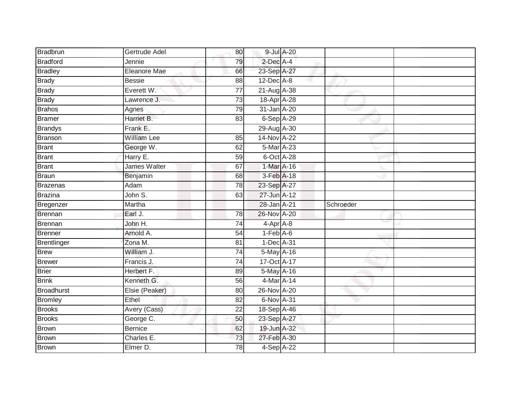| Bradbrun        | Gertrude Adel      | 80              | 9-Jul A-20      |           |  |
|-----------------|--------------------|-----------------|-----------------|-----------|--|
| <b>Bradford</b> | Jennie             | 79              | 2-Dec A-4       |           |  |
| <b>Bradley</b>  | Eleanore Mae       | 66              | 23-Sep A-27     |           |  |
| <b>Brady</b>    | <b>Bessie</b>      | 88              | $12$ -Dec $A-8$ |           |  |
| <b>Brady</b>    | Everett W.         | $\overline{77}$ | 21-Aug A-38     |           |  |
| <b>Brady</b>    | Lawrence J.        | $\overline{73}$ | 18-Apr A-28     |           |  |
| <b>Brahos</b>   | Agnes              | 79              | 31-Jan A-20     |           |  |
| <b>Bramer</b>   | Harriet B.         | 83              | 6-Sep A-29      |           |  |
| <b>Brandys</b>  | Frank E.           |                 | 29-Aug A-30     |           |  |
| <b>Branson</b>  | <b>William Lee</b> | 85              | 14-Nov A-22     |           |  |
| Brant           | George W.          | 62              | 5-Mar A-23      |           |  |
| Brant           | Harry E.           | 59              | 6-Oct A-28      |           |  |
| <b>Brant</b>    | James Walter       | 67              | 1-Mar A-16      |           |  |
| <b>Braun</b>    | Benjamin           | 68              | 3-Feb A-18      |           |  |
| <b>Brazenas</b> | Adam               | 78              | 23-Sep A-27     |           |  |
| Brazina         | John S.            | 63              | 27-Jun A-12     |           |  |
| Bregenzer       | Martha             |                 | 28-Jan A-21     | Schroeder |  |
| Brennan         | Earl J.            | 78              | 26-Nov A-20     |           |  |
| Brennan         | John H.            | $\overline{74}$ | 4-Apr A-8       |           |  |
| Brenner         | Arnold A.          | $\overline{54}$ | $1-Feb$ $A-6$   |           |  |
| Brentlinger     | Zona M.            | 81              | 1-Dec A-31      |           |  |
| <b>Brew</b>     | William J.         | $\overline{74}$ | 5-May A-16      |           |  |
| Brewer          | Francis J.         | 74              | 17-Oct A-17     |           |  |
| <b>Brier</b>    | Herbert F.         | 89              | 5-May A-16      |           |  |
| <b>Brink</b>    | Kenneth G.         | 56              | 4-Mar A-14      |           |  |
| Broadhurst      | Elsie (Peaker)     | 80              | 26-Nov A-20     |           |  |
| <b>Bromley</b>  | Ethel              | $\overline{82}$ | 6-Nov A-31      |           |  |
| <b>Brooks</b>   | Avery (Cass)       | 22              | 18-Sep A-46     |           |  |
| <b>Brooks</b>   | George C.          | 50              | 23-Sep A-27     |           |  |
| Brown           | <b>Bernice</b>     | 62              | 19-Jun A-32     |           |  |
| <b>Brown</b>    | Charles E.         | 73              | 27-Feb A-30     |           |  |
| Brown           | Elmer D.           | 78              | $4-SepA-22$     |           |  |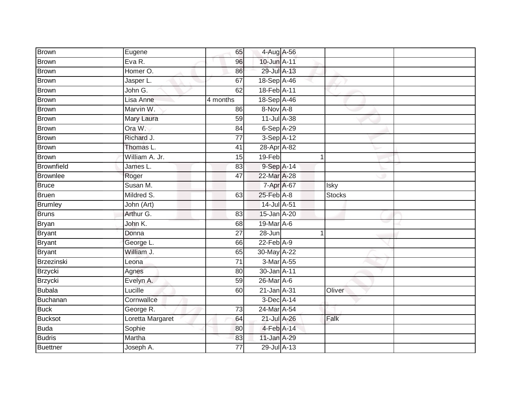| <b>Brown</b>      | Eugene           | 65              | 4-Aug A-56                  |               |  |
|-------------------|------------------|-----------------|-----------------------------|---------------|--|
| Brown             | Eva R.           | 96              | 10-Jun A-11                 |               |  |
| <b>Brown</b>      | Homer O.         | 86              | 29-Jul A-13                 |               |  |
| Brown             | Jasper L.        | 67              | 18-Sep A-46                 |               |  |
| <b>Brown</b>      | John G.          | 62              | 18-Feb A-11                 |               |  |
| Brown             | Lisa Anne        | 4 months        | 18-Sep A-46                 |               |  |
| Brown             | Marvin W.        | 86              | 8-Nov A-8                   |               |  |
| <b>Brown</b>      | Mary Laura       | 59              | 11-Jul A-38                 |               |  |
| <b>Brown</b>      | Ora W.           | 84              | 6-Sep A-29                  |               |  |
| Brown             | Richard J.       | $\overline{77}$ | 3-Sep A-12                  |               |  |
| <b>Brown</b>      | Thomas L.        | 41              | 28-Apr A-82                 |               |  |
| <b>Brown</b>      | William A. Jr.   | 15              | 19-Feb                      | 1             |  |
| <b>Brownfield</b> | James L.         | 83              | 9-Sep A-14                  |               |  |
| <b>Brownlee</b>   | Roger            | $\overline{47}$ | 22-Mar A-28                 |               |  |
| <b>Bruce</b>      | Susan M.         |                 | 7-Apr A-67                  | Isky          |  |
| Bruen             | Mildred S.       | 63              | 25-Feb A-8                  | <b>Stocks</b> |  |
| <b>Brumley</b>    | John (Art)       |                 | 14-Jul A-51                 |               |  |
| Bruns             | Arthur G.        | 83              | 15-Jan A-20                 |               |  |
| <b>Bryan</b>      | John K.          | 68              | 19-Mar A-6                  |               |  |
| <b>Bryant</b>     | Donna            | $\overline{27}$ | $28 - Jun$                  | 1             |  |
| Bryant            | George L.        | 66              | $22$ -Feb $A-9$             |               |  |
| <b>Bryant</b>     | William J.       | 65              | 30-May A-22                 |               |  |
| Brzezinski        | Leona            | 71              | 3-Mar A-55                  |               |  |
| Brzycki           | Agnes            | 80              | 30-Jan A-11                 |               |  |
| Brzycki           | Evelyn A.        | 59              | $26$ -Mar $\overline{A}$ -6 |               |  |
| <b>Bubala</b>     | Lucille          | 60              | 21-Jan A-31                 | Oliver        |  |
| Buchanan          | Cornwallce       |                 | 3-Dec A-14                  |               |  |
| <b>Buck</b>       | George R.        | 73              | 24-Mar A-54                 |               |  |
| <b>Bucksot</b>    | Loretta Margaret | 64              | 21-Jul A-26                 | Falk          |  |
| <b>Buda</b>       | Sophie           | 80              | 4-Feb A-14                  |               |  |
| <b>Budris</b>     | Martha           | 83              | 11-Jan A-29                 |               |  |
| <b>Buettner</b>   | Joseph A.        | $\overline{77}$ | 29-Jul A-13                 |               |  |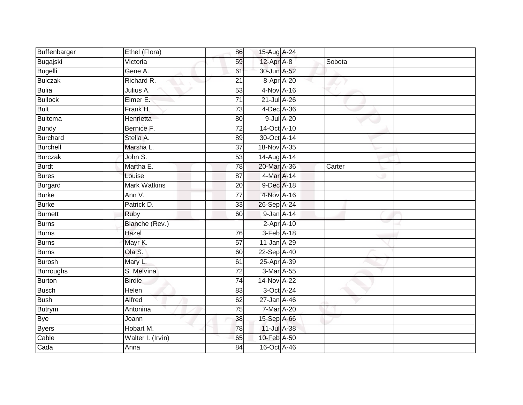| Buffenbarger    | Ethel (Flora)       | 86              | 15-Aug A-24      |        |  |
|-----------------|---------------------|-----------------|------------------|--------|--|
| Bugajski        | Victoria            | 59              | 12-Apr A-8       | Sobota |  |
| Bugelli         | Gene A.             | 61              | 30-Jun A-52      |        |  |
| <b>Bulczak</b>  | Richard R.          | 21              | 8-Apr A-20       |        |  |
| <b>Bulia</b>    | Julius A.           | $\overline{53}$ | 4-Nov A-16       |        |  |
| <b>Bullock</b>  | Elmer E.            | $\overline{71}$ | 21-Jul A-26      |        |  |
| <b>Bult</b>     | Frank H.            | 73              | 4-Dec A-36       |        |  |
| <b>Bultema</b>  | Henrietta           | 80              | 9-Jul A-20       |        |  |
| <b>Bundy</b>    | Bernice F.          | 72              | 14-Oct A-10      |        |  |
| <b>Burchard</b> | Stella A.           | 89              | 30-Oct A-14      |        |  |
| Burchell        | Marsha L.           | 37              | 18-Nov A-35      |        |  |
| <b>Burczak</b>  | John S.             | 53              | 14-Aug A-14      |        |  |
| Burdt           | Martha E.           | 78              | 20-Mar A-36      | Carter |  |
| <b>Bures</b>    | Louise              | 87              | 4-Mar A-14       |        |  |
| Burgard         | <b>Mark Watkins</b> | 20              | 9-Dec A-18       |        |  |
| <b>Burke</b>    | Ann V.              | 77              | 4-Nov A-16       |        |  |
| <b>Burke</b>    | Patrick D.          | 33              | 26-Sep A-24      |        |  |
| Burnett         | Ruby                | 60              | 9-Jan A-14       |        |  |
| <b>Burns</b>    | Blanche (Rev.)      |                 | $2$ -Apr $A$ -10 |        |  |
| <b>Burns</b>    | Hazel               | 76              | 3-Feb A-18       |        |  |
| Burns           | Mayr K.             | 57              | 11-Jan A-29      |        |  |
| Burns           | Ola S.              | 60              | 22-Sep A-40      |        |  |
| <b>Burosh</b>   | Mary L.             | 61              | 25-Apr A-39      |        |  |
| Burroughs       | S. Melvina          | 72              | 3-Mar A-55       |        |  |
| Burton          | <b>Birdie</b>       | $\overline{74}$ | 14-Nov A-22      |        |  |
| <b>Busch</b>    | Helen               | 83              | 3-Oct A-24       |        |  |
| Bush            | Alfred              | 62              | 27-Jan A-46      |        |  |
| Butrym          | Antonina            | 75              | 7-Mar A-20       |        |  |
| Bye             | Joann               | 38              | 15-Sep A-66      |        |  |
| <b>Byers</b>    | Hobart M.           | 78              | 11-Jul A-38      |        |  |
| Cable           | Walter I. (Irvin)   | 65              | 10-Feb A-50      |        |  |
| Cada            | Anna                | 84              | 16-Oct A-46      |        |  |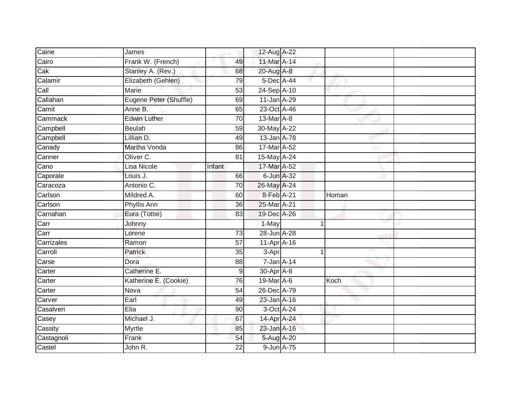| Caine                   | James                  |                 | 12-Aug A-22      |       |  |
|-------------------------|------------------------|-----------------|------------------|-------|--|
| Cairo                   | Frank W. (French)      | 49              | 11-Mar A-14      |       |  |
| $\overline{\text{Cak}}$ | Stanley A. (Rev.)      | 68              | 20-Aug A-8       |       |  |
| Calamir                 | Elizabeth (Gehlen)     | 79              | 5-Dec A-44       |       |  |
| Call                    | <b>Marie</b>           | $\overline{53}$ | 24-Sep A-10      |       |  |
| Callahan                | Eugene Peter (Shuffle) | 69              | 11-Jan A-29      |       |  |
| Camit                   | Anne B.                | 65              | 23-Oct A-46      |       |  |
| Cammack                 | <b>Edwin Luther</b>    | 70              | 13-Mar A-8       |       |  |
| Campbell                | <b>Beulah</b>          | 59              | 30-May A-22      |       |  |
| Campbell                | Lillian D.             | 49              | 13-Jan A-78      |       |  |
| Canady                  | Martha Vonda           | 86              | 17-Mar A-52      |       |  |
| Canner                  | Oliver C.              | 81              | 15-May A-24      |       |  |
| Cano                    | Lisa Nicole            | Infant          | 17-Mar A-52      |       |  |
| Caporale                | Louis J.               | 66              | 6-Jun A-32       |       |  |
| Caracoza                | Antonio C.             | 70              | 26-May A-24      |       |  |
| Carlson                 | Mildred A.             | 60              | 8-Feb A-21       | Homan |  |
| Carlson                 | <b>Phyllis Ann</b>     | $\overline{36}$ | 25-Mar A-21      |       |  |
| Carnahan                | Eura (Tottie)          | 83              | 19-Dec A-26      |       |  |
| Carr                    | Johnny                 |                 | 1-May            |       |  |
| Carr                    | Lorene                 | 73              | 28-Jun A-28      |       |  |
| Carrizales              | Ramon                  | 57              | 11-Apr A-16      |       |  |
| Carroll                 | Patrick                | $\overline{35}$ | 3-Apr            | 1     |  |
| Carse                   | Dora                   | 88              | $7 - Jan A - 14$ |       |  |
| Carter                  | Catherine E.           | $\mathsf 9$     | 30-Apr A-8       |       |  |
| Carter                  | Katherine E. (Cookie)  | 76              | 19-Mar A-6       | Koch  |  |
| Carter                  | Nova                   | 54              | 26-Dec A-79      |       |  |
| Carver                  | Earl                   | 49              | 23-Jan A-16      |       |  |
| Casalveri               | Elia                   | 90              | 3-Oct A-24       |       |  |
| Casey                   | Michael J.             | 67              | 14-Apr A-24      |       |  |
| Cassity                 | Myrtle                 | 85              | 23-Jan A-16      |       |  |
| Castagnoli              | Frank                  | 54              | 5-Aug A-20       |       |  |
| Castel                  | John R.                | $\overline{22}$ | 9-Jun A-75       |       |  |
|                         |                        |                 |                  |       |  |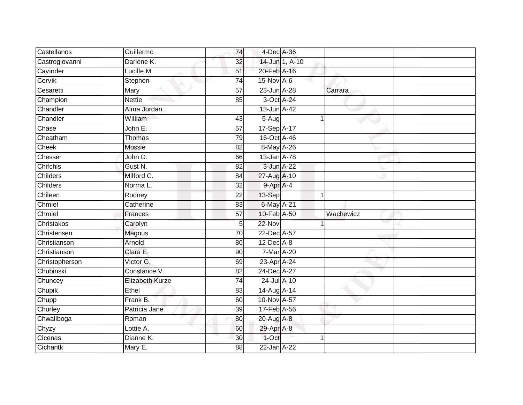| Castellanos         | Guillermo               | 74              | 4-Dec A-36           |                |           |
|---------------------|-------------------------|-----------------|----------------------|----------------|-----------|
| Castrogiovanni      | Darlene K.              | 32              |                      | 14-Jun 1, A-10 |           |
| Cavinder            | Lucille M.              | 51              | 20-Feb A-16          |                |           |
| Cervik              | Stephen                 | 74              | 15-Nov A-6           |                |           |
| Cesaretti           | Mary                    | $\overline{57}$ | 23-Jun A-28          |                | Carrara   |
| Champion            | <b>Nettie</b>           | 85              | 3-Oct A-24           |                |           |
| Chandler            | Alma Jordan             |                 | $13$ -Jun $A$ -42    |                |           |
| Chandler            | William                 | 43              | 5-Aug                | 1              |           |
| Chase               | John E.                 | 57              | 17-Sep A-17          |                |           |
| Cheatham            | Thomas                  | 79              | 16-Oct A-46          |                |           |
| Cheek               | <b>Mossie</b>           | 82              | 8-May A-26           |                |           |
| Chesser             | John D.                 | 66              | 13-Jan A-78          |                |           |
| Chifchis            | Gust <sub>N.</sub>      | 82              | 3-Jun A-22           |                |           |
| Childers            | Milford C.              | 84              | 27-Aug A-10          |                |           |
| <b>Childers</b>     | Norma L.                | $\overline{32}$ | $9-Apr$ A-4          |                |           |
| Chileen             | Rodney                  | 22              | 13-Sep               | 1              |           |
| Chmiel              | Catherine               | 83              | 6-May A-21           |                |           |
| Chmiel              | <b>Frances</b>          | 57              | 10-Feb A-50          |                | Wachewicz |
| Christakos          | Carolyn                 | 5               | 22-Nov               |                |           |
| Christensen         | Magnus                  | 70              | 22-Dec A-57          |                |           |
| Christianson        | Arnold                  | 80              | $12$ -Dec $A-8$      |                |           |
| Christianson        | Clara E.                | 90              | $7-Mar A-20$         |                |           |
| Christopherson      | Victor G.               | 69              | 23-Apr A-24          |                |           |
| Chubinski           | Constance V.            | 82              | 24-Dec A-27          |                |           |
| Chuncey             | Elizabeth Kurze         | $\overline{74}$ | 24-Jul A-10          |                |           |
| Chupik              | Ethel                   | 83              | $14-Aug$ A-14        |                |           |
| Chupp               | Frank B.                | 60              | 10-Nov A-57          |                |           |
| Churley             | Patricia Jane           | 39              | 17-Feb A-56          |                |           |
| Chwaliboga          | Roman                   | 80              | 20-Aug A-8           |                |           |
|                     |                         |                 |                      |                |           |
| Chyzy               | Lottie $\overline{A}$ . | 60              | 29-Apr A-8           |                |           |
| Cicenas<br>Cichantk | Dianne K.<br>Mary E.    | 30<br>88        | 1-Oct<br>22-Jan A-22 |                |           |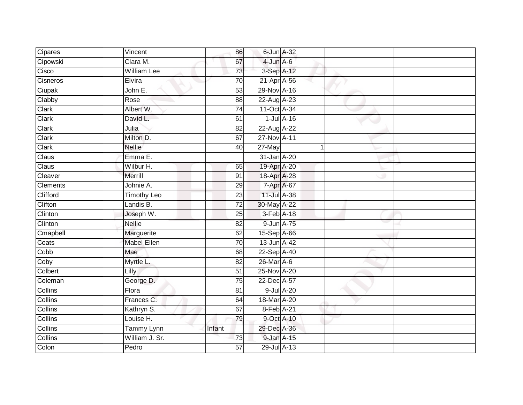| Cipares         | Vincent            | 86              | $6$ -Jun $A$ -32  |                  |  |
|-----------------|--------------------|-----------------|-------------------|------------------|--|
| Cipowski        | Clara M.           | 67              | $4$ -Jun $A$ -6   |                  |  |
| Cisco           | <b>William Lee</b> | 73              | 3-Sep A-12        |                  |  |
| Cisneros        | Elvira             | 70              | 21-Apr A-56       |                  |  |
| Ciupak          | John E.            | 53              | 29-Nov A-16       |                  |  |
| Clabby          | Rose               | 88              | 22-Aug A-23       |                  |  |
| Clark           | Albert W.          | 74              | 11-Oct A-34       |                  |  |
| Clark           | David L.           | 61              |                   | $1$ -Jul $A-16$  |  |
| Clark           | Julia              | 82              | 22-Aug A-22       |                  |  |
| Clark           | Milton D.          | 67              | 27-Nov A-11       |                  |  |
| Clark           | <b>Nellie</b>      | 40              | 27-May            |                  |  |
| Claus           | Emma E.            |                 | 31-Jan A-20       |                  |  |
| Claus           | Wilbur H.          | 65              | 19-Apr A-20       |                  |  |
| Cleaver         | Merrill            | 91              | 18-Apr A-28       |                  |  |
| <b>Clements</b> | Johnie A.          | 29              | 7-Apr A-67        |                  |  |
| Clifford        | <b>Timothy Leo</b> | $\overline{23}$ | 11-Jul A-38       |                  |  |
| Clifton         | Landis B.          | $\overline{72}$ | 30-May A-22       |                  |  |
| Clinton         | Joseph W.          | 25              | 3-Feb A-18        |                  |  |
| Clinton         | <b>Nellie</b>      | 82              | 9-Jun A-75        |                  |  |
| Cmapbell        | Marguerite         | 62              | 15-Sep A-66       |                  |  |
| Coats           | <b>Mabel Ellen</b> | $\overline{70}$ | $13$ -Jun $A$ -42 |                  |  |
| Copp            | Mae                | $\overline{68}$ | 22-Sep A-40       |                  |  |
| Coby            | Myrtle L.          | 82              | 26-Mar A-6        |                  |  |
| Colbert         | Lilly              | $\overline{51}$ | 25-Nov A-20       |                  |  |
| Coleman         | George D.          | 75              | 22-Dec A-57       |                  |  |
| Collins         | Flora              | 81              |                   | $9$ -Jul $A$ -20 |  |
| Collins         | Frances C.         | 64              | 18-Mar A-20       |                  |  |
| Collins         | Kathryn S.         | 67              | 8-Feb A-21        |                  |  |
| <b>Collins</b>  | Louise H.          | 79              | 9-Oct A-10        |                  |  |
| Collins         | Tammy Lynn         | Infant          | 29-Dec A-36       |                  |  |
| Collins         | William J. Sr.     | 73              | 9-Jan A-15        |                  |  |
| Colon           | Pedro              | 57              | 29-Jul A-13       |                  |  |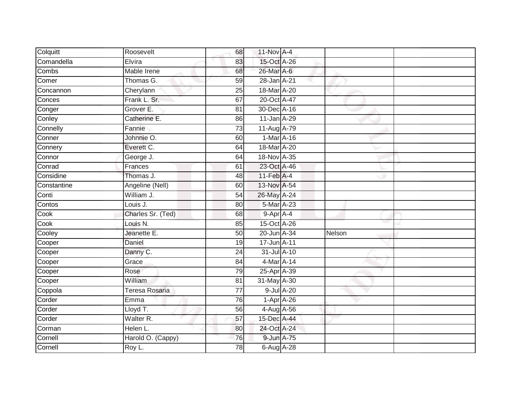| Colquitt    | Roosevelt         | 68              | 11-Nov A-4     |        |
|-------------|-------------------|-----------------|----------------|--------|
| Comandella  | Elvira            | 83              | 15-Oct A-26    |        |
| Combs       | Mable Irene       | 68              | 26-Mar A-6     |        |
| Comer       | Thomas G.         | 59              | 28-Jan A-21    |        |
| Concannon   | Cherylann         | $\overline{25}$ | 18-Mar A-20    |        |
| Conces      | Frank L. Sr.      | 67              | 20-Oct A-47    |        |
| Conger      | Grover E.         | 81              | 30-Dec A-16    |        |
| Conley      | Catherine E.      | 86              | 11-Jan A-29    |        |
| Connelly    | Fannie            | 73              | 11-Aug A-79    |        |
| Conner      | Johnnie O.        | 60              | $1-Mar A-16$   |        |
| Connery     | Everett C.        | 64              | 18-Mar A-20    |        |
| Connor      | George J.         | 64              | 18-Nov A-35    |        |
| Conrad      | Frances           | 61              | 23-Oct A-46    |        |
| Considine   | Thomas J.         | 48              | $11-Feb$ A-4   |        |
| Constantine | Angeline (Nell)   | 60              | 13-Nov A-54    |        |
| Conti       | William J.        | 54              | 26-May A-24    |        |
| Contos      | Louis J.          | 80              | 5-Mar A-23     |        |
| Cook        | Charles Sr. (Ted) | 68              | $9-$ Apr $A-4$ |        |
| Cook        | Louis N.          | 85              | 15-Oct A-26    |        |
| Cooley      | Jeanette E.       | 50              | 20-Jun A-34    | Nelson |
| Cooper      | Daniel            | 19              | 17-Jun A-11    |        |
| Cooper      | Danny C.          | $\overline{24}$ | 31-Jul A-10    |        |
| Cooper      | Grace             | 84              | 4-Mar A-14     |        |
| Cooper      | Rose              | 79              | 25-Apr A-39    |        |
| Cooper      | William           | 81              | $31$ -May A-30 |        |
| Coppola     | Teresa Rosaria    | 77              | 9-Jul A-20     |        |
| Corder      | Emma              | 76              | $1-Apr$ $A-26$ |        |
| Corder      | Lloyd T.          | 56              | 4-Aug A-56     |        |
| Corder      | Walter R.         | 57              | 15-Dec A-44    |        |
| Corman      | Helen L.          | 80              | 24-Oct A-24    |        |
| Cornell     | Harold O. (Cappy) | $\overline{76}$ | 9-Jun A-75     |        |
| Cornell     | Roy L.            | $\overline{78}$ | 6-Aug A-28     |        |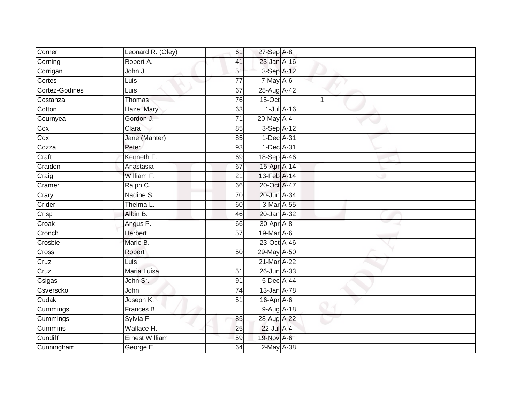| Corner         | Leonard R. (Oley)     | 61              | $27-$ Sep $A-8$   |                |  |
|----------------|-----------------------|-----------------|-------------------|----------------|--|
| Corning        | Robert A.             | 41              | $23$ -Jan $A-16$  |                |  |
| Corrigan       | John J.               | 51              | 3-Sep A-12        |                |  |
| Cortes         | Luis                  | 77              | $7$ -May $A$ -6   |                |  |
| Cortez-Godines | Luis                  | 67              | 25-Aug A-42       |                |  |
| Costanza       | Thomas                | 76              | $15$ -Oct         | $\overline{1}$ |  |
| Cotton         | <b>Hazel Mary</b>     | 63              | $1$ -Jul $A$ -16  |                |  |
| Cournyea       | Gordon J.             | 71              | 20-May A-4        |                |  |
| Cox            | Clara                 | 85              | 3-Sep A-12        |                |  |
| Cox            | Jane (Manter)         | 85              | 1-Dec A-31        |                |  |
| Cozza          | Peter                 | 93              | 1-Dec A-31        |                |  |
| Craft          | Kenneth F.            | 69              | 18-Sep A-46       |                |  |
| Craidon        | Anastasia             | 67              | 15-Apr A-14       |                |  |
| Craig          | William F.            | 21              | 13-Feb A-14       |                |  |
| Cramer         | Ralph C.              | 66              | 20-Oct A-47       |                |  |
| Crary          | Nadine S.             | 70              | 20-Jun A-34       |                |  |
| Crider         | Thelma L.             | 60              | 3-Mar A-55        |                |  |
| Crisp          | Albin B.              | 46              | 20-Jan A-32       |                |  |
| Croak          | Angus P.              | 66              | 30-Apr A-8        |                |  |
| Cronch         | <b>Herbert</b>        | 57              | 19-Mar A-6        |                |  |
| Crosbie        | Marie B.              |                 | 23-Oct A-46       |                |  |
| Cross          | Robert                | 50              | 29-May A-50       |                |  |
| Cruz           | Luis                  |                 | 21-Mar A-22       |                |  |
| Cruz           | Maria Luisa           | 51              | 26-Jun A-33       |                |  |
| Csigas         | John Sr.              | 91              | 5-Dec A-44        |                |  |
| Csverscko      | John                  | 74              | $13 - Jan$ $A-78$ |                |  |
| Cudak          | Joseph K.             | $\overline{51}$ | 16-Apr A-6        |                |  |
| Cummings       | Frances B.            |                 | 9-Aug A-18        |                |  |
| Cummings       | Sylvia F.             | 85              | 28-Aug A-22       |                |  |
| Cummins        | Wallace H.            | 25              | 22-Jul A-4        |                |  |
| Cundiff        | <b>Ernest William</b> | 59              | 19-Nov A-6        |                |  |
| Cunningham     | George E.             | 64              | $2$ -May $A-38$   |                |  |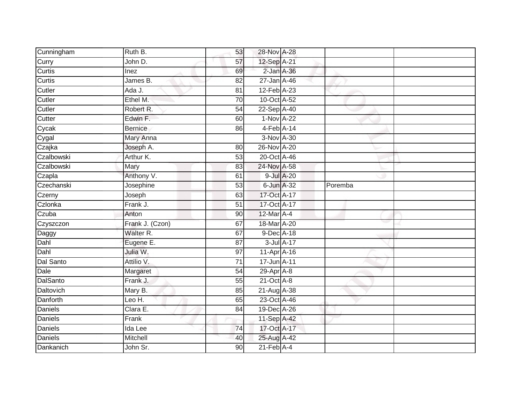| Cunningham                 | Ruth B.         | 53              | 28-Nov A-28                 |            |         |  |
|----------------------------|-----------------|-----------------|-----------------------------|------------|---------|--|
| Curry                      | John D.         | 57              | 12-Sep A-21                 |            |         |  |
| Curtis                     | Inez            | 69              | $2$ -Jan $A$ -36            |            |         |  |
| $\overline{\text{Curtis}}$ | James B.        | 82              | 27-Jan A-46                 |            |         |  |
| Cutler                     | Ada J.          | $\overline{81}$ | 12-Feb A-23                 |            |         |  |
| Cutler                     | Ethel M.        | 70              | 10-Oct A-52                 |            |         |  |
| Cutler                     | Robert R.       | 54              | 22-Sep A-40                 |            |         |  |
| Cutter                     | Edwin F.        | 60              | 1-Nov A-22                  |            |         |  |
| Cycak                      | <b>Bernice</b>  | 86              | $4-Feb$ A-14                |            |         |  |
| Cygal                      | Mary Anna       |                 | 3-Nov A-30                  |            |         |  |
| Czajka                     | Joseph A.       | 80              | 26-Nov A-20                 |            |         |  |
| Czalbowski                 | Arthur K.       | 53              | 20-Oct A-46                 |            |         |  |
| Czalbowski                 | Mary            | 83              | 24-Nov A-58                 |            |         |  |
| Czapla                     | Anthony V.      | 61              |                             | 9-Jul A-20 |         |  |
| Czechanski                 | Josephine       | $\overline{53}$ | 6-Jun A-32                  |            | Poremba |  |
| Czerny                     | Joseph          | 63              | 17-Oct A-17                 |            |         |  |
| Czlonka                    | Frank J.        | 51              | 17-Oct A-17                 |            |         |  |
| Czuba                      | Anton           | 90              | 12-Mar A-4                  |            |         |  |
| Czyszczon                  | Frank J. (Czon) | 67              | 18-Mar A-20                 |            |         |  |
| Daggy                      | Walter R.       | 67              | 9-Dec A-18                  |            |         |  |
| Dahl                       | Eugene E.       | 87              |                             | 3-Jul A-17 |         |  |
| Dahl                       | Julia W.        | $\overline{97}$ | 11-Apr A-16                 |            |         |  |
| Dal Santo                  | Attilio V.      | $\overline{71}$ | 17-Jun A-11                 |            |         |  |
| Dale                       | Margaret        | 54              | 29-Apr A-8                  |            |         |  |
| DalSanto                   | Frank J.        | 55              | $21$ -Oct $A-8$             |            |         |  |
| Daltovich                  | Mary B.         | 85              | 21-Aug A-38                 |            |         |  |
| Danforth                   | Leo H.          | 65              | 23-Oct A-46                 |            |         |  |
| Daniels                    | Clara E.        | 84              | 19-Dec A-26                 |            |         |  |
| Daniels                    | Frank           |                 | 11-Sep A-42                 |            |         |  |
| <b>Daniels</b>             | Ida Lee         | 74              | 17-Oct A-17                 |            |         |  |
| <b>Daniels</b>             | Mitchell        | 40              | 25-Aug A-42                 |            |         |  |
| Dankanich                  | John Sr.        | 90              | $21$ -Feb $\overline{A}$ -4 |            |         |  |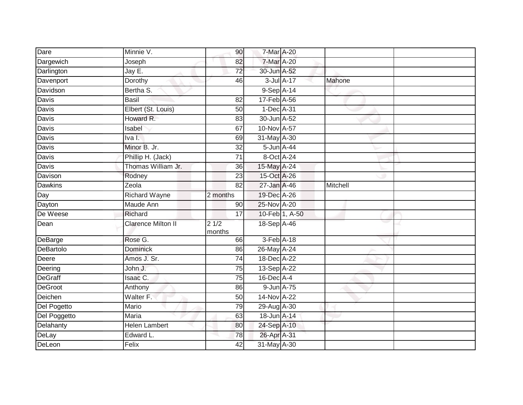| Dare           | Minnie V.                 | 90              | 7-Mar A-20  |                |          |  |
|----------------|---------------------------|-----------------|-------------|----------------|----------|--|
| Dargewich      | Joseph                    | 82              | 7-Mar A-20  |                |          |  |
| Darlington     | Jay E.                    | 72              | 30-Jun A-52 |                |          |  |
| Davenport      | Dorothy                   | 46              |             | 3-Jul A-17     | Mahone   |  |
| Davidson       | Bertha S.                 |                 | 9-Sep A-14  |                |          |  |
| <b>Davis</b>   | <b>Basil</b>              | $\overline{82}$ | 17-Feb A-56 |                |          |  |
| Davis          | Elbert (St. Louis)        | 50              | 1-Dec A-31  |                |          |  |
| Davis          | Howard R.                 | 83              | 30-Jun A-52 |                |          |  |
| Davis          | Isabel                    | 67              | 10-Nov A-57 |                |          |  |
| <b>Davis</b>   | Iva I.                    | 69              | 31-May A-30 |                |          |  |
| <b>Davis</b>   | Minor B. Jr.              | $\overline{32}$ | 5-Jun A-44  |                |          |  |
| Davis          | Phillip H. (Jack)         | 71              | 8-Oct A-24  |                |          |  |
| Davis          | Thomas William Jr.        | 36              | 15-May A-24 |                |          |  |
| Davison        | Rodney                    | 23              | 15-Oct A-26 |                |          |  |
| <b>Dawkins</b> | Zeola                     | $\overline{82}$ | 27-Jan A-46 |                | Mitchell |  |
| Day            | <b>Richard Wayne</b>      | 2 months        | 19-Dec A-26 |                |          |  |
| Dayton         | Maude Ann                 | 90              | 25-Nov A-20 |                |          |  |
| De Weese       | Richard                   | 17              |             | 10-Feb 1, A-50 |          |  |
| Dean           | <b>Clarence Milton II</b> | 21/2<br>months  | 18-Sep A-46 |                |          |  |
| DeBarge        | Rose G.                   | 66              | 3-Feb A-18  |                |          |  |
| DeBartolo      | <b>Dominick</b>           | 86              | 26-May A-24 |                |          |  |
| Deere          | Amos J. Sr.               | 74              | 18-Dec A-22 |                |          |  |
| Deering        | John J.                   | 75              | 13-Sep A-22 |                |          |  |
| <b>DeGraff</b> | Isaac C.                  | 75              | 16-Dec A-4  |                |          |  |
| DeGroot        | Anthony                   | 86              | 9-Jun A-75  |                |          |  |
| Deichen        | Walter F.                 | 50              | 14-Nov A-22 |                |          |  |
| Del Pogetto    | Mario                     | 79              | 29-Aug A-30 |                |          |  |
| Del Poggetto   | Maria                     | 63              | 18-Jun A-14 |                |          |  |
| Delahanty      | <b>Helen Lambert</b>      | 80              | 24-Sep A-10 |                |          |  |
| DeLay          | Edward L.                 | 78              | 26-Apr A-31 |                |          |  |
| DeLeon         | Felix                     | 42              | 31-May A-30 |                |          |  |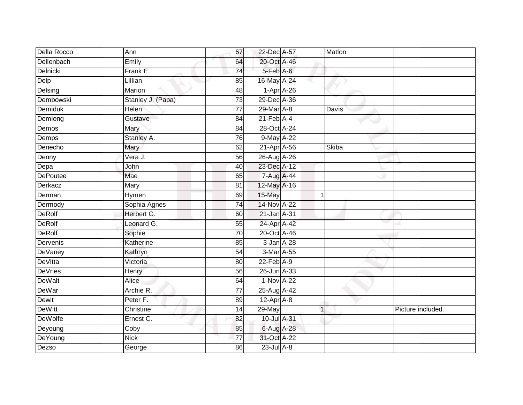| Della Rocco     | Ann               | 67              | 22-Dec A-57                | Matlon      |                   |
|-----------------|-------------------|-----------------|----------------------------|-------------|-------------------|
| Dellenbach      | Emily             | 64              | 20-Oct A-46                |             |                   |
| Delnicki        | Frank E.          | $\overline{74}$ | 5-Feb A-6                  |             |                   |
| Delp            | Lillian           | 85              | 16-May A-24                |             |                   |
| Delsing         | Marion            | 48              | $1-Apr$ A-26               |             |                   |
| Dembowski       | Stanley J. (Papa) | 73              | 29-Dec A-36                |             |                   |
| Demiduk         | Helen             | 77              | 29-Mar A-8                 | Davis       |                   |
| Demlong         | Gustave           | 84              | $21$ -Feb $\overline{A-4}$ |             |                   |
| Demos           | Mary              | 84              | 28-Oct A-24                |             |                   |
| Demps           | Stanley A.        | $\overline{76}$ | 9-May A-22                 |             |                   |
| Denecho         | Mary              | 62              | 21-Apr A-56                | Skiba       |                   |
| Denny           | Vera J.           | 56              | 26-Aug A-26                |             |                   |
| Depa            | John              | 40              | 23-Dec A-12                |             |                   |
| <b>DePoutee</b> | Mae               | 65              | 7-Aug A-44                 |             |                   |
| Derkacz         | Mary              | 81              | 12-May A-16                |             |                   |
| Derman          | Hymen             | 69              | 15-May                     | -1          |                   |
| Dermody         | Sophia Agnes      | 74              | 14-Nov A-22                |             |                   |
| <b>DeRolf</b>   | Herbert G.        | 60              | 21-Jan A-31                |             |                   |
| DeRolf          | Leonard G.        | 55              | 24-Apr A-42                |             |                   |
| <b>DeRolf</b>   | Sophie            | 70              | 20-Oct A-46                |             |                   |
| Dervenis        | Katherine         | 85              | $3$ -Jan $A-28$            |             |                   |
| <b>DeVaney</b>  | Kathryn           | 54              | 3-Mar A-55                 |             |                   |
| <b>DeVitta</b>  | Victoria          | 80              | $22-FebA-9$                |             |                   |
| <b>DeVries</b>  | Henry             | 56              | 26-Jun A-33                |             |                   |
| <b>DeWalt</b>   | Alice             | 64              | 1-Nov A-22                 |             |                   |
| <b>DeWar</b>    | Archie R.         | 77              | 25-Aug A-42                |             |                   |
| Dewit           | Peter F.          | 89              | $12-Apr$ A-8               |             |                   |
| <b>DeWitt</b>   | Christine         | 14              | 29-May                     | $\mathbf 1$ | Picture included. |
| <b>DeWolfe</b>  | Ernest C.         | 82              | 10-Jul A-31                |             |                   |
| Deyoung         | Coby              | 85              | 6-Aug A-28                 |             |                   |
| DeYoung         | <b>Nick</b>       | $\overline{77}$ | 31-Oct A-22                |             |                   |
| Dezso           | George            | 86              | $23$ -Jul $A-8$            |             |                   |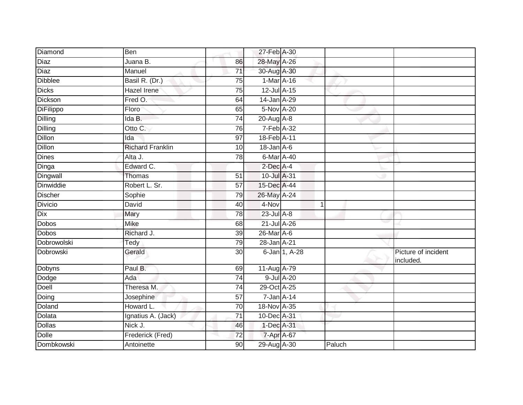| Diamond        | Ben                     |                 | 27-Feb A-30      |               |             |                                  |
|----------------|-------------------------|-----------------|------------------|---------------|-------------|----------------------------------|
| <b>Diaz</b>    | Juana B.                | 86              | 28-May A-26      |               |             |                                  |
| Diaz           | Manuel                  | $\overline{71}$ | 30-Aug A-30      |               |             |                                  |
| <b>Dibblee</b> | Basil R. (Dr.)          | 75              | 1-Mar A-16       |               |             |                                  |
| <b>Dicks</b>   | <b>Hazel Irene</b>      | $\overline{75}$ | $12$ -Jul $A-15$ |               |             |                                  |
| Dickson        | Fred O.                 | 64              | 14-Jan A-29      |               |             |                                  |
| DiFilippo      | Floro                   | 65              | 5-Nov A-20       |               |             |                                  |
| Dilling        | Ida B.                  | 74              | 20-Aug A-8       |               |             |                                  |
| <b>Dilling</b> | Otto C.                 | 76              | 7-Feb A-32       |               |             |                                  |
| <b>Dillon</b>  | Ida                     | 97              | 18-Feb A-11      |               |             |                                  |
| <b>Dillon</b>  | <b>Richard Franklin</b> | 10              | $18$ -Jan $A$ -6 |               |             |                                  |
| <b>Dines</b>   | Alta J.                 | 78              | 6-Mar A-40       |               |             |                                  |
| Dinga          | Edward C.               |                 | 2-Dec A-4        |               |             |                                  |
| Dingwall       | Thomas                  | 51              | 10-Jul A-31      |               |             |                                  |
| Dinwiddie      | Robert L. Sr.           | $\overline{57}$ | 15-Dec A-44      |               |             |                                  |
| <b>Discher</b> | Sophie                  | 79              | 26-May A-24      |               |             |                                  |
| <b>Divicio</b> | David                   | 40              | 4-Nov            |               | $\mathbf 1$ |                                  |
| <b>Dix</b>     | Mary                    | 78              | 23-Jul A-8       |               |             |                                  |
| <b>Dobos</b>   | Mike                    | 68              | 21-Jul A-26      |               |             |                                  |
| <b>Dobos</b>   | Richard J.              | 39              | 26-Mar A-6       |               |             |                                  |
| Dobrowolski    | Tedy                    | 79              | 28-Jan A-21      |               |             |                                  |
| Dobrowski      | Gerald                  | 30              |                  | 6-Jan 1, A-28 |             | Picture of incident<br>included. |
| Dobyns         | Paul B.                 | 69              | 11-Aug A-79      |               |             |                                  |
| Dodge          | Ada                     | 74              | 9-Jul A-20       |               |             |                                  |
| Doell          | Theresa M.              | $\overline{74}$ | 29-Oct A-25      |               |             |                                  |
| Doing          | Josephine               | 57              | $7 - Jan A - 14$ |               |             |                                  |
| Doland         | Howard L.               | $\overline{70}$ | 18-Nov A-35      |               |             |                                  |
| Dolata         | Ignatius A. (Jack)      | 71              | 10-Dec A-31      |               |             |                                  |
| <b>Dollas</b>  | Nick J.                 | 46              | 1-Dec A-31       |               |             |                                  |
| Dolle          | Frederick (Fred)        | 72              | 7-Apr A-67       |               |             |                                  |
| Dombkowski     | Antoinette              | 90              | 29-Aug A-30      |               | Paluch      |                                  |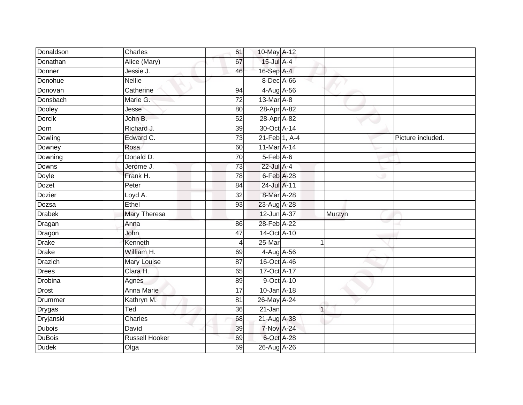| Charles               | 61              |        |             |                                                                                                                                                                                                                                                                                                                                                                                                                                                                |                   |
|-----------------------|-----------------|--------|-------------|----------------------------------------------------------------------------------------------------------------------------------------------------------------------------------------------------------------------------------------------------------------------------------------------------------------------------------------------------------------------------------------------------------------------------------------------------------------|-------------------|
| Alice (Mary)          | 67              |        |             |                                                                                                                                                                                                                                                                                                                                                                                                                                                                |                   |
| Jessie J.             | 46              |        |             |                                                                                                                                                                                                                                                                                                                                                                                                                                                                |                   |
| <b>Nellie</b>         |                 |        |             |                                                                                                                                                                                                                                                                                                                                                                                                                                                                |                   |
| Catherine             | 94              |        |             |                                                                                                                                                                                                                                                                                                                                                                                                                                                                |                   |
| Marie G.              | 72              |        |             |                                                                                                                                                                                                                                                                                                                                                                                                                                                                |                   |
| Jesse                 | 80              |        |             |                                                                                                                                                                                                                                                                                                                                                                                                                                                                |                   |
| John B.               | 52              |        |             |                                                                                                                                                                                                                                                                                                                                                                                                                                                                |                   |
| Richard J.            | 39              |        |             |                                                                                                                                                                                                                                                                                                                                                                                                                                                                |                   |
| Edward C.             | $\overline{73}$ |        |             |                                                                                                                                                                                                                                                                                                                                                                                                                                                                | Picture included. |
| Rosa                  | 60              |        |             |                                                                                                                                                                                                                                                                                                                                                                                                                                                                |                   |
| Donald D.             | $\overline{70}$ |        |             |                                                                                                                                                                                                                                                                                                                                                                                                                                                                |                   |
| Jerome J.             | 73              |        |             |                                                                                                                                                                                                                                                                                                                                                                                                                                                                |                   |
| Frank H.              | 78              |        |             |                                                                                                                                                                                                                                                                                                                                                                                                                                                                |                   |
| Peter                 | 84              |        |             |                                                                                                                                                                                                                                                                                                                                                                                                                                                                |                   |
| Loyd A.               | 32              |        |             |                                                                                                                                                                                                                                                                                                                                                                                                                                                                |                   |
| Ethel                 | 93              |        |             |                                                                                                                                                                                                                                                                                                                                                                                                                                                                |                   |
| Mary Theresa          |                 |        |             |                                                                                                                                                                                                                                                                                                                                                                                                                                                                |                   |
| Anna                  | 86              |        |             |                                                                                                                                                                                                                                                                                                                                                                                                                                                                |                   |
| <b>John</b>           | 47              |        |             |                                                                                                                                                                                                                                                                                                                                                                                                                                                                |                   |
| Kenneth               | 4               | 25-Mar | 1           |                                                                                                                                                                                                                                                                                                                                                                                                                                                                |                   |
| William H.            | 69              |        |             |                                                                                                                                                                                                                                                                                                                                                                                                                                                                |                   |
| Mary Louise           | 87              |        |             |                                                                                                                                                                                                                                                                                                                                                                                                                                                                |                   |
| Clara H.              | 65              |        |             |                                                                                                                                                                                                                                                                                                                                                                                                                                                                |                   |
| Agnes                 | 89              |        |             |                                                                                                                                                                                                                                                                                                                                                                                                                                                                |                   |
| <b>Anna Marie</b>     | 17              |        |             |                                                                                                                                                                                                                                                                                                                                                                                                                                                                |                   |
| Kathryn M.            | 81              |        |             |                                                                                                                                                                                                                                                                                                                                                                                                                                                                |                   |
| Ted                   | 36              | 21-Jan | $\mathbf 1$ |                                                                                                                                                                                                                                                                                                                                                                                                                                                                |                   |
| Charles               | 68              |        |             |                                                                                                                                                                                                                                                                                                                                                                                                                                                                |                   |
| David                 | 39              |        |             |                                                                                                                                                                                                                                                                                                                                                                                                                                                                |                   |
| <b>Russell Hooker</b> | 69              |        |             |                                                                                                                                                                                                                                                                                                                                                                                                                                                                |                   |
| Olga                  | 59              |        |             |                                                                                                                                                                                                                                                                                                                                                                                                                                                                |                   |
|                       |                 |        |             | 10-May A-12<br>$15$ -Jul $A-4$<br>16-Sep A-4<br>8-Dec A-66<br>4-Aug A-56<br>13-Mar A-8<br>28-Apr A-82<br>28-Apr A-82<br>30-Oct A-14<br>21-Feb 1, A-4<br>11-Mar A-14<br>5-Feb A-6<br>22-Jul A-4<br>6-Feb A-28<br>24-Jul A-11<br>8-Mar A-28<br>23-Aug A-28<br>12-Jun A-37<br>28-Feb A-22<br>14-Oct A-10<br>4-Aug A-56<br>16-Oct A-46<br>17-Oct A-17<br>9-Oct A-10<br>10-Jan A-18<br>26-May A-24<br>21-Aug A-38<br><b>7-Nov A-24</b><br>6-Oct A-28<br>26-Aug A-26 | Murzyn            |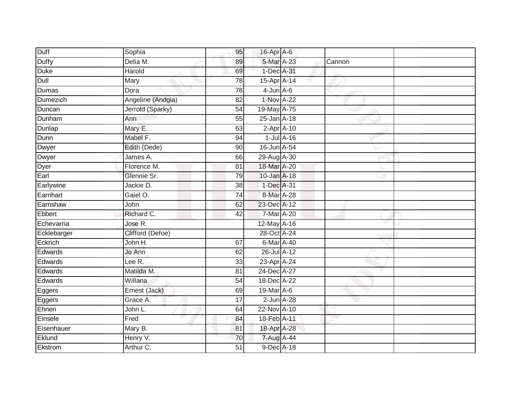| Duff        | Sophia                 | 95              | 16-Apr A-6      |        |  |
|-------------|------------------------|-----------------|-----------------|--------|--|
| Duffy       | Delia M.               | 89              | 5-Mar A-23      | Cannon |  |
| <b>Duke</b> | Harold                 | 69              | 1-Dec A-31      |        |  |
| Dull        | Mary                   | 78              | 15-Apr A-14     |        |  |
| Dumas       | Dora                   | 78              | $4$ -Jun $A$ -6 |        |  |
| Dumezich    | Angeline (Andgia)      | 82              | 1-Nov A-22      |        |  |
| Duncan      | Jerrold (Sparky)       | 54              | 19-May A-75     |        |  |
| Dunham      | Ann                    | 55              | 25-Jan A-18     |        |  |
| Dunlap      | Mary E.                | 63              | $2-Apr$ A-10    |        |  |
| Dunn        | Mabel F.               | 94              | $1$ -Jul $A-16$ |        |  |
| Dwyer       | Edith (Dede)           | 90              | 16-Jun A-54     |        |  |
| Dwyer       | James $\overline{A}$ . | 66              | 29-Aug A-30     |        |  |
| Dyer        | Florence M.            | 81              | 18-Mar A-20     |        |  |
| Earl        | Glennie Sr.            | 79              | 10-Jan A-18     |        |  |
| Earlywine   | Jackie D.              | $\overline{38}$ | 1-Dec A-31      |        |  |
| Earnhart    | Gaiel O.               | 74              | 8-Mar A-28      |        |  |
| Earnshaw    | John                   | 62              | 23-Dec A-12     |        |  |
| Ebbert      | Richard C.             | 42              | 7-Mar A-20      |        |  |
| Echevarria  | Jose R.                |                 | 12-May A-16     |        |  |
| Ecklebarger | Clifford (Defoe)       |                 | 28-Oct A-24     |        |  |
| Eckrich     | John H.                | 67              | 6-Mar A-40      |        |  |
| Edwards     | Jo Ann                 | 62              | 26-Jul A-12     |        |  |
| Edwards     | Lee R.                 | 33              | 23-Apr A-24     |        |  |
| Edwards     | Matilda M.             | 81              | 24-Dec A-27     |        |  |
| Edwards     | Willana                | 54              | 18-Dec A-22     |        |  |
| Eggers      | Ernest (Jack)          | 69              | 19-Mar A-6      |        |  |
| Eggers      | Grace A.               | $\overline{17}$ | $2$ -Jun $A-28$ |        |  |
| Ehnen       | John L.                | 64              | 22-Nov A-10     |        |  |
| Einsele     | Fred                   | 84              | 18-Feb A-11     |        |  |
| Eisenhauer  | Mary B.                | 81              | 18-Apr A-28     |        |  |
| Eklund      | Henry V.               | 70              | 7-Aug A-44      |        |  |
| Ekstrom     | Arthur C.              | $\overline{51}$ | 9-Dec A-18      |        |  |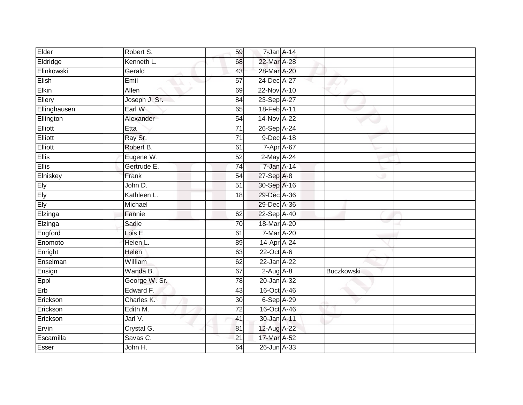| Elder            | Robert S.     | 59              | 7-Jan A-14             |            |
|------------------|---------------|-----------------|------------------------|------------|
| Eldridge         | Kenneth L.    | 68              | 22-Mar A-28            |            |
| Elinkowski       | Gerald        | 43              | 28-Mar A-20            |            |
| Elish            | Emil          | 57              | 24-Dec A-27            |            |
| Elkin            | Allen         | 69              | 22-Nov A-10            |            |
| Ellery           | Joseph J. Sr. | 84              | 23-Sep A-27            |            |
| Ellinghausen     | Earl W.       | 65              | 18-Feb <sup>A-11</sup> |            |
| <b>Ellington</b> | Alexander     | 54              | 14-Nov A-22            |            |
| Elliott          | Etta          | 71              | 26-Sep A-24            |            |
| Elliott          | Ray Sr.       | $\overline{71}$ | 9-Dec A-18             |            |
| Elliott          | Robert B.     | 61              | 7-Apr A-67             |            |
| <b>Ellis</b>     | Eugene W.     | $\overline{52}$ | $2$ -May $A-24$        |            |
| Ellis            | Gertrude E.   | 74              | 7-Jan A-14             |            |
| Elniskey         | Frank         | 54              | 27-Sep A-8             |            |
| Ely<br>Ely       | John D.       | 51              | 30-Sep A-16            |            |
|                  | Kathleen L.   | 18              | 29-Dec A-36            |            |
| Ely              | Michael       |                 | 29-Dec A-36            |            |
| Elzinga          | Fannie        | 62              | 22-Sep A-40            |            |
| Elzinga          | Sadie         | 70              | 18-Mar A-20            |            |
| Engford          | Lois E.       | 61              | 7-Mar A-20             |            |
| Enomoto          | Helen L.      | 89              | 14-Apr A-24            |            |
| Enright          | Helen         | 63              | 22-Oct A-6             |            |
| Enselman         | William       | 62              | 22-Jan A-22            |            |
| Ensign           | Wanda B.      | 67              | $2-Aug$ $A-8$          | Buczkowski |
| Eppl             | George W. Sr. | $\overline{78}$ | 20-Jan A-32            |            |
| Erb              | Edward F.     | 43              | 16-Oct A-46            |            |
| Erickson         | Charles K.    | 30              | 6-Sep A-29             |            |
| Erickson         | Edith M.      | 72              | 16-Oct A-46            |            |
| Erickson         | Jarl V.       | 41              | 30-Jan A-11            |            |
| Ervin            | Crystal G.    | 81              | 12-Aug A-22            |            |
| Escamilla        | Savas C.      | 21              | 17-Mar A-52            |            |
| Esser            | John H.       | 64              | 26-Jun A-33            |            |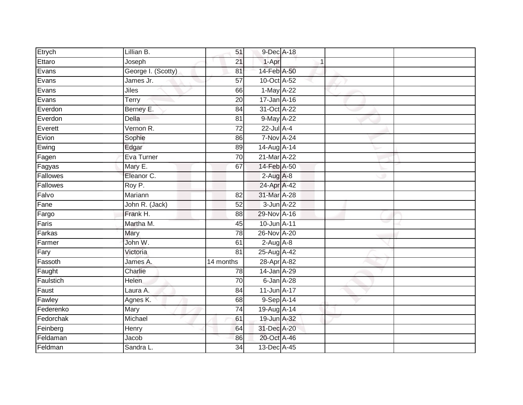| Etrych    | Lillian B.         | 51              | 9-Dec A-18        |  |  |
|-----------|--------------------|-----------------|-------------------|--|--|
| Ettaro    | Joseph             | 21              | 1-Apr             |  |  |
| Evans     | George I. (Scotty) | 81              | 14-Feb A-50       |  |  |
| Evans     | James Jr.          | 57              | 10-Oct A-52       |  |  |
| Evans     | <b>Jiles</b>       | 66              | 1-May A-22        |  |  |
| Evans     | Terry              | 20              | 17-Jan A-16       |  |  |
| Everdon   | Berney E.          | 84              | 31-Oct A-22       |  |  |
| Everdon   | Della              | 81              | 9-May A-22        |  |  |
| Everett   | Vernon R.          | 72              | 22-Jul A-4        |  |  |
| Evion     | Sophie             | 86              | <b>7-Nov A-24</b> |  |  |
| Ewing     | Edgar              | 89              | 14-Aug A-14       |  |  |
| Fagen     | Eva Turner         | 70              | 21-Mar A-22       |  |  |
| Fagyas    | Mary E.            | 67              | 14-Feb A-50       |  |  |
| Fallowes  | Eleanor C.         |                 | $2-Aug$ A-8       |  |  |
| Fallowes  | Roy P.             |                 | 24-Apr A-42       |  |  |
| Falvo     | Mariann            | 82              | 31-Mar A-28       |  |  |
| Fane      | John R. (Jack)     | 52              | $3$ -Jun $A-22$   |  |  |
| Fargo     | Frank H.           | 88              | 29-Nov A-16       |  |  |
| Faris     | Martha M.          | 45              | 10-Jun A-11       |  |  |
| Farkas    | <b>Mary</b>        | 78              | 26-Nov A-20       |  |  |
| Farmer    | John W.            | 61              | $2$ -Aug $A - 8$  |  |  |
| Fary      | Victoria           | $\overline{81}$ | 25-Aug A-42       |  |  |
| Fassoth   | James A.           | 14 months       | 28-Apr A-82       |  |  |
| Faught    | Charlie            | 78              | 14-Jan A-29       |  |  |
| Faulstich | <b>Helen</b>       | 70              | $6$ -Jan $A$ -28  |  |  |
| Faust     | Laura A.           | 84              | $11$ -Jun $A-17$  |  |  |
| Fawley    | Agnes K.           | 68              | 9-Sep A-14        |  |  |
| Federenko | Mary               | 74              | 19-Aug A-14       |  |  |
| Fedorchak | Michael            | 61              | 19-Jun A-32       |  |  |
| Feinberg  | Henry              | 64              | 31-Dec A-20       |  |  |
| Feldaman  | Jacob              | 86              | 20-Oct A-46       |  |  |
| Feldman   | Sandra L.          | $\overline{34}$ | 13-Dec A-45       |  |  |
|           |                    |                 |                   |  |  |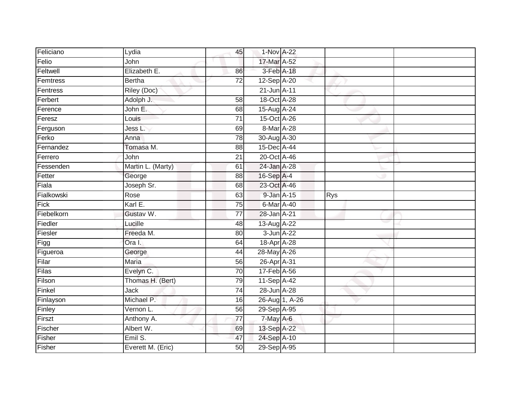| Feliciano  | Lydia              | 45              | 1-Nov A-22     |                |     |  |
|------------|--------------------|-----------------|----------------|----------------|-----|--|
| Felio      | John               |                 | 17-Mar A-52    |                |     |  |
| Feltwell   | Elizabeth E.       | 86              | 3-Feb A-18     |                |     |  |
| Femtress   | <b>Bertha</b>      | 72              | 12-Sep A-20    |                |     |  |
| Fentress   | <b>Riley (Doc)</b> |                 | 21-Jun A-11    |                |     |  |
| Ferbert    | Adolph J.          | 58              | 18-Oct A-28    |                |     |  |
| Ference    | John E.            | 68              | 15-Aug A-24    |                |     |  |
| Feresz     | Louis              | $\overline{71}$ | 15-Oct A-26    |                |     |  |
| Ferguson   | Jess L.            | 69              | 8-Mar A-28     |                |     |  |
| Ferko      | Anna               | 78              | 30-Aug A-30    |                |     |  |
| Fernandez  | Tomasa M.          | 88              | 15-Dec A-44    |                |     |  |
| Ferrero    | John               | $\overline{21}$ | 20-Oct A-46    |                |     |  |
| Fessenden  | Martin L. (Marty)  | 61              | 24-Jan A-28    |                |     |  |
| Fetter     | George             | 88              | 16-Sep A-4     |                |     |  |
| Fiala      | Joseph Sr.         | 68              | 23-Oct A-46    |                |     |  |
| Fialkowski | Rose               | 63              | 9-Jan A-15     |                | Rys |  |
| Fick       | Karl E.            | $\overline{75}$ | 6-Mar A-40     |                |     |  |
| Fiebelkorn | Gustav W.          | 77              | 28-Jan A-21    |                |     |  |
| Fiedler    | Lucille            | 48              | 13-Aug A-22    |                |     |  |
| Fiesler    | Freeda M.          | 80              | $3 - Jun A-22$ |                |     |  |
| Figg       | Ora I.             | 64              | 18-Apr A-28    |                |     |  |
| Figueroa   | George             | 44              | 28-May A-26    |                |     |  |
| Filar      | <b>Maria</b>       | 56              | 26-Apr A-31    |                |     |  |
| Filas      | Evelyn C.          | 70              | 17-Feb A-56    |                |     |  |
| Filson     | Thomas H. (Bert)   | 79              | 11-Sep A-42    |                |     |  |
| Finkel     | <b>Jack</b>        | $\overline{74}$ | 28-Jun A-28    |                |     |  |
| Finlayson  | Michael P.         | 16              |                | 26-Aug 1, A-26 |     |  |
| Finley     | Vernon L.          | 56              | 29-Sep A-95    |                |     |  |
| Firszt     | Anthony A.         | $\overline{77}$ | 7-May A-6      |                |     |  |
| Fischer    | Albert W.          | 69              | 13-Sep A-22    |                |     |  |
| Fisher     | Emil S.            | 47              | 24-Sep A-10    |                |     |  |
| Fisher     | Everett M. (Eric)  | 50              | 29-Sep A-95    |                |     |  |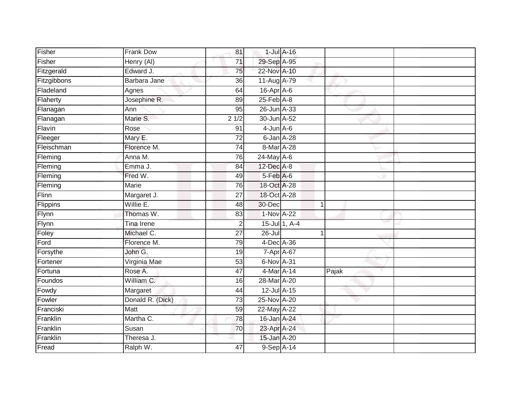| Fisher      | Frank Dow         | 81              |                  | $1$ -Jul $A$ -16 |       |  |
|-------------|-------------------|-----------------|------------------|------------------|-------|--|
| Fisher      | Henry (AI)        | 71              | 29-Sep A-95      |                  |       |  |
| Fitzgerald  | Edward J.         | 75              | 22-Nov A-10      |                  |       |  |
| Fitzgibbons | Barbara Jane      | 36              | 11-Aug A-79      |                  |       |  |
| Fladeland   | Agnes             | 64              | 16-Apr A-6       |                  |       |  |
| Flaherty    | Josephine R.      | 89              | $25$ -Feb $A$ -8 |                  |       |  |
| Flanagan    | Ann               | 95              | 26-Jun A-33      |                  |       |  |
| Flanagan    | Marie S.          | 21/2            | 30-Jun A-52      |                  |       |  |
| Flavin      | Rose              | 91              | $4$ -Jun $A$ -6  |                  |       |  |
| Fleeger     | Mary E.           | $\overline{72}$ | 6-Jan A-28       |                  |       |  |
| Fleischman  | Florence M.       | 74              | 8-Mar A-28       |                  |       |  |
| Fleming     | Anna M.           | 76              | 24-May A-6       |                  |       |  |
| Fleming     | Emma J.           | 84              | 12-Dec A-8       |                  |       |  |
| Fleming     | Fred W.           | 49              | $5-Feb$ $A-6$    |                  |       |  |
| Fleming     | <b>Marie</b>      | 76              | 18-Oct A-28      |                  |       |  |
| Flinn       | Margaret J.       | 27              | 18-Oct A-28      |                  |       |  |
| Flippins    | Willie E.         | 48              | 30-Dec           | $\mathbf{1}$     |       |  |
| Flynn       | Thomas W.         | 83              | 1-Nov A-22       |                  |       |  |
| Flynn       | <b>Tina Irene</b> | $\overline{2}$  |                  | 15-Jul 1, A-4    |       |  |
| Foley       | Michael C.        | 27              | $26 -$ Jul       |                  |       |  |
| Ford        | Florence M.       | 79              | 4-Dec A-36       |                  |       |  |
| Forsythe    | John G.           | 19              | 7-Apr A-67       |                  |       |  |
| Fortener    | Virginia Mae      | 53              | 6-Nov A-31       |                  |       |  |
| Fortuna     | Rose A.           | 47              | 4-Mar A-14       |                  | Pajak |  |
| Foundos     | William C.        | 16              | 28-Mar A-20      |                  |       |  |
| Fowdy       | Margaret          | 44              | 12-Jul A-15      |                  |       |  |
| Fowler      | Donald R. (Dick)  | 73              | 25-Nov A-20      |                  |       |  |
| Franciski   | Matt              | 59              | 22-May A-22      |                  |       |  |
| Franklin    | Martha C.         | 78              | $16$ -Jan $A-24$ |                  |       |  |
| Franklin    | Susan             | 70              | 23-Apr A-24      |                  |       |  |
| Franklin    | Theresa J.        |                 | 15-Jan A-20      |                  |       |  |
| Fread       | Ralph W.          | 47              | 9-Sep A-14       |                  |       |  |
|             |                   |                 |                  |                  |       |  |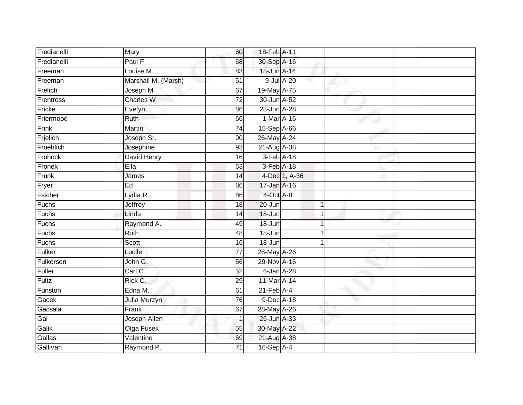| Fredianelli  | Mary                | 60              | 18-Feb A-11                |               |  |
|--------------|---------------------|-----------------|----------------------------|---------------|--|
| Fredianelli  | Paul F.             | 68              | 30-Sep A-16                |               |  |
| Freeman      | Louise M.           | 83              | 18-Jun A-14                |               |  |
| Freeman      | Marshall M. (Marsh) | 51              | 9-Jul A-20                 |               |  |
| Frelich      | Joseph M.           | 67              | 19-May A-75                |               |  |
| Frentress    | Charles W.          | $\overline{72}$ | 30-Jun A-52                |               |  |
| Fricke       | Evelyn              | 86              | 28-Jun A-28                |               |  |
| Friermood    | Ruth                | 66              | 1-Mar A-16                 |               |  |
| $F$ rink     | <b>Martin</b>       | 74              | 15-Sep A-66                |               |  |
| Frjelich     | Joseph Sr.          | 90              | 26-May A-24                |               |  |
| Froehlich    | Josephine           | 93              | 21-Aug A-38                |               |  |
| Frohock      | David Henry         | 16              | 3-Feb A-18                 |               |  |
| Fronek       | Ella                | 63              | 3-Feb A-18                 |               |  |
| Frunk        | James               | 14              |                            | 4-Dec 1, A-36 |  |
| Fryer        | Ed                  | 86              | 17-Jan A-16                |               |  |
| Fsicher      | Lydia R.            | 86              | 4-Oct A-8                  |               |  |
| Fuchs        | Jeffrey             | $\overline{18}$ | $20 - Jun$                 | $\mathbf{1}$  |  |
| Fuchs        | Linda               | 14              | 18-Jun                     | 1             |  |
| Fuchs        | Raymond A.          | 49              | 18-Jun                     |               |  |
| <b>Fuchs</b> | Ruth                | 48              | $18 - Jun$                 |               |  |
| Fuchs        | Scott               | 16              | $18 - Jun$                 | 1             |  |
| Fulker       | Lucile              | $\overline{77}$ | 28-May A-26                |               |  |
| Fulkerson    | John G.             | 56              | 29-Nov A-16                |               |  |
| Fuller       | Carl C.             | 52              | 6-Jan A-28                 |               |  |
| Fultz        | Rick C.             | 29              | 11-Mar A-14                |               |  |
| Funston      | Edna M.             | 61              | $21$ -Feb $\overline{A-4}$ |               |  |
| Gacek        | Julia Murzyn        | 76              | 9-Dec A-18                 |               |  |
| Gacsala      | Frank               | 67              | 28-May A-26                |               |  |
| Gal          | Joseph Allen        | $\mathbf{1}$    | 26-Jun A-33                |               |  |
| Galik        | Olga Fusek          | 55              | 30-May A-22                |               |  |
| Gallas       | Valentine           | 69              | 21-Aug A-38                |               |  |
| Gallivan     | Raymond P.          | $\overline{71}$ | $16-Sep$ A-4               |               |  |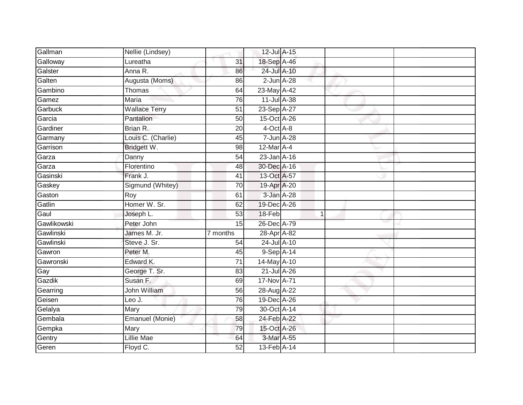| Gallman     | Nellie (Lindsey)     |                 | 12-Jul A-15     |              |  |
|-------------|----------------------|-----------------|-----------------|--------------|--|
| Galloway    | Lureatha             | 31              | 18-Sep A-46     |              |  |
| Galster     | Anna R.              | 86              | 24-Jul A-10     |              |  |
| Galten      | Augusta (Moms)       | 86              | $2$ -Jun $A-28$ |              |  |
| Gambino     | Thomas               | 64              | 23-May A-42     |              |  |
| Gamez       | Maria                | 76              | 11-Jul A-38     |              |  |
| Garbuck     | <b>Wallace Terry</b> | 51              | 23-Sep A-27     |              |  |
| Garcia      | Pantalion            | 50              | 15-Oct A-26     |              |  |
| Gardiner    | Brian R.             | 20              | $4$ -Oct $A$ -8 |              |  |
| Garmany     | Louis C. (Charlie)   | 45              | 7-Jun A-28      |              |  |
| Garrison    | Bridgett W.          | 98              | 12-Mar A-4      |              |  |
| Garza       | Danny                | 54              | 23-Jan A-16     |              |  |
| Garza       | Florentino           | 48              | 30-Dec A-16     |              |  |
| Gasinski    | Frank J.             | 41              | 13-Oct A-57     |              |  |
| Gaskey      | Sigmund (Whitey)     | 70              | 19-Apr A-20     |              |  |
| Gaston      | Roy                  | 61              | 3-Jan A-28      |              |  |
| Gatlin      | Homer W. Sr.         | 62              | 19-Dec A-26     |              |  |
| Gaul        | Joseph L.            | 53              | 18-Feb          | $\mathbf{1}$ |  |
| Gawlikowski | Peter John           | 15              | 26-Dec A-79     |              |  |
| Gawlinski   | James M. Jr.         | 7 months        | 28-Apr A-82     |              |  |
| Gawlinski   | Steve J. Sr.         | 54              | 24-Jul A-10     |              |  |
| Gawron      | Peter M.             | 45              | 9-Sep A-14      |              |  |
| Gawronski   | Edward K.            | 71              | 14-May A-10     |              |  |
| Gay         | George T. Sr.        | 83              | 21-Jul A-26     |              |  |
| Gazdik      | Susan F.             | 69              | 17-Nov A-71     |              |  |
| Gearring    | John William         | 56              | 28-Aug A-22     |              |  |
| Geisen      | Leo J.               | 76              | 19-Dec A-26     |              |  |
| Gelalya     | Mary                 | 79              | 30-Oct A-14     |              |  |
| Gembala     | Emanuel (Monie)      | 58              | 24-Feb A-22     |              |  |
| Gempka      | Mary                 | 79              | 15-Oct A-26     |              |  |
| Gentry      | Lillie Mae           | 64              | 3-Mar A-55      |              |  |
| Geren       | Floyd C.             | $\overline{52}$ | 13-Feb A-14     |              |  |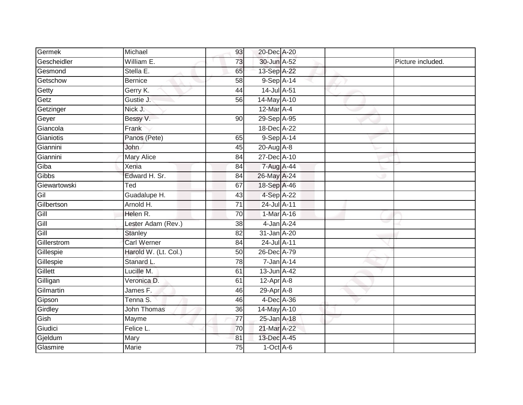| Germek          | Michael              | 93              | 20-Dec A-20                    |  |                   |
|-----------------|----------------------|-----------------|--------------------------------|--|-------------------|
| Gescheidler     | William E.           | 73              | 30-Jun A-52                    |  | Picture included. |
| Gesmond         | Stella E.            | 65              | 13-Sep A-22                    |  |                   |
| Getschow        | <b>Bernice</b>       | 58              | $9-Sep$ A-14                   |  |                   |
| Getty           | Gerry K.             | 44              | 14-Jul A-51                    |  |                   |
| Getz            | Gustie J.            | 56              | 14-May A-10                    |  |                   |
| Getzinger       | Nick J.              |                 | 12-Mar A-4                     |  |                   |
| Geyer           | Bessy V.             | 90              | 29-Sep A-95                    |  |                   |
| Giancola        | Frank                |                 | 18-Dec A-22                    |  |                   |
| Gianiotis       | Panos (Pete)         | 65              | 9-Sep A-14                     |  |                   |
| Giannini        | <b>John</b>          | 45              | $20-Aug$ A-8                   |  |                   |
| Giannini        | <b>Mary Alice</b>    | 84              | 27-Dec A-10                    |  |                   |
| Giba            | Xenia                | 84              | 7-Aug A-44                     |  |                   |
| Gibbs           | Edward H. Sr.        | 84              | 26-May A-24                    |  |                   |
| Giewartowski    | Ted                  | 67              | 18-Sep A-46                    |  |                   |
| Gil             | Guadalupe H.         | 43              | 4-Sep A-22                     |  |                   |
| Gilbertson      | Arnold H.            | $\overline{71}$ | 24-Jul A-11                    |  |                   |
| Gill            | Helen R.             | 70              | 1-Mar A-16                     |  |                   |
| $rac{sin}{sin}$ | Lester Adam (Rev.)   | 38              | 4-Jan A-24                     |  |                   |
| Gill            | <b>Stanley</b>       | $\overline{82}$ | 31-Jan A-20                    |  |                   |
| Gillerstrom     | <b>Carl Werner</b>   | 84              | 24-Jul A-11                    |  |                   |
| Gillespie       | Harold W. (Lt. Col.) | 50              | 26-Dec A-79                    |  |                   |
| Gillespie       | Stanard L.           | 78              | 7-Jan A-14                     |  |                   |
| Gillett         | Lucille M.           | 61              | 13-Jun A-42                    |  |                   |
| Gilligan        | Veronica D.          | 61              | $12-AprA-8$                    |  |                   |
| Gilmartin       | James F.             | 46              | $29 - \overline{Apr \mid A-8}$ |  |                   |
| Gipson          | Tenna S.             | 46              | 4-Dec A-36                     |  |                   |
| Girdley         | John Thomas          | 36              | 14-May A-10                    |  |                   |
| Gish            | Mayme                | 77              | 25-Jan A-18                    |  |                   |
| Giudici         | Felice L.            | 70              | 21-Mar A-22                    |  |                   |
| Gjeldum         | Mary                 | 81              | 13-Dec A-45                    |  |                   |
| Glasmire        | <b>Marie</b>         | $\overline{75}$ | $1-Oct$ A-6                    |  |                   |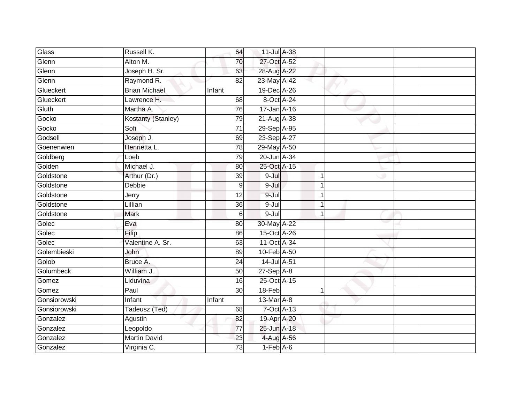| Glass        | Russell K.           | 64              | 11-Jul A-38   |                |  |  |
|--------------|----------------------|-----------------|---------------|----------------|--|--|
| Glenn        | Alton M.             | 70              | 27-Oct A-52   |                |  |  |
| Glenn        | Joseph H. Sr.        | 63              | 28-Aug A-22   |                |  |  |
| Glenn        | Raymond R.           | 82              | 23-May A-42   |                |  |  |
| Glueckert    | <b>Brian Michael</b> | Infant          | 19-Dec A-26   |                |  |  |
| Glueckert    | Lawrence H.          | 68              | 8-Oct A-24    |                |  |  |
| Gluth        | Martha A.            | 76              | 17-Jan A-16   |                |  |  |
| Gocko        | Kostanty (Stanley)   | 79              | 21-Aug A-38   |                |  |  |
| Gocko        | Sofi                 | $\overline{71}$ | 29-Sep A-95   |                |  |  |
| Godsell      | Joseph J.            | 69              | 23-Sep A-27   |                |  |  |
| Goenenwien   | Henrietta L.         | $\overline{78}$ | 29-May A-50   |                |  |  |
| Goldberg     | Loeb                 | 79              | 20-Jun A-34   |                |  |  |
| Golden       | Michael J.           | 80              | 25-Oct A-15   |                |  |  |
| Goldstone    | Arthur (Dr.)         | 39              | $9 -$ Jul     |                |  |  |
| Goldstone    | <b>Debbie</b>        | 9               | 9-Jul         |                |  |  |
| Goldstone    | Jerry                | 12              | 9-Jul         |                |  |  |
| Goldstone    | Lillian              | $\overline{36}$ | $9 -$ Jul     |                |  |  |
| Goldstone    | Mark                 | 6               | $9 -$ Jul     |                |  |  |
| Golec        | Eva                  | 80              | 30-May A-22   |                |  |  |
| Golec        | Filip                | 86              | 15-Oct A-26   |                |  |  |
| Golec        | Valentine A. Sr.     | 63              | 11-Oct A-34   |                |  |  |
| Golembieski  | John                 | 89              | 10-Feb A-50   |                |  |  |
| Golob        | Bruce A.             | 24              | 14-Jul A-51   |                |  |  |
| Golumbeck    | William J.           | 50              | $27-Sep$ A-8  |                |  |  |
| Gomez        | Liduvina             | 16              | 25-Oct A-15   |                |  |  |
| Gomez        | Paul                 | 30              | 18-Feb        |                |  |  |
| Gonsiorowski | Infant               | Infant          | 13-Mar A-8    |                |  |  |
| Gonsiorowski | Tadeusz (Ted)        | 68              |               | $7-Oct$ $A-13$ |  |  |
| Gonzalez     | Agustin              | 82              | 19-Apr A-20   |                |  |  |
| Gonzalez     | Leopoldo             | 77              | 25-Jun A-18   |                |  |  |
| Gonzalez     | <b>Martin David</b>  | 23              | 4-Aug A-56    |                |  |  |
| Gonzalez     | Virginia C.          | 73              | $1-Feb$ $A-6$ |                |  |  |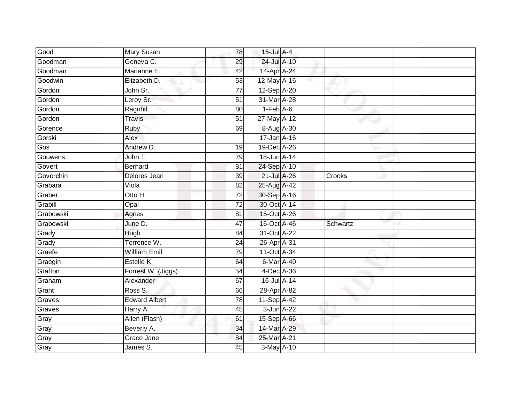| Good      | Mary Susan           | 78              | $15$ -Jul $A-4$ |          |
|-----------|----------------------|-----------------|-----------------|----------|
| Goodman   | Geneva C.            | 29              | 24-Jul A-10     |          |
| Goodman   | Marianne E.          | 42              | 14-Apr A-24     |          |
| Goodwin   | Elizabeth D.         | 53              | 12-May A-16     |          |
| Gordon    | John Sr.             | $\overline{77}$ | 12-Sep A-20     |          |
| Gordon    | Leroy Sr.            | 51              | 31-Mar A-28     |          |
| Gordon    | Ragnhil              | 80              | $1-Feb$ A-6     |          |
| Gordon    | <b>Travis</b>        | 51              | 27-May A-12     |          |
| Gorence   | Ruby                 | 69              | 8-Aug A-30      |          |
| Gorski    | Alex                 |                 | 17-Jan A-16     |          |
| Gos       | Andrew D.            | 19              | 19-Dec A-26     |          |
| Gouwens   | John T.              | 79              | 18-Jun A-14     |          |
| Govert    | <b>Bernard</b>       | 81              | 24-Sep A-10     |          |
| Govorchin | Delores Jean         | 39              | 21-Jul A-26     | Crooks   |
| Grabara   | Viola                | 82              | 25-Aug A-42     |          |
| Graber    | Otto H.              | 72              | 30-Sep A-16     |          |
| Grabill   | Opal                 | $\overline{72}$ | 30-Oct A-14     |          |
| Grabowski | Agnes                | 81              | 15-Oct A-26     |          |
| Grabowski | June D.              | 47              | 16-Oct A-46     | Schwartz |
| Grady     | Hugh                 | 84              | 31-Oct A-22     |          |
| Grady     | Terrence W.          | 24              | 26-Apr A-31     |          |
| Graefe    | <b>William Emil</b>  | 79              | 11-Oct A-34     |          |
| Graegin   | Estelle K.           | 64              | 6-Mar A-40      |          |
| Grafton   | Forrest W. (Jiggs)   | 54              | 4-Dec A-36      |          |
| Graham    | Alexander            | 67              | 16-Jul A-14     |          |
| Grant     | Ross S.              | 66              | 28-Apr A-82     |          |
| Graves    | <b>Edward Albert</b> | 78              | 11-Sep A-42     |          |
| Graves    | Harry A.             | 45              | 3-Jun A-22      |          |
| Gray      | Allen (Flash)        | 61              | 15-Sep A-66     |          |
| Gray      | Beverly A.           | 34              | 14-Mar A-29     |          |
| Gray      | Grace Jane           | 84              | 25-Mar A-21     |          |
| Gray      | James S.             | $\overline{45}$ | 3-May A-10      |          |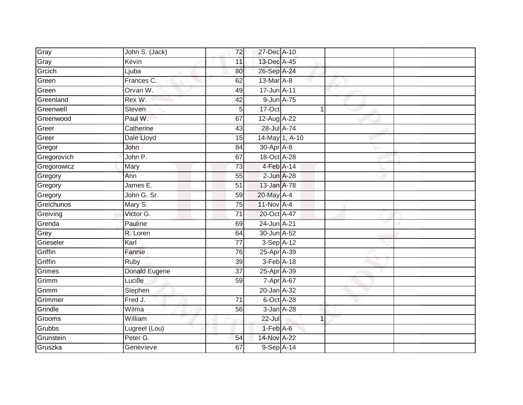| Gray        | John S. (Jack) | 72              | 27-Dec A-10     |                |  |
|-------------|----------------|-----------------|-----------------|----------------|--|
| Gray        | Kevin          | 11              | 13-Dec A-45     |                |  |
| Grcich      | Ljuba          | 80              | 26-Sep A-24     |                |  |
| Green       | Frances C.     | 62              | 13-Mar A-8      |                |  |
| Green       | Orvan W.       | 49              | 17-Jun A-11     |                |  |
| Greenland   | Rex W.         | 42              | 9-Jun A-75      |                |  |
| Greenwell   | Steven         | 5               | 17-Oct          | 1              |  |
| Greenwood   | Paul W.        | 67              | 12-Aug A-22     |                |  |
| Greer       | Catherine      | 43              | 28-Jul A-74     |                |  |
| Greer       | Dale Lloyd     | 15              | 14-May 1, A-10  |                |  |
| Gregor      | John           | 84              | 30-Apr A-8      |                |  |
| Gregorovich | John P.        | 67              | 18-Oct A-28     |                |  |
| Gregorowicz | Mary           | 73              | 4-Feb A-14      |                |  |
| Gregory     | Ann            | 55              | $2$ -Jun $A-28$ |                |  |
| Gregory     | James E.       | 51              | 13-Jan A-78     |                |  |
| Gregory     | John G. Sr.    | 59              | 20-May A-4      |                |  |
| Greichunos  | Mary S.        | $\overline{75}$ | $11-Nov$ A-4    |                |  |
| Greiving    | Victor G.      | $\overline{71}$ | 20-Oct A-47     |                |  |
| Grenda      | Pauline        | 69              | 24-Jun A-21     |                |  |
| Grey        | R. Loren       | 64              | 30-Jun A-52     |                |  |
| Grieseler   | Karl           | $\overline{77}$ | 3-Sep A-12      |                |  |
| Griffin     | Fannie         | 76              | 25-Apr A-39     |                |  |
| Griffin     | Ruby           | 39              | 3-Feb A-18      |                |  |
| Grimes      | Donald Eugene  | 37              | 25-Apr A-39     |                |  |
| Grimm       | Lucille        | 59              | 7-Apr A-67      |                |  |
| Grimm       | Stephen        |                 | 20-Jan A-32     |                |  |
| Grimmer     | Fred J.        | $\overline{71}$ | 6-Oct A-28      |                |  |
| Grindle     | Wilma          | 56              | 3-Jan A-28      |                |  |
| Grooms      | William        |                 | $22 -$ Jul      | $\overline{1}$ |  |
| Grubbs      | Lugreel (Lou)  |                 | $1-FebA-6$      |                |  |
| Grunstein   | Peter G.       | 54              | 14-Nov A-22     |                |  |
| Gruszka     | Genevieve      | 67              | 9-Sep A-14      |                |  |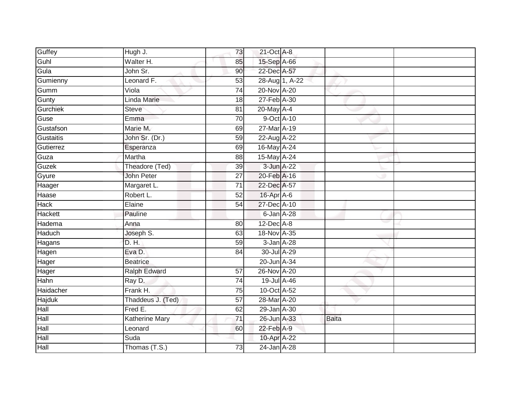| Guffey        | Hugh J.               | 73              | 21-Oct A-8      |                |       |  |
|---------------|-----------------------|-----------------|-----------------|----------------|-------|--|
| Guhl          | Walter H.             | 85              | 15-Sep A-66     |                |       |  |
| Gula          | John Sr.              | 90              | 22-Dec A-57     |                |       |  |
| Gumienny      | Leonard F.            | 53              |                 | 28-Aug 1, A-22 |       |  |
| Gumm          | Viola                 | 74              | 20-Nov A-20     |                |       |  |
| Gunty         | Linda Marie           | 18              | 27-Feb A-30     |                |       |  |
| Gurchiek      | <b>Steve</b>          | 81              | 20-May A-4      |                |       |  |
| Guse          | Emma                  | 70              | 9-Oct A-10      |                |       |  |
| Gustafson     | Marie M.              | 69              | 27-Mar A-19     |                |       |  |
| Gustaitis     | John Sr. (Dr.)        | 59              | 22-Aug A-22     |                |       |  |
| Gutierrez     | Esperanza             | 69              | 16-May A-24     |                |       |  |
| Guza          | Martha                | $\overline{88}$ | 15-May A-24     |                |       |  |
| Guzek         | Theadore (Ted)        | 39              | 3-Jun A-22      |                |       |  |
| Gyure         | John Peter            | $\overline{27}$ | 20-Feb A-16     |                |       |  |
| Haager        | Margaret L.           | $\overline{71}$ | 22-Dec A-57     |                |       |  |
| Haase         | Robert L.             | $\overline{52}$ | 16-Apr A-6      |                |       |  |
| <b>Hack</b>   | Elaine                | 54              | 27-Dec A-10     |                |       |  |
| Hackett       | Pauline               |                 | $6$ -Jan $A-28$ |                |       |  |
| Hadema        | Anna                  | 80              | $12$ -Dec $A-8$ |                |       |  |
| <b>Haduch</b> | Joseph S.             | 63              | 18-Nov A-35     |                |       |  |
| Hagans        | D. H.                 | 59              | 3-Jan A-28      |                |       |  |
| Hagen         | Eva D.                | $\overline{84}$ | 30-Jul A-29     |                |       |  |
| Hager         | <b>Beatrice</b>       |                 | 20-Jun A-34     |                |       |  |
| Hager         | Ralph Edward          | 57              | 26-Nov A-20     |                |       |  |
| Hahn          | Ray D.                | 74              | 19-Jul A-46     |                |       |  |
| Haidacher     | Frank H.              | 75              | 10-Oct A-52     |                |       |  |
| Hajduk        | Thaddeus J. (Ted)     | $\overline{57}$ | 28-Mar A-20     |                |       |  |
| Hall          | Fred E.               | 62              | 29-Jan A-30     |                |       |  |
| Hall          | <b>Katherine Mary</b> | $\overline{71}$ | 26-Jun A-33     |                | Baita |  |
| Hall          | Leonard               | 60              | $22$ -Feb $A-9$ |                |       |  |
| Hall          | Suda                  |                 | 10-Apr A-22     |                |       |  |
| <b>Hall</b>   | Thomas (T.S.)         | 73              | 24-Jan A-28     |                |       |  |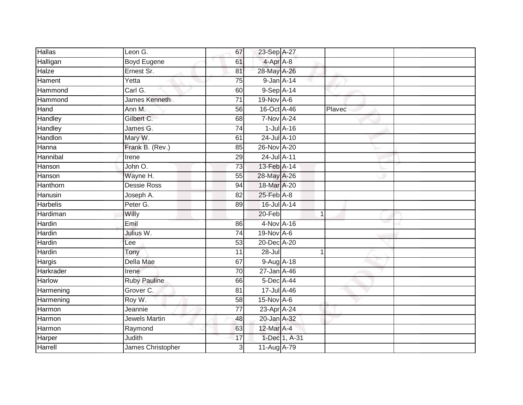| <b>Hallas</b>   | Leon G.             | 67              | 23-Sep A-27         |                  |        |  |
|-----------------|---------------------|-----------------|---------------------|------------------|--------|--|
| Halligan        | <b>Boyd Eugene</b>  | 61              | 4-Apr A-8           |                  |        |  |
| Halze           | Ernest Sr.          | 81              | 28-May A-26         |                  |        |  |
| Hament          | Yetta               | 75              | 9-Jan A-14          |                  |        |  |
| Hammond         | Carl G.             | 60              | 9-Sep A-14          |                  |        |  |
| Hammond         | James Kenneth       | $\overline{71}$ | 19-Nov A-6          |                  |        |  |
| Hand            | Ann M.              | 56              | 16-Oct A-46         |                  | Plavec |  |
| Handley         | Gilbert C.          | 68              | <b>7-Nov A-24</b>   |                  |        |  |
| Handley         | James G.            | 74              |                     | $1$ -Jul $A$ -16 |        |  |
| Handlon         | Mary W.             | 61              | 24-Jul A-10         |                  |        |  |
| Hanna           | Frank B. (Rev.)     | 85              | 26-Nov A-20         |                  |        |  |
| Hannibal        | Irene               | 29              | 24-Jul A-11         |                  |        |  |
| Hanson          | John O.             | 73              | 13-Feb A-14         |                  |        |  |
| Hanson          | Wayne H.            | 55              | 28-May A-26         |                  |        |  |
| Hanthorn        | <b>Dessie Ross</b>  | 94              | 18-Mar A-20         |                  |        |  |
| Hanusin         | Joseph A.           | 82              | $25$ -Feb $A-8$     |                  |        |  |
| <b>Harbelis</b> | Peter G.            | 89              | 16-Jul A-14         |                  |        |  |
| Hardiman        | Willy               |                 | 20-Feb              |                  | 1      |  |
| Hardin          | Emil                | 86              | 4-Nov A-16          |                  |        |  |
| Hardin          | Julius W.           | 74              | 19-Nov A-6          |                  |        |  |
| Hardin          | Lee                 | 53              | 20-Dec A-20         |                  |        |  |
| Hardin          | Tony                | 11              | $28 -$ Jul          |                  | 1      |  |
| Hargis          | Della Mae           | 67              | 9-Aug A-18          |                  |        |  |
| Harkrader       | Irene               | 70              | 27-Jan A-46         |                  |        |  |
| Harlow          | <b>Ruby Pauline</b> | 66              | 5-Dec A-44          |                  |        |  |
| Harmening       | Grover C.           | 81              | $17 -$ Jul $A - 46$ |                  |        |  |
| Harmening       | Roy W.              | 58              | $15$ -Nov $A-6$     |                  |        |  |
| Harmon          | Jeannie             | $\overline{77}$ | 23-Apr A-24         |                  |        |  |
| Harmon          | Jewels Martin       | 48              | 20-Jan A-32         |                  |        |  |
| Harmon          | Raymond             | 63              | 12-Mar A-4          |                  |        |  |
| Harper          | Judith              | 17              |                     | 1-Dec 1, A-31    |        |  |
| Harrell         | James Christopher   | 3               | 11-Aug A-79         |                  |        |  |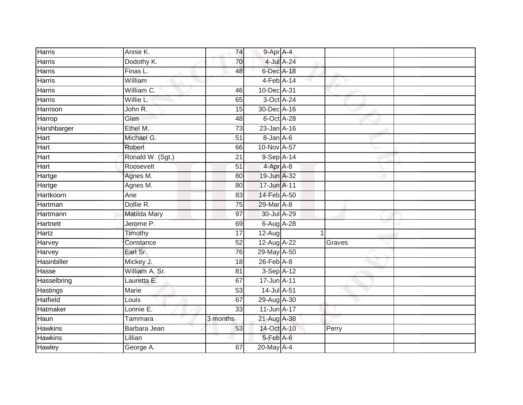| <b>Harris</b>   | Annie K.         | 74              | 9-Apr A-4        |            |        |  |
|-----------------|------------------|-----------------|------------------|------------|--------|--|
| <b>Harris</b>   | Dodothy K.       | 70              |                  | 4-Jul A-24 |        |  |
| <b>Harris</b>   | Finas L.         | 48              | 6-Dec A-18       |            |        |  |
| <b>Harris</b>   | William          |                 | $4$ -Feb $A$ -14 |            |        |  |
| <b>Harris</b>   | William C.       | 46              | 10-Dec A-31      |            |        |  |
| <b>Harris</b>   | Willie L.        | 65              |                  | 3-Oct A-24 |        |  |
| Harrison        | John R.          | 15              | 30-Dec A-16      |            |        |  |
| Harrop          | Glen             | 48              |                  | 6-Oct A-28 |        |  |
| Harshbarger     | Ethel M.         | $\overline{73}$ | 23-Jan A-16      |            |        |  |
| Hart            | Michael G.       | $\overline{51}$ | $8 - Jan A - 6$  |            |        |  |
| Hart            | Robert           | 66              | 10-Nov A-57      |            |        |  |
| Hart            | Ronald W. (Sgt.) | 21              | $9-SepA-14$      |            |        |  |
| Hart            | Roosevelt        | 51              | 4-Apr A-8        |            |        |  |
| Hartge          | Agnes M.         | 80              | 19-Jun A-32      |            |        |  |
| Hartge          | Agnes M.         | $\overline{80}$ | 17-Jun A-11      |            |        |  |
| Hartkoorn       | Arie             | 83              | 14-Feb A-50      |            |        |  |
| Hartman         | Dollie R.        | 75              | 29-Mar A-8       |            |        |  |
| Hartmann        | Matilda Mary     | 97              | 30-Jul A-29      |            |        |  |
| <b>Hartnett</b> | Jerome P.        | 69              | 6-Aug A-28       |            |        |  |
| Hartz           | Timothy          | $\overline{17}$ | 12-Aug           |            |        |  |
| Harvey          | Constance        | 52              | 12-Aug A-22      |            | Graves |  |
| Harvey          | Earl Sr.         | 76              | 29-May A-50      |            |        |  |
| Hasinbiller     | Mickey J.        | 18              | $26$ -Feb $A$ -8 |            |        |  |
| Hasse           | William A. Sr.   | 81              | $3-$ Sep $A-12$  |            |        |  |
| Hasselbring     | Lauretta E.      | 67              | 17-Jun A-11      |            |        |  |
| Hastings        | <b>Marie</b>     | 53              | 14-Jul A-51      |            |        |  |
| Hatfield        | Louis            | 67              | 29-Aug A-30      |            |        |  |
| Hatmaker        | Lonnie E.        | 33              | 11-Jun A-17      |            |        |  |
| Haun            | Tammara          | 3 months        | 21-Aug A-38      |            |        |  |
| <b>Hawkins</b>  | Barbara Jean     | 53              | 14-Oct A-10      |            | Perry  |  |
| <b>Hawkins</b>  | Lillian          |                 | 5-Feb A-6        |            |        |  |
| <b>Hawley</b>   | George A.        | 67              | 20-May A-4       |            |        |  |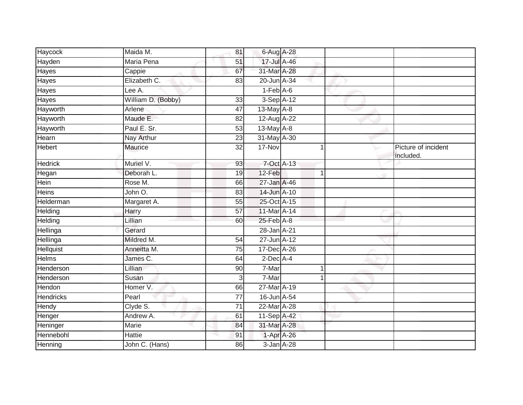| Haycock          | Maida M.           | 81              | 6-Aug A-28      |                |                                  |
|------------------|--------------------|-----------------|-----------------|----------------|----------------------------------|
| Hayden           | Maria Pena         | 51              | 17-Jul A-46     |                |                                  |
| <b>Hayes</b>     | Cappie             | 67              | 31-Mar A-28     |                |                                  |
| Hayes            | Elizabeth C.       | 83              | 20-Jun A-34     |                |                                  |
| Hayes            | Lee A.             |                 | $1-Feb$ $A-6$   |                |                                  |
| Hayes            | William D. (Bobby) | 33              | 3-Sep A-12      |                |                                  |
| Hayworth         | Arlene             | 47              | $13$ -May $A-8$ |                |                                  |
| Hayworth         | Maude E.           | 82              | 12-Aug A-22     |                |                                  |
| Hayworth         | Paul E. Sr.        | 53              | 13-May A-8      |                |                                  |
| Hearn            | Nay Arthur         | $\overline{23}$ | 31-May A-30     |                |                                  |
| Hebert           | Maurice            | 32              | 17-Nov          | 1              | Picture of incident<br>included. |
| <b>Hedrick</b>   | Muriel V.          | 93              | 7-Oct A-13      |                |                                  |
| Hegan            | Deborah L.         | $\overline{19}$ | 12-Feb          | $\overline{1}$ |                                  |
| Hein             | Rose M.            | 66              | 27-Jan A-46     |                |                                  |
| <b>Heins</b>     | John O.            | 83              | 14-Jun A-10     |                |                                  |
| Helderman        | Margaret A.        | 55              | 25-Oct A-15     |                |                                  |
| Helding          | Harry              | 57              | 11-Mar A-14     |                |                                  |
| Helding          | Lillian            | 60              | 25-Feb A-8      |                |                                  |
| Hellinga         | Gerard             |                 | 28-Jan A-21     |                |                                  |
| <b>Hellinga</b>  | Mildred M.         | 54              | 27-Jun A-12     |                |                                  |
| Hellquist        | Anneitta M.        | 75              | 17-Dec A-26     |                |                                  |
| <b>Helms</b>     | James C.           | 64              | $2$ -Dec $A$ -4 |                |                                  |
| Henderson        | Lillian            | 90              | 7-Mar           | 1              |                                  |
| Henderson        | Susan              | 3               | 7-Mar           |                |                                  |
| Hendon           | Homer V.           | 66              | 27-Mar A-19     |                |                                  |
| <b>Hendricks</b> | Pearl              | $\overline{77}$ | 16-Jun A-54     |                |                                  |
| Hendy            | Clyde S.           | 71              | 22-Mar A-28     |                |                                  |
| Henger           | Andrew A.          | 61              | 11-Sep A-42     |                |                                  |
| Heninger         | Marie              | 84              | 31-Mar A-28     |                |                                  |
| Hennebohl        | Hattie             | 91              | 1-Apr A-26      |                |                                  |
| Henning          | John C. (Hans)     | 86              | 3-Jan A-28      |                |                                  |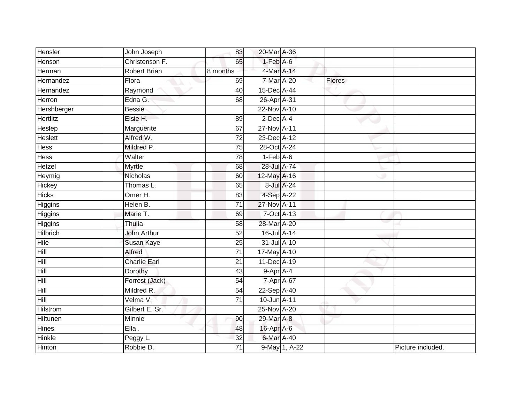| Hensler         | John Joseph         | 83              | 20-Mar A-36                  |               |               |                   |
|-----------------|---------------------|-----------------|------------------------------|---------------|---------------|-------------------|
| Henson          | Christenson F.      | 65              | $1-Feb$ A-6                  |               |               |                   |
| Herman          | <b>Robert Brian</b> | 8 months        | 4-Mar A-14                   |               |               |                   |
| Hernandez       | Flora               | 69              | 7-Mar A-20                   |               | <b>Flores</b> |                   |
| Hernandez       | Raymond             | $\overline{40}$ | 15-Dec A-44                  |               |               |                   |
| Herron          | Edna G.             | 68              | 26-Apr A-31                  |               |               |                   |
| Hershberger     | <b>Bessie</b>       |                 | 22-Nov A-10                  |               |               |                   |
| Hertlitz        | Elsie H.            | 89              | $2$ -Dec $A$ -4              |               |               |                   |
| Heslep          | Marguerite          | 67              | 27-Nov A-11                  |               |               |                   |
| <b>Heslett</b>  | Alfred W.           | $\overline{72}$ | 23-Dec A-12                  |               |               |                   |
| Hess            | Mildred P.          | 75              | $28$ -Oct $\overline{A}$ -24 |               |               |                   |
| Hess            | Walter              | 78              | $1-Feb$ A-6                  |               |               |                   |
| Hetzel          | Myrtle              | 68              | 28-Jul A-74                  |               |               |                   |
| Heymig          | Nicholas            | 60              | 12-May A-16                  |               |               |                   |
| Hickey          | Thomas L.           | 65              | 8-Jul A-24                   |               |               |                   |
| <b>Hicks</b>    | Omer H.             | 83              | 4-Sep A-22                   |               |               |                   |
| Higgins         | Helen B.            | $\overline{71}$ | 27-Nov A-11                  |               |               |                   |
| Higgins         | Marie T.            | 69              | 7-Oct A-13                   |               |               |                   |
| Higgins         | Thulia              | 58              | 28-Mar A-20                  |               |               |                   |
| <b>Hilbrich</b> | <b>John Arthur</b>  | $\overline{52}$ | 16-Jul A-14                  |               |               |                   |
| Hile            | Susan Kaye          | 25              | 31-Jul A-10                  |               |               |                   |
| Hill            | Alfred              | $\overline{71}$ | 17-May A-10                  |               |               |                   |
| Hill            | <b>Charlie Earl</b> | 21              | 11-Dec A-19                  |               |               |                   |
| Hill            | Dorothy             | 43              | 9-Apr A-4                    |               |               |                   |
| Hill            | Forrest (Jack)      | 54              | 7-Apr A-67                   |               |               |                   |
| Hill            | Mildred R.          | 54              | 22-Sep A-40                  |               |               |                   |
| Hill            | Velma V.            | $\overline{71}$ | 10-Jun A-11                  |               |               |                   |
| Hilstrom        | Gilbert E. Sr.      |                 | 25-Nov A-20                  |               |               |                   |
| Hiltunen        | Minnie              | 90              | 29-Mar A-8                   |               |               |                   |
| Hines           | $E$ lla.            | 48              | 16-Apr A-6                   |               |               |                   |
| Hinkle          | Peggy L.            | 32              | 6-Mar A-40                   |               |               |                   |
| Hinton          | Robbie D.           | 71              |                              | 9-May 1, A-22 |               | Picture included. |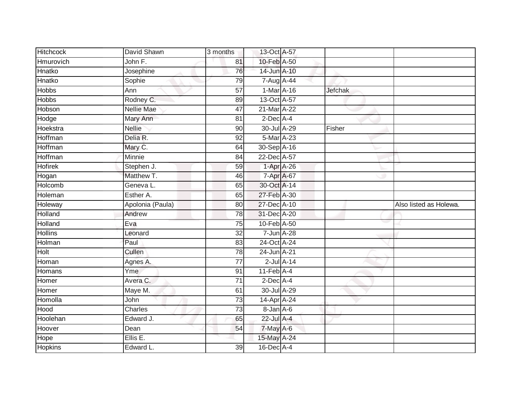| Hitchcock      | David Shawn       | 3 months        | 13-Oct A-57                |                |                        |
|----------------|-------------------|-----------------|----------------------------|----------------|------------------------|
| Hmurovich      | John F.           | 81              | 10-Feb A-50                |                |                        |
| Hnatko         | Josephine         | 76              | 14-Jun A-10                |                |                        |
| Hnatko         | Sophie            | 79              | 7-Aug A-44                 |                |                        |
| <b>Hobbs</b>   | Ann               | $\overline{57}$ | 1-Mar A-16                 | <b>Jefchak</b> |                        |
| <b>Hobbs</b>   | Rodney C.         | 89              | 13-Oct A-57                |                |                        |
| Hobson         | <b>Nellie Mae</b> | 47              | 21-Mar A-22                |                |                        |
| Hodge          | Mary Ann          | 81              | $2$ -Dec A-4               |                |                        |
| Hoekstra       | <b>Nellie</b>     | 90              | 30-Jul A-29                | Fisher         |                        |
| Hoffman        | Delia R.          | 92              | 5-Mar A-23                 |                |                        |
| Hoffman        | Mary C.           | 64              | 30-Sep A-16                |                |                        |
| Hoffman        | Minnie            | 84              | 22-Dec A-57                |                |                        |
| <b>Hofirek</b> | Stephen J.        | 59              | $1-Apr$ A-26               |                |                        |
| Hogan          | Matthew T.        | 46              | 7-Apr A-67                 |                |                        |
| Holcomb        | Geneva L.         | 65              | 30-Oct A-14                |                |                        |
| Holeman        | Esther A.         | 65              | 27-Feb A-30                |                |                        |
| Holeway        | Apolonia (Paula)  | 80              | 27-Dec A-10                |                | Also listed as Holewa. |
| Holland        | Andrew            | 78              | 31-Dec A-20                |                |                        |
| Holland        | Eva               | $\overline{75}$ | 10-Feb A-50                |                |                        |
| <b>Hollins</b> | Leonard           | $\overline{32}$ | 7-Jun A-28                 |                |                        |
| Holman         | Paul              | 83              | 24-Oct A-24                |                |                        |
| Holt           | Cullen            | 78              | 24-Jun A-21                |                |                        |
| Homan          | Agnes A.          | 77              | $2$ -Jul $A-14$            |                |                        |
| Homans         | Yme               | 91              | $11$ -Feb $\overline{A-4}$ |                |                        |
| Homer          | Avera C.          | $\overline{71}$ | $2$ -Dec $A$ -4            |                |                        |
| Homer          | Maye M.           | 61              | 30-Jul A-29                |                |                        |
| Homolla        | John              | $\overline{73}$ | 14-Apr A-24                |                |                        |
| Hood           | Charles           | $\overline{73}$ | 8-Jan A-6                  |                |                        |
| Hoolehan       | Edward J.         | 65              | 22-Jul A-4                 |                |                        |
| Hoover         | Dean              | 54              | 7-May A-6                  |                |                        |
| Hope           | Ellis E.          |                 | 15-May A-24                |                |                        |
| <b>Hopkins</b> | Edward L.         | 39              | 16-Dec A-4                 |                |                        |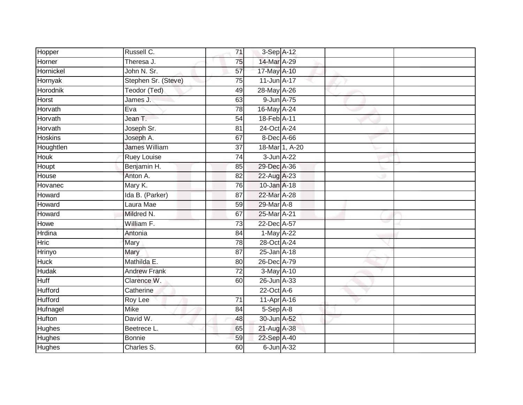| Hopper         | Russell C.           | 71              | 3-Sep A-12       |  |  |
|----------------|----------------------|-----------------|------------------|--|--|
| Horner         | Theresa J.           | 75              | 14-Mar A-29      |  |  |
| Hornickel      | John N. Sr.          | 57              | 17-May A-10      |  |  |
| Hornyak        | Stephen Sr. (Steve)  | 75              | 11-Jun A-17      |  |  |
| Horodnik       | Teodor (Ted)         | 49              | 28-May A-26      |  |  |
| Horst          | James J.             | 63              | 9-Jun A-75       |  |  |
| Horvath        | Eva                  | $\overline{78}$ | 16-May A-24      |  |  |
| Horvath        | Jean T.              | 54              | 18-Feb A-11      |  |  |
| Horvath        | Joseph Sr.           | 81              | 24-Oct A-24      |  |  |
| Hoskins        | Joseph A.            | 67              | 8-Dec A-66       |  |  |
| Houghtlen      | <b>James William</b> | 37              | 18-Mar 1, A-20   |  |  |
| Houk           | <b>Ruey Louise</b>   | 74              | $3$ -Jun $A$ -22 |  |  |
| Houpt          | Benjamin H.          | 85              | 29-Dec A-36      |  |  |
| House          | Anton A.             | 82              | 22-Aug A-23      |  |  |
| Hovanec        | Mary K.              | 76              | 10-Jan A-18      |  |  |
| Howard         | Ida B. (Parker)      | 87              | 22-Mar A-28      |  |  |
| Howard         | Laura Mae            | 59              | 29-Mar A-8       |  |  |
| Howard         | Mildred N.           | 67              | 25-Mar A-21      |  |  |
| Howe           | William F.           | $\overline{73}$ | 22-Dec A-57      |  |  |
| <b>Hrdina</b>  | Antonia              | 84              | 1-May A-22       |  |  |
| <b>Hric</b>    | Mary                 | 78              | 28-Oct A-24      |  |  |
| Hrinyo         | <b>Mary</b>          | 87              | 25-Jan A-18      |  |  |
| <b>Huck</b>    | Mathilda E.          | 80              | 26-Dec A-79      |  |  |
| Hudak          | <b>Andrew Frank</b>  | 72              | $3-May$ A-10     |  |  |
| Huff           | Clarence W.          | 60              | 26-Jun A-33      |  |  |
| <b>Hufford</b> | Catherine            |                 | 22-Oct A-6       |  |  |
| <b>Hufford</b> | Roy Lee              | $\overline{71}$ | $11-AprA-16$     |  |  |
| Hufnagel       | Mike                 | 84              | $5-Sep$ A-8      |  |  |
| Hufton         | David W.             | 48              | 30-Jun A-52      |  |  |
| Hughes         | Beetrece L.          | 65              | 21-Aug A-38      |  |  |
| Hughes         | <b>Bonnie</b>        | 59              | 22-Sep A-40      |  |  |
| <b>Hughes</b>  | Charles S.           | 60              | 6-Jun A-32       |  |  |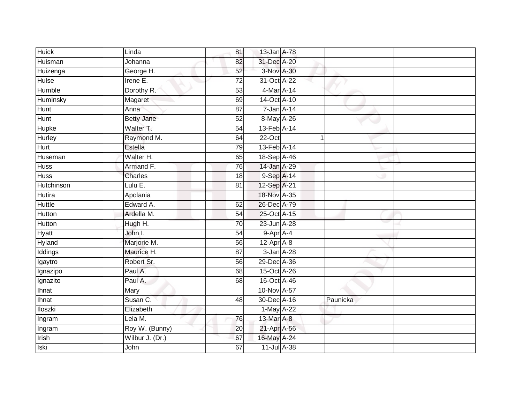| <b>Huick</b>      |                   |                 |                  |            |          |  |
|-------------------|-------------------|-----------------|------------------|------------|----------|--|
|                   | Linda             | 81              | 13-Jan A-78      |            |          |  |
| Huisman           | Johanna           | 82              | 31-Dec A-20      |            |          |  |
| Huizenga          | George H.         | 52              | 3-Nov A-30       |            |          |  |
| Hulse             | Irene E.          | $\overline{72}$ | 31-Oct A-22      |            |          |  |
| Humble            | Dorothy R.        | $\overline{53}$ | 4-Mar A-14       |            |          |  |
| Huminsky          | Magaret           | 69              | 14-Oct A-10      |            |          |  |
| Hunt              | Anna              | $\overline{87}$ | $7 - Jan A - 14$ |            |          |  |
| Hunt              | <b>Betty Jane</b> | 52              | 8-May A-26       |            |          |  |
| Hupke             | Walter T.         | 54              | 13-Feb A-14      |            |          |  |
| <b>Hurley</b>     | Raymond M.        | 64              | 22-Oct           |            | 1        |  |
| Hurt              | Estella           | 79              | 13-Feb A-14      |            |          |  |
| Huseman           | Walter H.         | 65              | 18-Sep A-46      |            |          |  |
| <b>Huss</b>       | Armand F.         | 76              | 14-Jan A-29      |            |          |  |
| <b>Huss</b>       | Charles           | 18              | 9-Sep A-14       |            |          |  |
| <b>Hutchinson</b> | Lulu E.           | $\overline{81}$ | 12-Sep A-21      |            |          |  |
| <b>Hutira</b>     | Apolania          |                 | 18-Nov A-35      |            |          |  |
| <b>Huttle</b>     | Edward A.         | 62              | 26-Dec A-79      |            |          |  |
| Hutton            | Ardella M.        | 54              | 25-Oct A-15      |            |          |  |
| Hutton            | Hugh H.           | 70              | 23-Jun A-28      |            |          |  |
| Hyatt             | John I.           | $\overline{54}$ | 9-Apr A-4        |            |          |  |
| Hyland            | Marjorie M.       | 56              | $12$ -Apr $A$ -8 |            |          |  |
| Iddings           | Maurice H.        | 87              |                  | 3-Jan A-28 |          |  |
| Igaytro           | Robert Sr.        | 56              | 29-Dec A-36      |            |          |  |
| Ignazipo          | Paul A.           | 68              | 15-Oct A-26      |            |          |  |
| Ignazito          | Paul A.           | 68              | 16-Oct A-46      |            |          |  |
| Ihnat             | Mary              |                 | 10-Nov A-57      |            |          |  |
| <b>Ihnat</b>      | Susan C.          | 48              | 30-Dec A-16      |            | Paunicka |  |
| <b>Iloszki</b>    | Elizabeth         |                 | 1-May A-22       |            |          |  |
| Ingram            | Lela M.           | 76              | 13-Mar A-8       |            |          |  |
| Ingram            | Roy W. (Bunny)    | 20              | 21-Apr A-56      |            |          |  |
| Irish             | Wilbur J. (Dr.)   | 67              | 16-May A-24      |            |          |  |
| <b>Iski</b>       | John              | 67              | 11-Jul A-38      |            |          |  |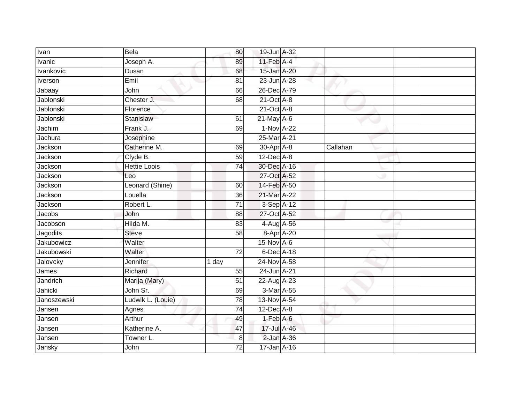| Ivan              | <b>Bela</b>         | 80              | 19-Jun A-32                 |          |  |
|-------------------|---------------------|-----------------|-----------------------------|----------|--|
| Ivanic            | Joseph A.           | 89              | $11$ -Feb $\overline{A}$ -4 |          |  |
| Ivankovic         | Dusan               | 68              | 15-Jan A-20                 |          |  |
| Iverson           | Emil                | 81              | 23-Jun A-28                 |          |  |
| Jabaay            | John                | 66              | 26-Dec A-79                 |          |  |
| Jablonski         | Chester J.          | 68              | $21$ -Oct $A-8$             |          |  |
| Jablonski         | Florence            |                 | $21$ -Oct $A-8$             |          |  |
| Jablonski         | Stanislaw           | 61              | $21$ -May $A-6$             |          |  |
| Jachim            | Frank J.            | 69              | 1-Nov A-22                  |          |  |
| Jachura           | Josephine           |                 | 25-Mar A-21                 |          |  |
| Jackson           | Catherine M.        | 69              | 30-Apr A-8                  | Callahan |  |
| Jackson           | Clyde B.            | 59              | $12$ -Dec $A-8$             |          |  |
| Jackson           | <b>Hettie Loois</b> | 74              | 30-Dec A-16                 |          |  |
| Jackson           | Leo                 |                 | 27-Oct A-52                 |          |  |
| Jackson           | Leonard (Shine)     | 60              | 14-Feb A-50                 |          |  |
| Jackson           | Louella             | 36              | 21-Mar A-22                 |          |  |
| Jackson           | Robert L.           | $\overline{71}$ | $3-Sep$ A-12                |          |  |
| Jacobs            | John                | 88              | 27-Oct A-52                 |          |  |
| Jacobson          | Hilda M.            | 83              | 4-Aug A-56                  |          |  |
| Jagodits          | <b>Steve</b>        | $\overline{58}$ | 8-Apr A-20                  |          |  |
| Jakubowicz        | Walter              |                 | $15$ -Nov $A-6$             |          |  |
| <b>Jakubowski</b> | Walter              | 72              | 6-Dec A-18                  |          |  |
| Jalovcky          | Jennifer            | 1 day           | 24-Nov A-58                 |          |  |
| James             | Richard             | 55              | 24-Jun A-21                 |          |  |
| Jandrich          | Marija (Mary)       | 51              | 22-Aug A-23                 |          |  |
| Janicki           | John Sr.            | 69              | 3-Mar A-55                  |          |  |
| Janoszewski       | Ludwik L. (Louie)   | 78              | 13-Nov A-54                 |          |  |
| Jansen            | Agnes               | $\overline{74}$ | $12$ -Dec $A-8$             |          |  |
| Jansen            | Arthur              | 49              | $1-Feb$ $A-6$               |          |  |
| Jansen            | Katherine A.        | 47              | 17-Jul A-46                 |          |  |
| Jansen            | Towner L.           | 8               | $2$ -Jan $A-36$             |          |  |
| Jansky            | John                | $\overline{72}$ | 17-Jan A-16                 |          |  |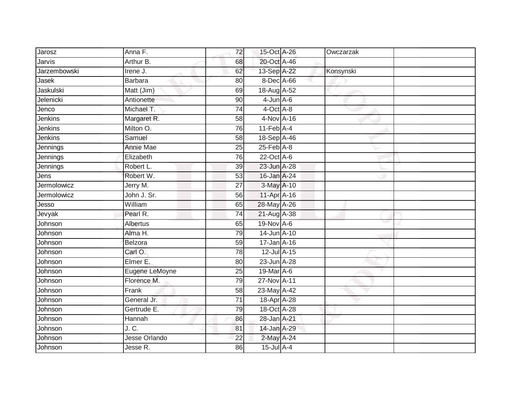| Jarosz       | Anna F.         | 72              | 15-Oct A-26                | Owczarzak |  |
|--------------|-----------------|-----------------|----------------------------|-----------|--|
| Jarvis       | Arthur B.       | 68              | 20-Oct A-46                |           |  |
| Jarzembowski | Irene J.        | 62              | 13-Sep A-22                | Konsynski |  |
| Jasek        | Barbara         | 80              | 8-Dec A-66                 |           |  |
| Jaskulski    | Matt (Jim)      | 69              | 18-Aug A-52                |           |  |
| Jelenicki    | Antionette      | 90              | $4$ -Jun $A$ -6            |           |  |
| Jenco        | Michael T.      | 74              | 4-Oct A-8                  |           |  |
| Jenkins      | Margaret R.     | 58              | 4-Nov A-16                 |           |  |
| Jenkins      | Milton O.       | 76              | $11$ -Feb $\overline{A-4}$ |           |  |
| Jenkins      | Samuel          | $\overline{58}$ | 18-Sep A-46                |           |  |
| Jennings     | Annie Mae       | 25              | $25$ -Feb $A-8$            |           |  |
| Jennings     | Elizabeth       | 76              | 22-Oct A-6                 |           |  |
| Jennings     | Robert L.       | 39              | 23-Jun A-28                |           |  |
| Jens         | Robert W.       | 53              | 16-Jan A-24                |           |  |
| Jermolowicz  | Jerry M.        | 27              | 3-May A-10                 |           |  |
| Jermolowicz  | John J. Sr.     | 56              | 11-Apr A-16                |           |  |
| Jesso        | William         | 65              | 28-May A-26                |           |  |
| Jevyak       | Pearl R.        | 74              | 21-Aug A-38                |           |  |
| Johnson      | <b>Albertus</b> | 65              | 19-Nov A-6                 |           |  |
| Johnson      | Alma H.         | 79              | 14-Jun A-10                |           |  |
| Johnson      | <b>Belzora</b>  | 59              | 17-Jan A-16                |           |  |
| Johnson      | Carl O.         | 78              | 12-Jul A-15                |           |  |
| Johnson      | Elmer E.        | 80              | 23-Jun A-28                |           |  |
| Johnson      | Eugene LeMoyne  | 25              | 19-Mar A-6                 |           |  |
| Johnson      | Florence M.     | 79              | 27-Nov A-11                |           |  |
| Johnson      | Frank           | 58              | 23-May A-42                |           |  |
| Johnson      | General Jr.     | $\overline{71}$ | 18-Apr A-28                |           |  |
| Johnson      | Gertrude E.     | 79              | 18-Oct A-28                |           |  |
| Johnson      | Hannah          | 86              | 28-Jan A-21                |           |  |
| Johnson      | J. C.           | 81              | 14-Jan A-29                |           |  |
| Johnson      | Jesse Orlando   | 22              | 2-May A-24                 |           |  |
| Johnson      | Jesse R.        | 86              | $15$ -Jul $A-4$            |           |  |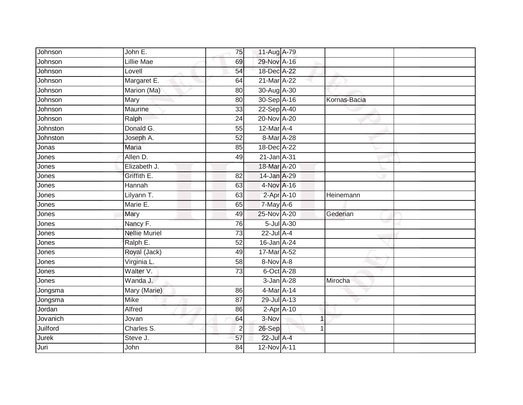| Johnson  | John E.              | 75              | 11-Aug A-79      |            |              |
|----------|----------------------|-----------------|------------------|------------|--------------|
| Johnson  | <b>Lillie Mae</b>    | 69              | 29-Nov A-16      |            |              |
| Johnson  | Lovell               | 54              | 18-Dec A-22      |            |              |
| Johnson  | Margaret E.          | 64              | 21-Mar A-22      |            |              |
| Johnson  | Marion (Ma)          | $\overline{80}$ | 30-Aug A-30      |            |              |
| Johnson  | Mary                 | 80              | 30-Sep A-16      |            | Kornas-Bacia |
| Johnson  | Maurine              | 33              | 22-Sep A-40      |            |              |
| Johnson  | Ralph                | 24              | 20-Nov A-20      |            |              |
| Johnston | Donald G.            | 55              | 12-Mar A-4       |            |              |
| Johnston | Joseph A.            | 52              | 8-Mar A-28       |            |              |
| Jonas    | Maria                | 85              | 18-Dec A-22      |            |              |
| Jones    | Allen D.             | 49              | 21-Jan A-31      |            |              |
| Jones    | Elizabeth J.         |                 | 18-Mar A-20      |            |              |
| Jones    | Griffith E.          | 82              | 14-Jan A-29      |            |              |
| Jones    | <b>Hannah</b>        | 63              | 4-Nov A-16       |            |              |
| Jones    | Lilyann T.           | 63              | 2-Apr A-10       |            | Heinemann    |
| Jones    | Marie E.             | 65              | 7-May A-6        |            |              |
| Jones    | Mary                 | 49              | 25-Nov A-20      |            | Gederian     |
| Jones    | Nancy F.             | 76              |                  | 5-Jul A-30 |              |
| Jones    | <b>Nellie Muriel</b> | 73              | $22$ -Jul $A-4$  |            |              |
| Jones    | Ralph E.             | 52              | 16-Jan A-24      |            |              |
| Jones    | Royal (Jack)         | 49              | 17-Mar A-52      |            |              |
| Jones    | Virginia L.          | 58              | 8-Nov A-8        |            |              |
| Jones    | Walter V.            | 73              | 6-Oct A-28       |            |              |
| Jones    | Wanda J.             |                 | 3-Jan A-28       |            | Mirocha      |
| Jongsma  | Mary (Marie)         | 86              | $4$ -Mar A-14    |            |              |
| Jongsma  | <b>Mike</b>          | 87              | 29-Jul A-13      |            |              |
| Jordan   | Alfred               | 86              | $2$ -Apr $A$ -10 |            |              |
| Jovanich | Jovan                | 64              | 3-Nov            |            | 1            |
| Juilford | Charles S.           | $\overline{2}$  | 26-Sep           |            |              |
| Jurek    | Steve J.             | 57              | 22-Jul A-4       |            |              |
| Juri     | John                 | 84              | 12-Nov A-11      |            |              |
|          |                      |                 |                  |            |              |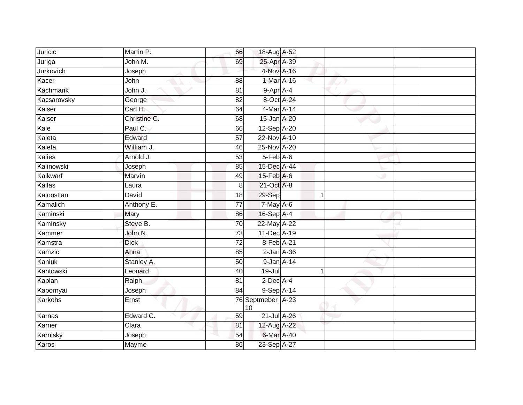| Juricic     | Martin P.    | 66              | 18-Aug A-52             |                |  |
|-------------|--------------|-----------------|-------------------------|----------------|--|
| Juriga      | John M.      | 69              | 25-Apr A-39             |                |  |
| Jurkovich   | Joseph       |                 | 4-Nov A-16              |                |  |
| Kacer       | John         | 88              | 1-Mar A-16              |                |  |
| Kachmarik   | John J.      | 81              | 9-Apr A-4               |                |  |
| Kacsarovsky | George       | 82              | 8-Oct A-24              |                |  |
| Kaiser      | Carl H.      | 64              | 4-Mar A-14              |                |  |
| Kaiser      | Christine C. | 68              | 15-Jan A-20             |                |  |
| Kale        | Paul C.      | 66              | 12-Sep A-20             |                |  |
| Kaleta      | Edward       | $\overline{57}$ | 22-Nov A-10             |                |  |
| Kaleta      | William J.   | 46              | 25-Nov A-20             |                |  |
| Kalies      | Arnold J.    | 53              | $5-Feb$ A-6             |                |  |
| Kalinowski  | Joseph       | 85              | 15-Dec A-44             |                |  |
| Kalkwarf    | Marvin       | 49              | 15-Feb A-6              |                |  |
| Kallas      | Laura        | 8               | 21-Oct A-8              |                |  |
| Kaloostian  | David        | 18              | 29-Sep                  | $\overline{1}$ |  |
| Kamalich    | Anthony E.   | $\overline{77}$ | 7-May A-6               |                |  |
| Kaminski    | Mary         | 86              | 16-Sep A-4              |                |  |
| Kaminsky    | Steve B.     | 70              | 22-May A-22             |                |  |
| Kammer      | John N.      | 73              | 11-Dec A-19             |                |  |
| Kamstra     | <b>Dick</b>  | $\overline{72}$ | 8-Feb A-21              |                |  |
| Kamzic      | Anna         | 85              | $2$ -Jan $A$ -36        |                |  |
| Kaniuk      | Stanley A.   | 50              | 9-Jan A-14              |                |  |
| Kantowski   | Leonard      | 40              | $19 -$ Jul              | 1              |  |
| Kaplan      | Ralph        | 81              | $2$ -Dec A-4            |                |  |
| Kapornyai   | Joseph       | 84              | 9-Sep A-14              |                |  |
| Karkohs     | Ernst        |                 | 76 Septmeber A-23<br>10 |                |  |
| Karnas      | Edward C.    | 59              | 21-Jul A-26             |                |  |
| Karner      | Clara        | 81              | 12-Aug A-22             |                |  |
| Karnisky    | Joseph       | 54              | 6-Mar A-40              |                |  |
| Karos       | Mayme        | 86              | 23-Sep A-27             |                |  |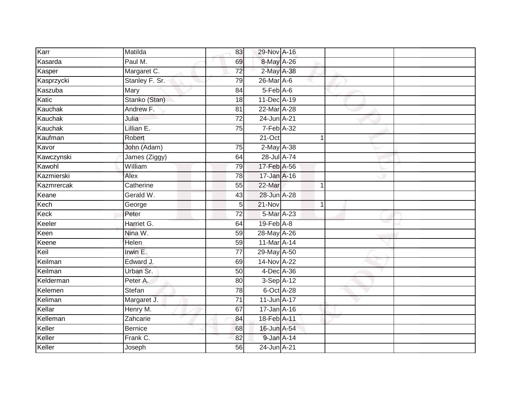| Karr       | Matilda        | 83              | 29-Nov A-16     |              |  |
|------------|----------------|-----------------|-----------------|--------------|--|
| Kasarda    | Paul M.        | 69              | 8-May A-26      |              |  |
| Kasper     | Margaret C.    | $\overline{72}$ | 2-May A-38      |              |  |
| Kasprzycki | Stanley F. Sr. | 79              | 26-Mar A-6      |              |  |
| Kaszuba    | <b>Mary</b>    | 84              | $5$ -Feb $A$ -6 |              |  |
| Katic      | Stanko (Stan)  | 18              | 11-Dec A-19     |              |  |
| Kauchak    | Andrew F.      | 81              | 22-Mar A-28     |              |  |
| Kauchak    | Julia          | 72              | 24-Jun A-21     |              |  |
| Kauchak    | Lillian E.     | 75              | 7-Feb A-32      |              |  |
| Kaufman    | Robert         |                 | 21-Oct          |              |  |
| Kavor      | John (Adam)    | 75              | 2-May A-38      |              |  |
| Kawczynski | James (Ziggy)  | 64              | 28-Jul A-74     |              |  |
| Kawohl     | William        | 79              | 17-Feb A-56     |              |  |
| Kazmierski | Alex           | 78              | 17-Jan A-16     |              |  |
| Kazmrercak | Catherine      | $\overline{55}$ | 22-Mar          | 1            |  |
| Keane      | Gerald W.      | 43              | 28-Jun A-28     |              |  |
| Kech       | George         | 5               | $21 - Nov$      | $\mathbf{1}$ |  |
| Keck       | Peter          | 72              | 5-Mar A-23      |              |  |
| Keeler     | Harriet G.     | 64              | 19-Feb A-8      |              |  |
| Keen       | Nina W.        | 59              | 28-May A-26     |              |  |
| Keene      | Helen          | 59              | 11-Mar A-14     |              |  |
| Keil       | Irwin E.       | $\overline{77}$ | 29-May A-50     |              |  |
| Keilman    | Edward J.      | 69              | 14-Nov A-22     |              |  |
| Keilman    | Urban Sr.      | 50              | 4-Dec A-36      |              |  |
| Kelderman  | Peter A.       | 80              | $3-Sep$ A-12    |              |  |
| Kelemen    | <b>Stefan</b>  | 78              | 6-Oct A-28      |              |  |
| Keliman    | Margaret J.    | $\overline{71}$ | 11-Jun A-17     |              |  |
| Kellar     | Henry M.       | 67              | 17-Jan A-16     |              |  |
| Kelleman   | Zahcarie       | 84              | 18-Feb A-11     |              |  |
| Keller     | <b>Bernice</b> | 68              | 16-Jun A-54     |              |  |
| Keller     | Frank C.       | 82              | 9-Jan A-14      |              |  |
| Keller     | Joseph         | 56              | 24-Jun A-21     |              |  |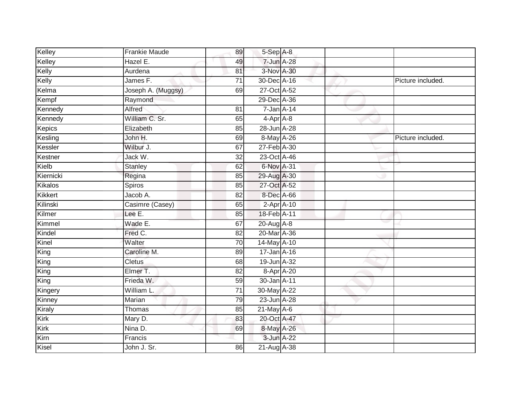| Kelley    | <b>Frankie Maude</b> | 89              | $5-Sep$ A-8      |  |                   |
|-----------|----------------------|-----------------|------------------|--|-------------------|
| Kelley    | Hazel E.             | 49              | 7-Jun A-28       |  |                   |
| Kelly     | Aurdena              | 81              | 3-Nov A-30       |  |                   |
| Kelly     | James F.             | $\overline{71}$ | 30-Dec A-16      |  | Picture included. |
| Kelma     | Joseph A. (Muggsy)   | 69              | 27-Oct A-52      |  |                   |
| Kempf     | Raymond              |                 | 29-Dec A-36      |  |                   |
| Kennedy   | Alfred               | 81              | $7 - Jan A - 14$ |  |                   |
| Kennedy   | William C. Sr.       | 65              | $4-Apr$ $A-8$    |  |                   |
| Kepics    | Elizabeth            | 85              | 28-Jun A-28      |  |                   |
| Kesling   | John H.              | 69              | 8-May A-26       |  | Picture included. |
| Kessler   | Wilbur J.            | 67              | 27-Feb A-30      |  |                   |
| Kestner   | Jack W.              | 32              | 23-Oct A-46      |  |                   |
| Kielb     | <b>Stanley</b>       | 62              | 6-Nov A-31       |  |                   |
| Kiernicki | Regina               | 85              | 29-Aug A-30      |  |                   |
| Kikalos   | Spiros               | 85              | 27-Oct A-52      |  |                   |
| Kikkert   | Jacob A.             | 82              | 8-Dec A-66       |  |                   |
| Kilinski  | Casimre (Casey)      | 65              | $2-Apr$ A-10     |  |                   |
| Kilmer    | Lee E.               | 85              | 18-Feb A-11      |  |                   |
| Kimmel    | Wade E.              | 67              | 20-Aug A-8       |  |                   |
| Kindel    | Fred C.              | $\overline{82}$ | 20-Mar A-36      |  |                   |
| Kinel     | Walter               | 70              | 14-May A-10      |  |                   |
| King      | Caroline M.          | 89              | 17-Jan A-16      |  |                   |
| King      | <b>Cletus</b>        | 68              | 19-Jun A-32      |  |                   |
| King      | Elmer T.             | 82              | 8-Apr A-20       |  |                   |
| King      | Frieda W.            | 59              | 30-Jan A-11      |  |                   |
| Kingery   | William L.           | $\overline{71}$ | 30-May A-22      |  |                   |
| Kinney    | Marian               | 79              | 23-Jun A-28      |  |                   |
| Kiraly    | Thomas               | 85              | $21$ -May $A-6$  |  |                   |
| Kirk      | Mary D.              | 83              | 20-Oct A-47      |  |                   |
| Kirk      | Nina D.              | 69              | 8-May A-26       |  |                   |
| Kirn      | Francis              |                 | 3-Jun A-22       |  |                   |
| Kisel     | John J. Sr.          | 86              | 21-Aug A-38      |  |                   |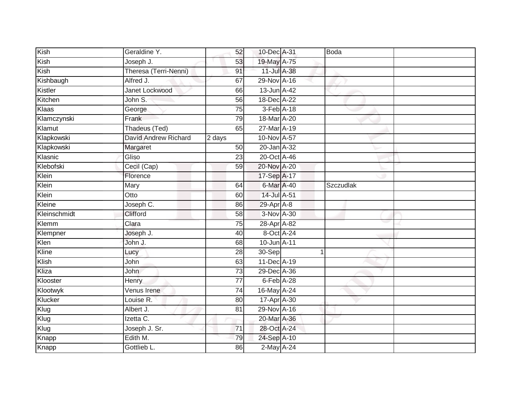| Kish         | Geraldine Y.                | 52              | 10-Dec A-31 | Boda      |  |
|--------------|-----------------------------|-----------------|-------------|-----------|--|
| Kish         | Joseph J.                   | 53              | 19-May A-75 |           |  |
| Kish         | Theresa (Terri-Nenni)       | 91              | 11-Jul A-38 |           |  |
| Kishbaugh    | Alfred J.                   | 67              | 29-Nov A-16 |           |  |
| Kistler      | Janet Lockwood              | 66              | 13-Jun A-42 |           |  |
| Kitchen      | John S.                     | 56              | 18-Dec A-22 |           |  |
| Klaas        | George                      | 75              | 3-Feb A-18  |           |  |
| Klamczynski  | Frank                       | 79              | 18-Mar A-20 |           |  |
| Klamut       | Thadeus (Ted)               | 65              | 27-Mar A-19 |           |  |
| Klapkowski   | <b>David Andrew Richard</b> | 2 days          | 10-Nov A-57 |           |  |
| Klapkowski   | Margaret                    | 50              | 20-Jan A-32 |           |  |
| Klasnic      | Gliso                       | 23              | 20-Oct A-46 |           |  |
| Klebofski    | Cecil (Cap)                 | 59              | 20-Nov A-20 |           |  |
| Klein        | Florence                    |                 | 17-Sep A-17 |           |  |
| Klein        | Mary                        | 64              | 6-Mar A-40  | Szczudlak |  |
| Klein        | Otto                        | 60              | 14-Jul A-51 |           |  |
| Kleine       | Joseph C.                   | 86              | 29-Apr A-8  |           |  |
| Kleinschmidt | Clifford                    | 58              | 3-Nov A-30  |           |  |
| Klemm        | Clara                       | 75              | 28-Apr A-82 |           |  |
| Klempner     | Joseph J.                   | 40              | 8-Oct A-24  |           |  |
| Klen         | John J.                     | 68              | 10-Jun A-11 |           |  |
| Kline        | Lucy                        | 28              | 30-Sep      |           |  |
| Klish        | John                        | 63              | 11-Dec A-19 |           |  |
| Kliza        | <b>John</b>                 | 73              | 29-Dec A-36 |           |  |
| Klooster     | Henry                       | $\overline{77}$ | 6-Feb A-28  |           |  |
| Klootwyk     | Venus Irene                 | 74              | 16-May A-24 |           |  |
| Klucker      | Louise R.                   | 80              | 17-Apr A-30 |           |  |
| Klug         | Albert J.                   | 81              | 29-Nov A-16 |           |  |
| Klug         | Izetta C.                   |                 | 20-Mar A-36 |           |  |
| Klug         | Joseph J. Sr.               | 71              | 28-Oct A-24 |           |  |
| Knapp        | Edith M.                    | 79              | 24-Sep A-10 |           |  |
| Knapp        | Gottlieb L.                 | 86              | 2-May A-24  |           |  |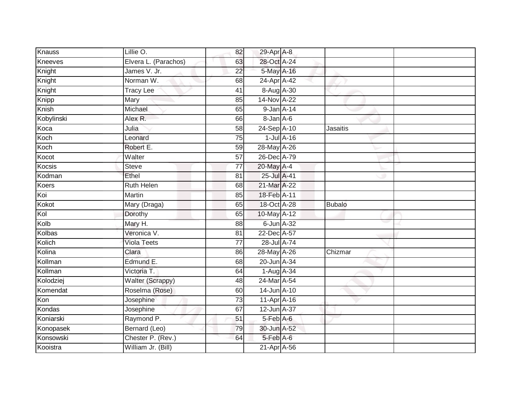| Knauss     | Lillie O.            | 82              | 29-Apr A-8       |                  |               |  |
|------------|----------------------|-----------------|------------------|------------------|---------------|--|
| Kneeves    | Elvera L. (Parachos) | 63              | 28-Oct A-24      |                  |               |  |
| Knight     | James V. Jr.         | $\overline{22}$ | 5-May A-16       |                  |               |  |
| Knight     | Norman W.            | 68              | 24-Apr A-42      |                  |               |  |
| Knight     | <b>Tracy Lee</b>     | $\overline{41}$ | 8-Aug A-30       |                  |               |  |
| Knipp      | Mary                 | 85              | 14-Nov A-22      |                  |               |  |
| Knish      | Michael              | 65              | 9-Jan A-14       |                  |               |  |
| Kobylinski | Alex R.              | 66              | 8-Jan A-6        |                  |               |  |
| Koca       | Julia                | 58              | 24-Sep A-10      |                  | Jasaitis      |  |
| Koch       | Leonard              | 75              |                  | $1$ -Jul $A$ -16 |               |  |
| Koch       | Robert E.            | 59              | 28-May A-26      |                  |               |  |
| Kocot      | Walter               | 57              | 26-Dec A-79      |                  |               |  |
| Kocsis     | <b>Steve</b>         | $\overline{77}$ | 20-May A-4       |                  |               |  |
| Kodman     | Ethel                | 81              | 25-Jul A-41      |                  |               |  |
| Koers      | <b>Ruth Helen</b>    | 68              | 21-Mar A-22      |                  |               |  |
| Koi        | Martin               | 85              | 18-Feb A-11      |                  |               |  |
| Kokot      | Mary (Draga)         | 65              | 18-Oct A-28      |                  | <b>Bubalo</b> |  |
| Kol        | Dorothy              | 65              | $10$ -May $A-12$ |                  |               |  |
| Kolb       | Mary H.              | 88              | 6-Jun A-32       |                  |               |  |
| Kolbas     | Veronica V.          | $\overline{81}$ | 22-Dec A-57      |                  |               |  |
| Kolich     | <b>Viola Teets</b>   | 77              | 28-Jul A-74      |                  |               |  |
| Kolina     | Clara                | 86              | 28-May A-26      |                  | Chizmar       |  |
| Kollman    | Edmund E.            | 68              | 20-Jun A-34      |                  |               |  |
| Kollman    | Victoria T.          | 64              | 1-Aug A-34       |                  |               |  |
| Kolodziej  | Walter (Scrappy)     | 48              | 24-Mar A-54      |                  |               |  |
| Komendat   | Roselma (Rose)       | 60              | 14-Jun A-10      |                  |               |  |
| Kon        | Josephine            | 73              | 11-Apr A-16      |                  |               |  |
| Kondas     | Josephine            | 67              | 12-Jun A-37      |                  |               |  |
| Koniarski  | Raymond P.           | 51              | 5-Feb A-6        |                  |               |  |
| Konopasek  | Bernard (Leo)        | 79              | 30-Jun A-52      |                  |               |  |
| Konsowski  | Chester P. (Rev.)    | 64              | 5-Feb A-6        |                  |               |  |
| Kooistra   | William Jr. (Bill)   |                 | 21-Apr A-56      |                  |               |  |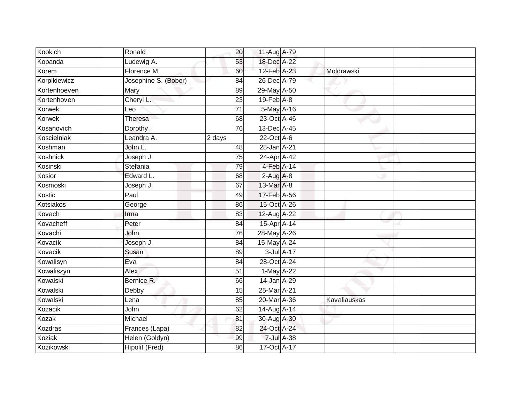| Kookich      | Ronald                | 20              | 11-Aug A-79    |            |                     |  |
|--------------|-----------------------|-----------------|----------------|------------|---------------------|--|
| Kopanda      | Ludewig A.            | 53              | 18-Dec A-22    |            |                     |  |
| Korem        | Florence M.           | 60              | 12-Feb A-23    |            | Moldrawski          |  |
| Korpikiewicz | Josephine S. (Bober)  | 84              | 26-Dec A-79    |            |                     |  |
| Kortenhoeven | Mary                  | 89              | 29-May A-50    |            |                     |  |
| Kortenhoven  | Cheryl L.             | 23              | 19-Feb A-8     |            |                     |  |
| Korwek       | Leo                   | $\overline{71}$ | 5-May A-16     |            |                     |  |
| Korwek       | Theresa               | 68              | 23-Oct A-46    |            |                     |  |
| Kosanovich   | Dorothy               | 76              | 13-Dec A-45    |            |                     |  |
| Koscielniak  | Leandra A.            | 2 days          | 22-Oct A-6     |            |                     |  |
| Koshman      | John L.               | 48              | 28-Jan A-21    |            |                     |  |
| Koshnick     | Joseph J.             | 75              | 24-Apr A-42    |            |                     |  |
| Kosinski     | Stefania              | 79              | 4-Feb A-14     |            |                     |  |
| Kosior       | Edward L.             | 68              | $2-Aug$ A-8    |            |                     |  |
| Kosmoski     | Joseph J.             | 67              | 13-Mar A-8     |            |                     |  |
| Kostic       | Paul                  | 49              | 17-Feb A-56    |            |                     |  |
| Kotsiakos    | George                | 86              | 15-Oct A-26    |            |                     |  |
| Kovach       | Irma                  | 83              | 12-Aug A-22    |            |                     |  |
| Kovacheff    | Peter                 | 84              | 15-Apr A-14    |            |                     |  |
| Kovachi      | John                  | 76              | 28-May A-26    |            |                     |  |
| Kovacik      | Joseph J.             | 84              | 15-May A-24    |            |                     |  |
| Kovacik      | Susan                 | 89              |                | 3-Jul A-17 |                     |  |
| Kowalisyn    | Eva                   | 84              | 28-Oct A-24    |            |                     |  |
| Kowaliszyn   | Alex                  | 51              | $1-May$ $A-22$ |            |                     |  |
| Kowalski     | Bernice R.            | 66              | 14-Jan A-29    |            |                     |  |
| Kowalski     | Debby                 | 15              | 25-Mar A-21    |            |                     |  |
| Kowalski     | Lena                  | 85              | 20-Mar A-36    |            | <b>Kavaliauskas</b> |  |
| Kozacik      | John                  | 62              | 14-Aug A-14    |            |                     |  |
| Kozak        | Michael               | 81              | 30-Aug A-30    |            |                     |  |
| Kozdras      | Frances (Lapa)        | 82              | 24-Oct A-24    |            |                     |  |
| Koziak       | Helen (Goldyn)        | 99              |                | 7-Jul A-38 |                     |  |
| Kozikowski   | <b>Hipolit (Fred)</b> | 86              | 17-Oct A-17    |            |                     |  |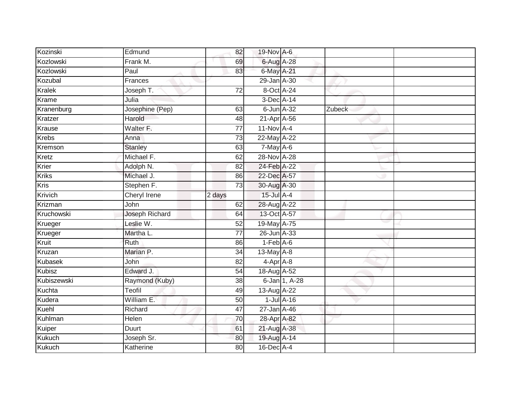| Kozinski      | Edmund          | 82              | 19-Nov A-6      |                  |        |  |
|---------------|-----------------|-----------------|-----------------|------------------|--------|--|
| Kozlowski     | Frank M.        | 69              | 6-Aug A-28      |                  |        |  |
| Kozlowski     | Paul            | 83              | 6-May A-21      |                  |        |  |
| Kozubal       | Frances         |                 | 29-Jan A-30     |                  |        |  |
| <b>Kralek</b> | Joseph T.       | $\overline{72}$ | 8-Oct A-24      |                  |        |  |
| Krame         | Julia           |                 | 3-Dec A-14      |                  |        |  |
| Kranenburg    | Josephine (Pep) | 63              | 6-Jun A-32      |                  | Zubeck |  |
| Kratzer       | Harold          | 48              | 21-Apr A-56     |                  |        |  |
| Krause        | Walter F.       | $\overline{77}$ | $11-Nov$ A-4    |                  |        |  |
| <b>Krebs</b>  | Anna            | 73              | 22-May A-22     |                  |        |  |
| Kremson       | Stanley         | 63              | $7$ -May $A$ -6 |                  |        |  |
| Kretz         | Michael F.      | 62              | 28-Nov A-28     |                  |        |  |
| Krier         | Adolph N.       | 82              | 24-Feb A-22     |                  |        |  |
| <b>Kriks</b>  | Michael J.      | 86              | 22-Dec A-57     |                  |        |  |
| <b>Kris</b>   | Stephen F.      | $\overline{73}$ | 30-Aug A-30     |                  |        |  |
| Krivich       | Cheryl Irene    | 2 days          | 15-Jul A-4      |                  |        |  |
| Krizman       | John            | 62              | 28-Aug A-22     |                  |        |  |
| Kruchowski    | Joseph Richard  | 64              | 13-Oct A-57     |                  |        |  |
| Krueger       | Leslie W.       | 52              | 19-May A-75     |                  |        |  |
| Krueger       | Martha L.       | 77              | 26-Jun A-33     |                  |        |  |
| Kruit         | Ruth            | 86              | $1-Feb$ A-6     |                  |        |  |
| Kruzan        | Marian P.       | 34              | 13-May A-8      |                  |        |  |
| Kubasek       | John            | 82              | 4-Apr A-8       |                  |        |  |
| <b>Kubisz</b> | Edward J.       | 54              | 18-Aug A-52     |                  |        |  |
| Kubiszewski   | Raymond (Kuby)  | 38              |                 | 6-Jan 1, A-28    |        |  |
| Kuchta        | Teofil          | 49              | 13-Aug A-22     |                  |        |  |
| Kudera        | William E.      | 50              |                 | $1$ -Jul $A$ -16 |        |  |
| Kuehl         | Richard         | 47              | 27-Jan A-46     |                  |        |  |
| Kuhlman       | Helen           | 70              | 28-Apr A-82     |                  |        |  |
| Kuiper        | Duurt           | 61              | 21-Aug A-38     |                  |        |  |
| <b>Kukuch</b> | Joseph Sr.      | 80              | 19-Aug A-14     |                  |        |  |
| Kukuch        | Katherine       | $\overline{80}$ | 16-Dec A-4      |                  |        |  |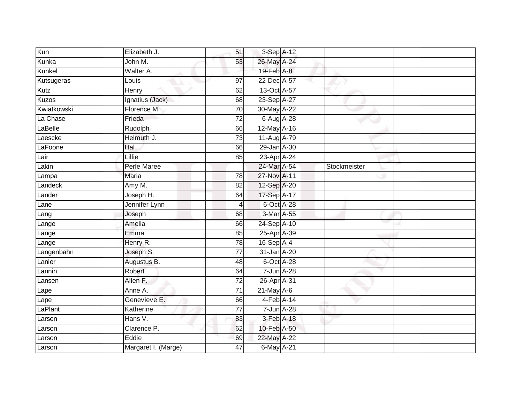| Kun          | Elizabeth J.        | 51              | 3-Sep A-12    |              |  |
|--------------|---------------------|-----------------|---------------|--------------|--|
| Kunka        | John M.             | 53              | 26-May A-24   |              |  |
| Kunkel       | Walter A.           |                 | 19-Feb A-8    |              |  |
| Kutsugeras   | Louis               | 97              | 22-Dec A-57   |              |  |
| Kutz         | Henry               | 62              | 13-Oct A-57   |              |  |
| <b>Kuzos</b> | Ignatius (Jack)     | 68              | 23-Sep A-27   |              |  |
| Kwiatkowski  | Florence M.         | 70              | 30-May A-22   |              |  |
| La Chase     | Frieda              | 72              | 6-Aug A-28    |              |  |
| LaBelle      | Rudolph             | 66              | 12-May A-16   |              |  |
| Laescke      | Helmuth J.          | $\overline{73}$ | 11-Aug A-79   |              |  |
| LaFoone      | Hal                 | 66              | 29-Jan A-30   |              |  |
| Lair         | Lillie              | 85              | 23-Apr A-24   |              |  |
| Lakin        | Perle Maree         |                 | 24-Mar A-54   | Stockmeister |  |
| Lampa        | <b>Maria</b>        | 78              | 27-Nov A-11   |              |  |
| Landeck      | Amy M.              | 82              | 12-Sep A-20   |              |  |
| Lander       | Joseph H.           | 64              | 17-Sep A-17   |              |  |
| Lane         | Jennifer Lynn       | 4               | 6-Oct A-28    |              |  |
| Lang         | Joseph              | 68              | 3-Mar A-55    |              |  |
| Lange        | Amelia              | 66              | 24-Sep A-10   |              |  |
| Lange        | Emma                | 85              | 25-Apr A-39   |              |  |
| Lange        | Henry R.            | 78              | 16-Sep A-4    |              |  |
| Langenbahn   | Joseph S.           | $\overline{77}$ | 31-Jan A-20   |              |  |
| Lanier       | Augustus B.         | 48              | 6-Oct A-28    |              |  |
| Lannin       | Robert              | 64              | 7-Jun A-28    |              |  |
| Lansen       | Allen F.            | $\overline{72}$ | 26-Apr A-31   |              |  |
| Lape         | Anne A.             | 71              | $21$ -May A-6 |              |  |
| Lape         | Genevieve E.        | 66              | $4-Feb$ A-14  |              |  |
| _aPlant      | Katherine           | 77              | 7-Jun A-28    |              |  |
| Larsen       | Hans V.             | 83              | 3-Feb A-18    |              |  |
| Larson       | Clarence P.         | 62              | 10-Feb A-50   |              |  |
| Larson       | Eddie               | 69              | 22-May A-22   |              |  |
| Larson       | Margaret I. (Marge) | 47              | 6-May A-21    |              |  |
|              |                     |                 |               |              |  |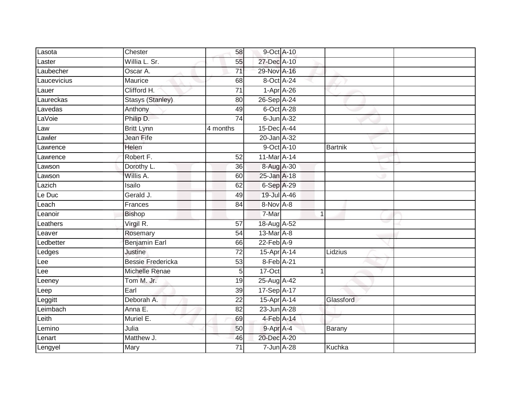| Lasota      | Chester                  | 58              | 9-Oct A-10        |              |                |  |
|-------------|--------------------------|-----------------|-------------------|--------------|----------------|--|
| Laster      | Willia L. Sr.            | 55              | 27-Dec A-10       |              |                |  |
| Laubecher   | Oscar A.                 | $\overline{71}$ | 29-Nov A-16       |              |                |  |
| Laucevicius | Maurice                  | 68              | 8-Oct A-24        |              |                |  |
| Lauer       | Clifford H.              | $\overline{71}$ | $1-Apr$ A-26      |              |                |  |
| Laureckas   | <b>Stasys (Stanley)</b>  | 80              | 26-Sep A-24       |              |                |  |
| Lavedas     | Anthony                  | 49              | 6-Oct A-28        |              |                |  |
| LaVoie      | Philip D.                | 74              | 6-Jun A-32        |              |                |  |
| Law         | <b>Britt Lynn</b>        | 4 months        | 15-Dec A-44       |              |                |  |
| Lawler      | Jean Fife                |                 | 20-Jan A-32       |              |                |  |
| Lawrence    | Helen                    |                 | 9-Oct A-10        |              | <b>Bartnik</b> |  |
| Lawrence    | Robert F.                | 52              | 11-Mar A-14       |              |                |  |
| Lawson      | Dorothy L.               | 36              | 8-Aug A-30        |              |                |  |
| Lawson      | Willis A.                | 60              | 25-Jan A-18       |              |                |  |
| Lazich      | Isailo                   | 62              | 6-Sep A-29        |              |                |  |
| Le Duc      | Gerald J.                | 49              | 19-Jul A-46       |              |                |  |
| Leach       | Frances                  | $\overline{84}$ | 8-Nov A-8         |              |                |  |
| Leanoir     | <b>Bishop</b>            |                 | 7-Mar             | $\mathbf{1}$ |                |  |
| Leathers    | Virgil R.                | 57              | 18-Aug A-52       |              |                |  |
| Leaver      | Rosemary                 | $\overline{54}$ | 13-Mar A-8        |              |                |  |
| Ledbetter   | <b>Benjamin Earl</b>     | 66              | $22$ -Feb $A-9$   |              |                |  |
| Ledges      | Justine                  | 72              | $15$ -Apr $A$ -14 |              | Lidzius        |  |
| Lee         | <b>Bessie Fredericka</b> | 53              | 8-Feb A-21        |              |                |  |
| Lee         | Michelle Renae           | 5               | 17-Oct            | $\mathbf{1}$ |                |  |
| Leeney      | Tom M. Jr.               | 19              | 25-Aug A-42       |              |                |  |
| Leep        | Earl                     | 39              | 17-Sep A-17       |              |                |  |
| Leggitt     | Deborah A.               | $\overline{22}$ | 15-Apr A-14       |              | Glassford      |  |
| Leimbach    | Anna E.                  | 82              | 23-Jun A-28       |              |                |  |
| Leith       | Muriel E.                | 69              | 4-Feb A-14        |              |                |  |
| Lemino      | Julia                    | 50              | 9-Apr A-4         |              | Barany         |  |
| Lenart      | Matthew J.               | 46              | 20-Dec A-20       |              |                |  |
| Lengyel     | Mary                     | $\overline{71}$ | 7-Jun A-28        |              | Kuchka         |  |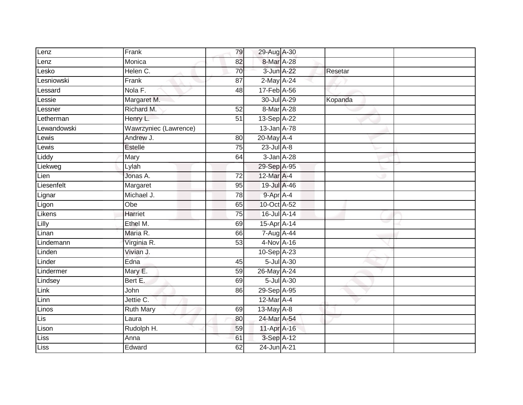| Lenz        | Frank                 | 79              | 29-Aug A-30     |                  |         |
|-------------|-----------------------|-----------------|-----------------|------------------|---------|
| Lenz        | Monica                | 82              | 8-Mar A-28      |                  |         |
| Lesko       | Helen C.              | 70              | 3-Jun A-22      |                  | Resetar |
| Lesniowski  | Frank                 | 87              | $2$ -May $A-24$ |                  |         |
| _essard     | Nola F.               | 48              | 17-Feb A-56     |                  |         |
| essie       | Margaret M.           |                 | 30-Jul A-29     |                  | Kopanda |
| Lessner     | Richard M.            | 52              | 8-Mar A-28      |                  |         |
| Letherman   | Henry L.              | 51              | 13-Sep A-22     |                  |         |
| Lewandowski | Wawrzyniec (Lawrence) |                 | 13-Jan A-78     |                  |         |
| Lewis       | Andrew J.             | 80              | 20-May A-4      |                  |         |
| Lewis       | <b>Estelle</b>        | 75              | $23$ -Jul A-8   |                  |         |
| Liddy       | Mary                  | 64              | 3-Jan A-28      |                  |         |
| Liekweg     | Lylah                 |                 | 29-Sep A-95     |                  |         |
| Lien        | Jonas A.              | $\overline{72}$ | 12-Mar A-4      |                  |         |
| Liesenfelt  | Margaret              | 95              | 19-Jul A-46     |                  |         |
| Lignar      | Michael J.            | 78              | 9-Apr A-4       |                  |         |
| Ligon       | Obe                   | 65              | 10-Oct A-52     |                  |         |
| Likens      | Harriet               | 75              | 16-Jul A-14     |                  |         |
| Lilly       | Ethel M.              | 69              | 15-Apr A-14     |                  |         |
| Linan       | Maria R.              | 66              | 7-Aug A-44      |                  |         |
| Lindemann   | Virginia R.           | 53              | 4-Nov A-16      |                  |         |
| Linden      | Vivian J.             |                 | 10-Sep A-23     |                  |         |
| Linder      | Edna                  | 45              |                 | 5-Jul A-30       |         |
| Lindermer   | Mary E.               | 59              | 26-May A-24     |                  |         |
| Lindsey     | Bert E.               | 69              |                 | $5$ -Jul $A$ -30 |         |
| Link        | John                  | 86              | 29-Sep A-95     |                  |         |
| Linn        | Jettie C.             |                 | 12-Mar A-4      |                  |         |
| Linos       | <b>Ruth Mary</b>      | 69              | 13-May A-8      |                  |         |
| Lis         | Laura                 | 80              | 24-Mar A-54     |                  |         |
| Lison       | Rudolph H.            | 59              | 11-Apr A-16     |                  |         |
| <b>Liss</b> | Anna                  | 61              | 3-Sep A-12      |                  |         |
| Liss        | Edward                | 62              | 24-Jun A-21     |                  |         |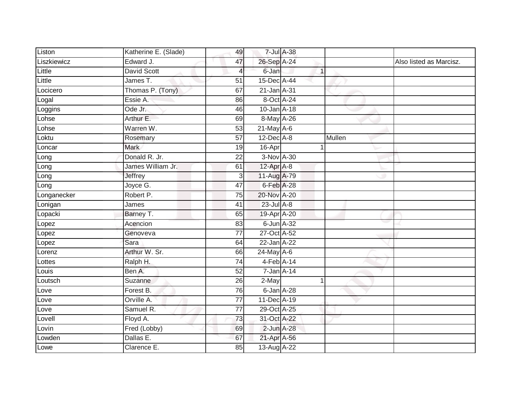| Liston      | Katherine E. (Slade) | 49              | 7-Jul A-38       |              |        |                         |
|-------------|----------------------|-----------------|------------------|--------------|--------|-------------------------|
| Liszkiewicz | Edward J.            | 47              | 26-Sep A-24      |              |        | Also listed as Marcisz. |
| Little      | David Scott          | 4               | 6-Jan            | $\mathbf{1}$ |        |                         |
| Little      | James T.             | 51              | 15-Dec A-44      |              |        |                         |
| Locicero    | Thomas P. (Tony)     | 67              | $21$ -Jan $A-31$ |              |        |                         |
| Logal       | Essie A.             | 86              | 8-Oct A-24       |              |        |                         |
| Loggins     | Ode Jr.              | 46              | 10-Jan A-18      |              |        |                         |
| Lohse       | Arthur E.            | 69              | 8-May A-26       |              |        |                         |
| Lohse       | Warren W.            | 53              | $21$ -May $A-6$  |              |        |                         |
| Loktu       | Rosemary             | 57              | 12-Dec A-8       |              | Mullen |                         |
| Loncar      | <b>Mark</b>          | 19              | 16-Apr           |              |        |                         |
| Long        | Donald R. Jr.        | 22              | 3-Nov A-30       |              |        |                         |
| Long        | James William Jr.    | 61              | 12-Apr A-8       |              |        |                         |
| Long        | Jeffrey              | 3               | 11-Aug A-79      |              |        |                         |
| Long        | Joyce G.             | $\overline{47}$ | 6-Feb A-28       |              |        |                         |
| Longanecker | Robert P.            | 75              | 20-Nov A-20      |              |        |                         |
| Lonigan     | James                | $\overline{41}$ | $23$ -Jul $A-8$  |              |        |                         |
| Lopacki     | Barney T.            | 65              | 19-Apr A-20      |              |        |                         |
| Lopez       | Acencion             | 83              | 6-Jun A-32       |              |        |                         |
| Lopez       | Genoveva             | 77              | 27-Oct A-52      |              |        |                         |
| Lopez       | Sara                 | 64              | 22-Jan A-22      |              |        |                         |
| Lorenz      | Arthur W. Sr.        | 66              | 24-May A-6       |              |        |                         |
| Lottes      | Ralph H.             | 74              | $4$ -Feb $A$ -14 |              |        |                         |
| Louis       | Ben A.               | 52              | 7-Jan A-14       |              |        |                         |
| Loutsch     | Suzanne              | 26              | 2-May            |              |        |                         |
| Love        | Forest B.            | 76              | 6-Jan A-28       |              |        |                         |
| Love        | Orville A.           | $\overline{77}$ | 11-Dec A-19      |              |        |                         |
| Love        | Samuel R.            | 77              | 29-Oct A-25      |              |        |                         |
| Lovell      | Floyd A.             | 73              | 31-Oct A-22      |              |        |                         |
| Lovin       | Fred (Lobby)         | 69              | 2-Jun A-28       |              |        |                         |
| Lowden      | Dallas E.            | 67              | 21-Apr A-56      |              |        |                         |
| Lowe        | Clarence E.          | 85              | 13-Aug A-22      |              |        |                         |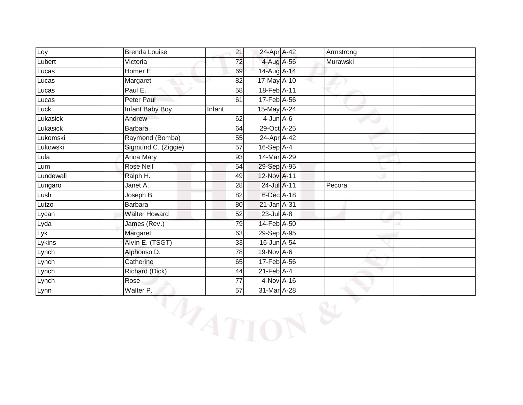| Loy       | <b>Brenda Louise</b> | 21     | 24-Apr A-42      | Armstrong |  |
|-----------|----------------------|--------|------------------|-----------|--|
| Lubert    | Victoria             | 72     | 4-Aug A-56       | Murawski  |  |
| Lucas     | Homer E.             | 69     | 14-Aug A-14      |           |  |
| Lucas     | Margaret             | 82     | 17-May A-10      |           |  |
| Lucas     | Paul E.              | 58     | 18-Feb A-11      |           |  |
| Lucas     | Peter Paul           | 61     | 17-Feb A-56      |           |  |
| Luck      | Infant Baby Boy      | Infant | 15-May A-24      |           |  |
| Lukasick  | Andrew               | 62     | $4$ -Jun $A$ -6  |           |  |
| Lukasick  | <b>Barbara</b>       | 64     | 29-Oct A-25      |           |  |
| Lukomski  | Raymond (Bomba)      | 55     | 24-Apr A-42      |           |  |
| Lukowski  | Sigmund C. (Ziggie)  | 57     | 16-Sep A-4       |           |  |
| Lula      | Anna Mary            | 93     | 14-Mar A-29      |           |  |
| Lum       | <b>Rose Nell</b>     | 54     | 29-Sep A-95      |           |  |
| Lundewall | Ralph H.             | 49     | 12-Nov A-11      |           |  |
| Lungaro   | Janet A.             | 28     | 24-Jul A-11      | Pecora    |  |
| Lush      | Joseph B.            | 82     | 6-Dec A-18       |           |  |
| Lutzo     | <b>Barbara</b>       | 80     | 21-Jan A-31      |           |  |
| Lycan     | <b>Walter Howard</b> | 52     | $23$ -Jul $A-8$  |           |  |
| Lyda      | James (Rev.)         | 79     | 14-Feb A-50      |           |  |
| Lyk       | Margaret             | 63     | 29-Sep A-95      |           |  |
| Lykins    | Alvin E. (TSGT)      | 33     | 16-Jun A-54      |           |  |
| Lynch     | Alphonso D.          | 78     | 19-Nov A-6       |           |  |
| Lynch     | Catherine            | 65     | 17-Feb A-56      |           |  |
| Lynch     | Richard (Dick)       | 44     | $21$ -Feb $A$ -4 |           |  |
| Lynch     | Rose                 | 77     | 4-Nov A-16       |           |  |
| Lynn      | Walter P.            | 57     | 31-Mar A-28      |           |  |

WATION &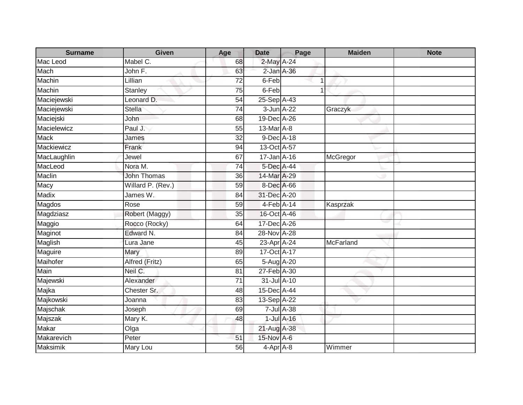| <b>Surname</b> | <b>Given</b>       | Age             | <b>Date</b>  | Page             | <b>Maiden</b> | <b>Note</b> |
|----------------|--------------------|-----------------|--------------|------------------|---------------|-------------|
| Mac Leod       | Mabel C.           | 68              | 2-May A-24   |                  |               |             |
| Mach           | John F.            | 63              | 2-Jan A-36   |                  |               |             |
| Machin         | Lillian            | 72              | 6-Feb        | -1               |               |             |
| Machin         | <b>Stanley</b>     | 75              | 6-Feb        | 1                |               |             |
| Maciejewski    | Leonard D.         | 54              | 25-Sep A-43  |                  |               |             |
| Maciejewski    | <b>Stella</b>      | $\overline{74}$ | 3-Jun A-22   |                  | Graczyk       |             |
| Maciejski      | John               | 68              | 19-Dec A-26  |                  |               |             |
| Macielewicz    | Paul J.            | 55              | 13-Mar A-8   |                  |               |             |
| <b>Mack</b>    | James              | $\overline{32}$ | 9-Dec A-18   |                  |               |             |
| Mackiewicz     | Frank              | 94              | 13-Oct A-57  |                  |               |             |
| MacLaughlin    | Jewel              | 67              | 17-Jan A-16  |                  | McGregor      |             |
| MacLeod        | Nora M.            | $\overline{74}$ | 5-Dec A-44   |                  |               |             |
| Maclin         | <b>John Thomas</b> | 36              | 14-Mar A-29  |                  |               |             |
| Macy           | Willard P. (Rev.)  | 59              | 8-Dec A-66   |                  |               |             |
| <b>Madix</b>   | James W.           | 84              | 31-Dec A-20  |                  |               |             |
| <b>Magdos</b>  | Rose               | 59              | $4-Feb$ A-14 |                  | Kasprzak      |             |
| Magdziasz      | Robert (Maggy)     | 35              | 16-Oct A-46  |                  |               |             |
| Maggio         | Rocco (Rocky)      | 64              | 17-Dec A-26  |                  |               |             |
| Maginot        | Edward N.          | 84              | 28-Nov A-28  |                  |               |             |
| Maglish        | Lura Jane          | 45              | 23-Apr A-24  |                  | McFarland     |             |
| Maguire        | Mary               | 89              | 17-Oct A-17  |                  |               |             |
| Maihofer       | Alfred (Fritz)     | 65              | 5-Aug A-20   |                  |               |             |
| Main           | Neil C.            | 81              | 27-Feb A-30  |                  |               |             |
| Majewski       | Alexander          | 71              | 31-Jul A-10  |                  |               |             |
| Majka          | Chester Sr.        | 48              | 15-Dec A-44  |                  |               |             |
| Majkowski      | Joanna             | 83              | 13-Sep A-22  |                  |               |             |
| Majschak       | Joseph             | 69              |              | 7-Jul A-38       |               |             |
| Majszak        | Mary K.            | 48              |              | $1$ -Jul $A$ -16 |               |             |
| Makar          | Olga               |                 | 21-Aug A-38  |                  |               |             |
| Makarevich     | Peter              | 51              | 15-Nov A-6   |                  |               |             |
| Maksimik       | <b>Mary Lou</b>    | 56              | $4-Apr$ A-8  |                  | Wimmer        |             |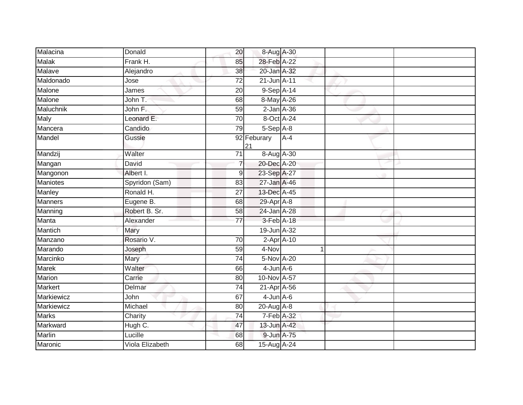| Malacina        | Donald          | 20              | 8-Aug A-30        |       |  |
|-----------------|-----------------|-----------------|-------------------|-------|--|
| <b>Malak</b>    | Frank H.        | 85              | 28-Feb A-22       |       |  |
| Malave          | Alejandro       | 38              | 20-Jan A-32       |       |  |
| Maldonado       | Jose            | 72              | $21$ -Jun $A-11$  |       |  |
| Malone          | James           | 20              | 9-Sep A-14        |       |  |
| Malone          | John T.         | 68              | 8-May A-26        |       |  |
| Maluchnik       | John F.         | 59              | $2$ -Jan $A$ -36  |       |  |
| <b>Maly</b>     | Leonard E.      | 70              | 8-Oct A-24        |       |  |
| Mancera         | Candido         | 79              | 5-Sep A-8         |       |  |
| Mandel          | Gussie          |                 | 92 Feburary<br>21 | $A-4$ |  |
| Mandzij         | Walter          | 71              | 8-Aug A-30        |       |  |
| Mangan          | David           | $\overline{7}$  | 20-Dec A-20       |       |  |
| Mangonon        | Albert I.       | 9               | 23-Sep A-27       |       |  |
| <b>Maniotes</b> | Spyridon (Sam)  | 83              | 27-Jan A-46       |       |  |
| <b>Manley</b>   | Ronald H.       | 27              | 13-Dec A-45       |       |  |
| <b>Manners</b>  | Eugene B.       | 68              | 29-Apr A-8        |       |  |
| Manning         | Robert B. Sr.   | 58              | 24-Jan A-28       |       |  |
| Manta           | Alexander       | 77              | 3-Feb A-18        |       |  |
| Mantich         | Mary            |                 | $19$ -Jun $A$ -32 |       |  |
| Manzano         | Rosario V.      | $\overline{70}$ | $2$ -Apr $A$ -10  |       |  |
| Marando         | Joseph          | 59              | 4-Nov             | 1     |  |
| Marcinko        | Mary            | 74              | 5-Nov A-20        |       |  |
| Marek           | Walter          | 66              | $4$ -Jun $A$ -6   |       |  |
| <b>Marion</b>   | Carrie          | 80              | 10-Nov A-57       |       |  |
| Markert         | Delmar          | $\overline{74}$ | 21-Apr A-56       |       |  |
| Markiewicz      | John            | 67              | $4$ -Jun $A$ -6   |       |  |
| Markiewicz      | Michael         | 80              | 20-Aug A-8        |       |  |
| <b>Marks</b>    | Charity         | 74              | 7-Feb A-32        |       |  |
| Markward        | Hugh C.         | 47              | 13-Jun A-42       |       |  |
| Marlin          | Lucille         | 68              | 9-Jun A-75        |       |  |
| Maronic         | Viola Elizabeth | 68              | 15-Aug A-24       |       |  |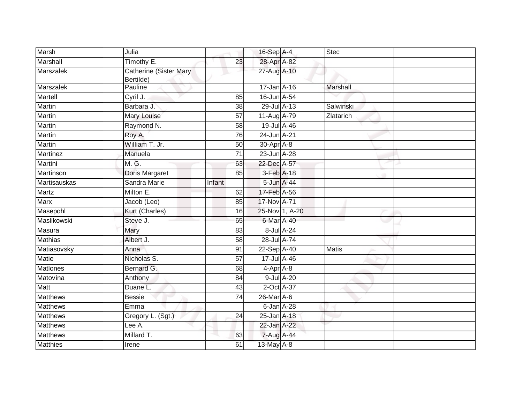| <b>Marsh</b>    | Julia                                      |        | 16-Sep A-4       |                | <b>Stec</b>     |  |
|-----------------|--------------------------------------------|--------|------------------|----------------|-----------------|--|
| Marshall        | Timothy E.                                 | 23     | 28-Apr A-82      |                |                 |  |
| Marszalek       | <b>Catherine (Sister Mary</b><br>Bertilde) |        | 27-Aug A-10      |                |                 |  |
| Marszalek       | Pauline                                    |        | 17-Jan A-16      |                | <b>Marshall</b> |  |
| Martell         | Cyril J.                                   | 85     | 16-Jun A-54      |                |                 |  |
| <b>Martin</b>   | Barbara J.                                 | 38     | 29-Jul A-13      |                | Salwinski       |  |
| Martin          | Mary Louise                                | 57     | 11-Aug A-79      |                | Zlatarich       |  |
| <b>Martin</b>   | Raymond N.                                 | 58     | 19-Jul A-46      |                |                 |  |
| Martin          | Roy A.                                     | 76     | 24-Jun A-21      |                |                 |  |
| Martin          | William T. Jr.                             | 50     | $30$ -Apr $A$ -8 |                |                 |  |
| Martinez        | Manuela                                    | 71     | 23-Jun A-28      |                |                 |  |
| Martini         | M. G.                                      | 63     | 22-Dec A-57      |                |                 |  |
| Martinson       | Doris Margaret                             | 85     | 3-Feb A-18       |                |                 |  |
| Martisauskas    | Sandra Marie                               | Infant | 5-Jun A-44       |                |                 |  |
| <b>Martz</b>    | Milton E.                                  | 62     | 17-Feb A-56      |                |                 |  |
| Marx            | Jacob (Leo)                                | 85     | 17-Nov A-71      |                |                 |  |
| Masepohl        | Kurt (Charles)                             | 16     |                  | 25-Nov 1, A-20 |                 |  |
| Maslikowski     | Steve J.                                   | 65     | 6-Mar A-40       |                |                 |  |
| Masura          | Mary                                       | 83     |                  | 8-Jul A-24     |                 |  |
| <b>Mathias</b>  | Albert J.                                  | 58     | 28-Jul A-74      |                |                 |  |
| Matiasovsky     | Anna                                       | 91     | 22-Sep A-40      |                | <b>Matis</b>    |  |
| Matie           | Nicholas S.                                | 57     | 17-Jul A-46      |                |                 |  |
| Matlones        | Bernard G.                                 | 68     | 4-Apr A-8        |                |                 |  |
| Matovina        | Anthony                                    | 84     |                  | 9-Jul A-20     |                 |  |
| Matt            | Duane L.                                   | 43     | $2$ -Oct $A$ -37 |                |                 |  |
| <b>Matthews</b> | <b>Bessie</b>                              | 74     | 26-Mar A-6       |                |                 |  |
| <b>Matthews</b> | Emma                                       |        | 6-Jan A-28       |                |                 |  |
| <b>Matthews</b> | Gregory L. (Sgt.)                          | 24     | 25-Jan A-18      |                |                 |  |
| <b>Matthews</b> | Lee A.                                     |        | 22-Jan A-22      |                |                 |  |
| <b>Matthews</b> | Millard T.                                 | 63     | 7-Aug A-44       |                |                 |  |
| <b>Matthies</b> | Irene                                      | 61     | 13-May A-8       |                |                 |  |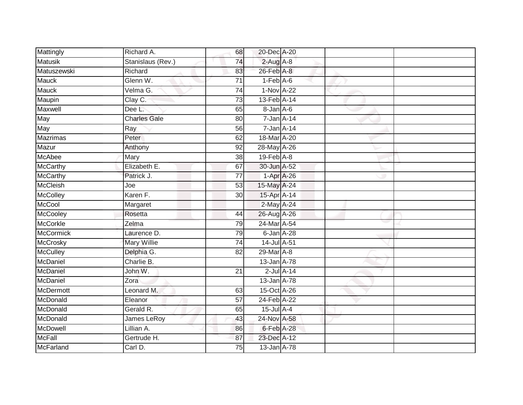| Mattingly       | Richard A.          | 68              | 20-Dec A-20                 |                 |  |
|-----------------|---------------------|-----------------|-----------------------------|-----------------|--|
| <b>Matusik</b>  | Stanislaus (Rev.)   | 74              | $2$ -Aug A-8                |                 |  |
| Matuszewski     | Richard             | 83              | 26-Feb A-8                  |                 |  |
| <b>Mauck</b>    | Glenn W.            | $\overline{71}$ | $1-Feb$ $A-6$               |                 |  |
| <b>Mauck</b>    | Velma G.            | $\overline{74}$ | 1-Nov A-22                  |                 |  |
| Maupin          | Clay C.             | $\overline{73}$ | 13-Feb A-14                 |                 |  |
| Maxwell         | Dee L.              | 65              | 8-Jan A-6                   |                 |  |
| May             | <b>Charles Gale</b> | 80              | $7 - Jan A - 14$            |                 |  |
| May             | Ray                 | 56              | 7-Jan A-14                  |                 |  |
| <b>Mazrimas</b> | Peter               | 62              | 18-Mar A-20                 |                 |  |
| Mazur           | Anthony             | $\overline{92}$ | 28-May A-26                 |                 |  |
| McAbee          | Mary                | 38              | $19$ -Feb $\overline{A}$ -8 |                 |  |
| <b>McCarthy</b> | Elizabeth E.        | 67              | 30-Jun A-52                 |                 |  |
| McCarthy        | Patrick J.          | $\overline{77}$ | $1-Apr$ A-26                |                 |  |
| <b>McCleish</b> | Joe                 | 53              | 15-May A-24                 |                 |  |
| McColley        | Karen F.            | 30              | 15-Apr A-14                 |                 |  |
| McCool          | Margaret            |                 | 2-May A-24                  |                 |  |
| McCooley        | Rosetta             | 44              | 26-Aug A-26                 |                 |  |
| <b>McCorkle</b> | Zelma               | 79              | 24-Mar A-54                 |                 |  |
| McCormick       | Laurence D.         | 79              | 6-Jan A-28                  |                 |  |
| McCrosky        | <b>Mary Willie</b>  | 74              | 14-Jul A-51                 |                 |  |
| <b>McCulley</b> | Delphia G.          | $\overline{82}$ | 29-Mar A-8                  |                 |  |
| McDaniel        | Charlie B.          |                 | 13-Jan A-78                 |                 |  |
| McDaniel        | John W.             | 21              |                             | $2$ -Jul $A-14$ |  |
| McDaniel        | Zora                |                 | 13-Jan A-78                 |                 |  |
| McDermott       | Leonard M.          | 63              | 15-Oct A-26                 |                 |  |
| McDonald        | Eleanor             | $\overline{57}$ | 24-Feb A-22                 |                 |  |
| McDonald        | Gerald R.           | 65              | $15$ -Jul $A-4$             |                 |  |
| McDonald        | James LeRoy         | 43              | 24-Nov A-58                 |                 |  |
| McDowell        | Lillian A.          | 86              | 6-Feb A-28                  |                 |  |
| <b>McFall</b>   | Gertrude H.         | 87              | 23-Dec A-12                 |                 |  |
| McFarland       | Carl D.             | 75              | 13-Jan A-78                 |                 |  |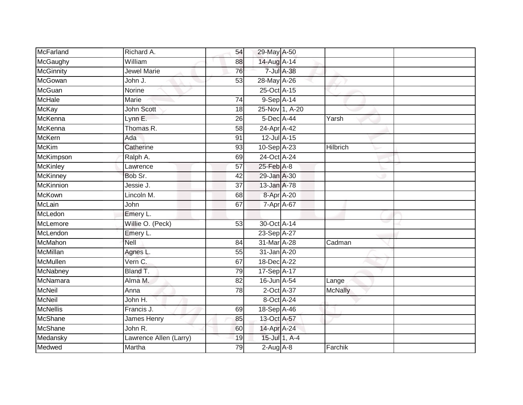| McFarland        | Richard A.             | 54              | 29-May A-50     |                |                 |
|------------------|------------------------|-----------------|-----------------|----------------|-----------------|
| McGaughy         | William                | 88              | 14-Aug A-14     |                |                 |
| <b>McGinnity</b> | <b>Jewel Marie</b>     | 76              |                 | 7-Jul A-38     |                 |
| McGowan          | John J.                | 53              | 28-May A-26     |                |                 |
| <b>McGuan</b>    | Norine                 |                 | 25-Oct A-15     |                |                 |
| <b>McHale</b>    | Marie                  | 74              | 9-Sep A-14      |                |                 |
| <b>McKay</b>     | John Scott             | 18              |                 | 25-Nov 1, A-20 |                 |
| McKenna          | Lynn E.                | 26              | 5-Dec A-44      |                | Yarsh           |
| McKenna          | Thomas R.              | 58              | 24-Apr A-42     |                |                 |
| <b>McKern</b>    | Ada                    | $\overline{91}$ | 12-Jul A-15     |                |                 |
| <b>McKim</b>     | Catherine              | 93              | 10-Sep A-23     |                | <b>Hilbrich</b> |
| McKimpson        | Ralph A.               | 69              | 24-Oct A-24     |                |                 |
| <b>McKinley</b>  | Lawrence               | 57              | $25$ -Feb $A-8$ |                |                 |
| <b>McKinney</b>  | Bob Sr.                | 42              | 29-Jan A-30     |                |                 |
| <b>McKinnion</b> | Jessie J.              | $\overline{37}$ | 13-Jan A-78     |                |                 |
| McKown           | Lincoln M.             | 68              | 8-Apr A-20      |                |                 |
| McLain           | John                   | 67              | 7-Apr A-67      |                |                 |
| McLedon          | Emery L.               |                 |                 |                |                 |
| McLemore         | Willie O. (Peck)       | 53              | 30-Oct A-14     |                |                 |
| McLendon         | Emery L.               |                 | 23-Sep A-27     |                |                 |
| McMahon          | Nell                   | 84              | 31-Mar A-28     |                | Cadman          |
| <b>McMillan</b>  | Agnes L.               | 55              | 31-Jan A-20     |                |                 |
| McMullen         | Vern C.                | 67              | 18-Dec A-22     |                |                 |
| McNabney         | Bland T.               | 79              | 17-Sep A-17     |                |                 |
| McNamara         | Alma M.                | 82              | 16-Jun A-54     |                | Lange           |
| <b>McNeil</b>    | Anna                   | 78              | 2-Oct A-37      |                | <b>McNally</b>  |
| <b>McNeil</b>    | John H.                |                 | 8-Oct A-24      |                |                 |
| <b>McNellis</b>  | Francis J.             | 69              | 18-Sep A-46     |                |                 |
| <b>McShane</b>   | <b>James Henry</b>     | 85              | 13-Oct A-57     |                |                 |
| McShane          | John R.                | 60              | 14-Apr A-24     |                |                 |
| Medansky         | Lawrence Allen (Larry) | 19              |                 | 15-Jul 1, A-4  |                 |
| Medwed           | Martha                 | 79              | $2-Aug$ $A-8$   |                | Farchik         |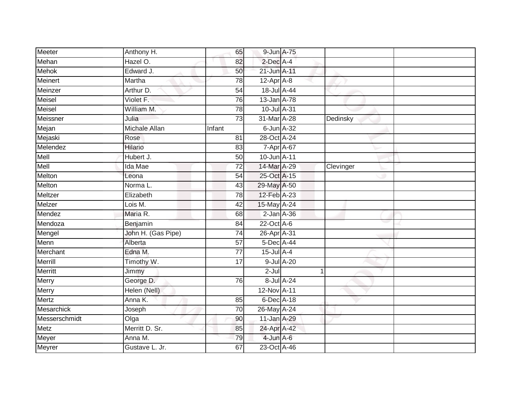| Meeter        | Anthony H.         | 65              | 9-Jun A-75       |                  |           |  |
|---------------|--------------------|-----------------|------------------|------------------|-----------|--|
| Mehan         | Hazel O.           | 82              | 2-Dec A-4        |                  |           |  |
| <b>Mehok</b>  | Edward J.          | 50              | 21-Jun A-11      |                  |           |  |
| Meinert       | Martha             | 78              | $12-Apr$ A-8     |                  |           |  |
| Meinzer       | Arthur D.          | $\overline{54}$ | 18-Jul A-44      |                  |           |  |
| Meisel        | Violet F.          | 76              | 13-Jan A-78      |                  |           |  |
| Meisel        | William M.         | $\overline{78}$ | 10-Jul A-31      |                  |           |  |
| Meissner      | Julia              | $\overline{73}$ | 31-Mar A-28      |                  | Dedinsky  |  |
| Mejan         | Michale Allan      | Infant          | $6$ -Jun $A$ -32 |                  |           |  |
| Mejaski       | Rose               | 81              | 28-Oct A-24      |                  |           |  |
| Melendez      | <b>Hilario</b>     | 83              | 7-Apr A-67       |                  |           |  |
| Mell          | Hubert J.          | 50              | 10-Jun A-11      |                  |           |  |
| Mell          | Ida Mae            | 72              | 14-Mar A-29      |                  | Clevinger |  |
| Melton        | Leona              | 54              | 25-Oct A-15      |                  |           |  |
| Melton        | Norma L.           | 43              | 29-May A-50      |                  |           |  |
| Meltzer       | Elizabeth          | 78              | 12-Feb A-23      |                  |           |  |
| Melzer        | Lois M.            | $\overline{42}$ | 15-May A-24      |                  |           |  |
| Mendez        | Maria R.           | 68              | $2$ -Jan $A$ -36 |                  |           |  |
| Mendoza       | Benjamin           | 84              | 22-Oct A-6       |                  |           |  |
| Mengel        | John H. (Gas Pipe) | 74              | 26-Apr A-31      |                  |           |  |
| Menn          | Alberta            | $\overline{57}$ | 5-Dec A-44       |                  |           |  |
| Merchant      | Edna M.            | $\overline{77}$ | $15$ -Jul $A-4$  |                  |           |  |
| Merrill       | Timothy W.         | 17              |                  | $9$ -Jul $A$ -20 |           |  |
| Merritt       | Jimmy              |                 | $2-Jul$          |                  | 1         |  |
| Merry         | George D.          | 76              |                  | 8-Jul A-24       |           |  |
| Merry         | Helen (Nell)       |                 | 12-Nov A-11      |                  |           |  |
| Mertz         | Anna K.            | 85              | 6-Dec A-18       |                  |           |  |
| Mesarchick    | Joseph             | 70              | 26-May A-24      |                  |           |  |
| Messerschmidt | Olga               | 90              | 11-Jan A-29      |                  |           |  |
| Metz          | Merritt D. Sr.     | 85              | 24-Apr A-42      |                  |           |  |
| Meyer         | Anna M.            | 79              | $4$ -Jun $A$ -6  |                  |           |  |
| <b>Meyrer</b> | Gustave L. Jr.     | 67              | 23-Oct A-46      |                  |           |  |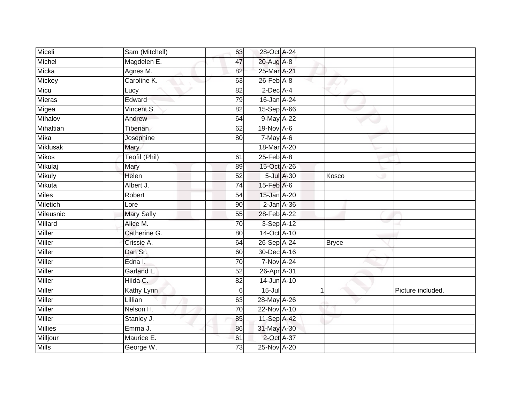| Miceli          | Sam (Mitchell)    | 63              | 28-Oct A-24      |            |              |                   |
|-----------------|-------------------|-----------------|------------------|------------|--------------|-------------------|
| Michel          | Magdelen E.       | 47              | 20-Aug A-8       |            |              |                   |
| Micka           | Agnes M.          | 82              | 25-Mar A-21      |            |              |                   |
| Mickey          | Caroline K.       | 63              | $26$ -Feb $A$ -8 |            |              |                   |
| Micu            | Lucy              | $\overline{82}$ | $2$ -Dec $A$ -4  |            |              |                   |
| Mieras          | Edward            | 79              | 16-Jan A-24      |            |              |                   |
| Migea           | Vincent S.        | 82              | 15-Sep A-66      |            |              |                   |
| Mihalov         | Andrew            | 64              | 9-May A-22       |            |              |                   |
| Mihaltian       | Tiberian          | 62              | 19-Nov A-6       |            |              |                   |
| <b>Mika</b>     | Josephine         | 80              | $7$ -May $A$ -6  |            |              |                   |
| <b>Miklusak</b> | Mary              |                 | 18-Mar A-20      |            |              |                   |
| <b>Mikos</b>    | Teofil (Phil)     | 61              | $25$ -Feb $A$ -8 |            |              |                   |
| Mikulaj         | Mary              | 89              | 15-Oct A-26      |            |              |                   |
| <b>Mikuly</b>   | Helen             | $\overline{52}$ |                  | 5-Jul A-30 | Kosco        |                   |
| Mikuta          | Albert J.         | $\overline{74}$ | 15-Feb A-6       |            |              |                   |
| Miles           | Robert            | 54              | 15-Jan A-20      |            |              |                   |
| Miletich        | Lore              | 90              | $2$ -Jan $A$ -36 |            |              |                   |
| Mileusnic       | <b>Mary Sally</b> | 55              | 28-Feb A-22      |            |              |                   |
| Millard         | Alice M.          | 70              | 3-Sep A-12       |            |              |                   |
| <b>Miller</b>   | Catherine G.      | 80              | 14-Oct A-10      |            |              |                   |
| Miller          | Crissie A.        | 64              | 26-Sep A-24      |            | <b>Bryce</b> |                   |
| Miller          | Dan Sr.           | 60              | 30-Dec A-16      |            |              |                   |
| <b>Miller</b>   | Edna I.           | 70              | 7-Nov A-24       |            |              |                   |
| <b>Miller</b>   | Garland L.        | 52              | 26-Apr A-31      |            |              |                   |
| Miller          | Hilda C.          | 82              | 14-Jun A-10      |            |              |                   |
| <b>Miller</b>   | <b>Kathy Lynn</b> | 6               | $15 -$ Jul       |            | 1            | Picture included. |
| <b>Miller</b>   | Lillian           | 63              | 28-May A-26      |            |              |                   |
| <b>Miller</b>   | Nelson H.         | 70              | 22-Nov A-10      |            |              |                   |
| Miller          | Stanley J.        | 85              | 11-Sep A-42      |            |              |                   |
| <b>Millies</b>  | Emma J.           | 86              | 31-May A-30      |            |              |                   |
| Milljour        | Maurice E.        | 61              | 2-Oct A-37       |            |              |                   |
| <b>Mills</b>    | George W.         | 73              | 25-Nov A-20      |            |              |                   |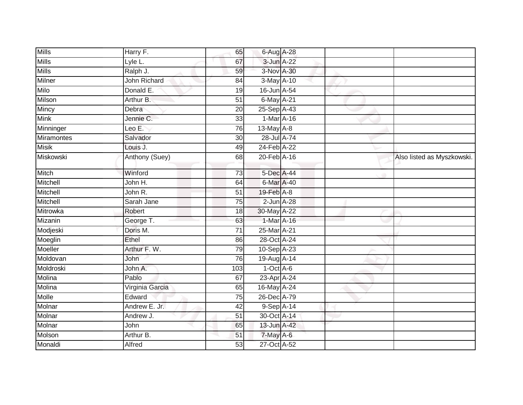| <b>Mills</b>      | Harry F.        | 65              | 6-Aug A-28       |  |                            |
|-------------------|-----------------|-----------------|------------------|--|----------------------------|
| <b>Mills</b>      | Lyle L.         | 67              | 3-Jun A-22       |  |                            |
| <b>Mills</b>      | Ralph J.        | 59              | 3-Nov A-30       |  |                            |
| Milner            | John Richard    | 84              | $3-May$ A-10     |  |                            |
| Milo              | Donald E.       | 19              | 16-Jun A-54      |  |                            |
| Milson            | Arthur B.       | 51              | 6-May A-21       |  |                            |
| Mincy             | Debra           | 20              | 25-Sep A-43      |  |                            |
| <b>Mink</b>       | Jennie C.       | 33              | 1-Mar A-16       |  |                            |
| Minninger         | Leo E.          | 76              | 13-May $A-8$     |  |                            |
| <b>Miramontes</b> | Salvador        | $\overline{30}$ | 28-Jul A-74      |  |                            |
| <b>Misik</b>      | Louis J.        | 49              | 24-Feb A-22      |  |                            |
| Miskowski         | Anthony (Suey)  | 68              | 20-Feb A-16      |  | Also listed as Myszkowski. |
| Mitch             | Winford         | $\overline{73}$ | 5-Dec A-44       |  |                            |
| Mitchell          | John H.         | 64              | 6-Mar A-40       |  |                            |
| Mitchell          | John R.         | 51              | 19-Feb A-8       |  |                            |
| Mitchell          | Sarah Jane      | 75              | $2$ -Jun $A$ -28 |  |                            |
| Mitrowka          | Robert          | 18              | 30-May A-22      |  |                            |
| Mizanin           | George T.       | 63              | 1-Mar A-16       |  |                            |
| Modjeski          | Doris M.        | 71              | 25-Mar A-21      |  |                            |
| Moeglin           | Ethel           | 86              | 28-Oct A-24      |  |                            |
| Moeller           | Arthur F. W.    | 79              | 10-Sep A-23      |  |                            |
| Moldovan          | John            | 76              | 19-Aug A-14      |  |                            |
| Moldroski         | John A.         | 103             | $1-Oct$ A-6      |  |                            |
| Molina            | Pablo           | 67              | 23-Apr A-24      |  |                            |
| Molina            | Virginia Garcia | 65              | 16-May A-24      |  |                            |
| Molle             | Edward          | 75              | 26-Dec A-79      |  |                            |
| Molnar            | Andrew E. Jr.   | 42              | 9-Sep A-14       |  |                            |
| Molnar            | Andrew J.       | 51              | 30-Oct A-14      |  |                            |
| Molnar            | John            | 65              | 13-Jun A-42      |  |                            |
| Molson            | Arthur B.       | 51              | $7$ -May A-6     |  |                            |
| Monaldi           | Alfred          | 53              | 27-Oct A-52      |  |                            |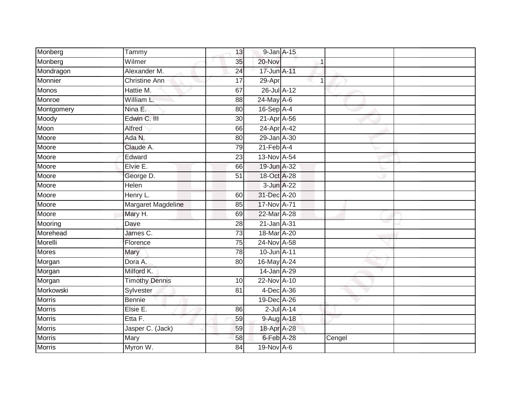| 13<br>35        | 9-Jan A-15                                                                                                                                                                                                                           |   |                                                                                                                                                                                                                                                                                                                                                                                                                                                                                               |   |
|-----------------|--------------------------------------------------------------------------------------------------------------------------------------------------------------------------------------------------------------------------------------|---|-----------------------------------------------------------------------------------------------------------------------------------------------------------------------------------------------------------------------------------------------------------------------------------------------------------------------------------------------------------------------------------------------------------------------------------------------------------------------------------------------|---|
|                 | 20-Nov                                                                                                                                                                                                                               | 1 |                                                                                                                                                                                                                                                                                                                                                                                                                                                                                               |   |
| 24              |                                                                                                                                                                                                                                      |   |                                                                                                                                                                                                                                                                                                                                                                                                                                                                                               |   |
| 17              |                                                                                                                                                                                                                                      |   |                                                                                                                                                                                                                                                                                                                                                                                                                                                                                               |   |
| 67              |                                                                                                                                                                                                                                      |   |                                                                                                                                                                                                                                                                                                                                                                                                                                                                                               |   |
| 88              |                                                                                                                                                                                                                                      |   |                                                                                                                                                                                                                                                                                                                                                                                                                                                                                               |   |
| 80              |                                                                                                                                                                                                                                      |   |                                                                                                                                                                                                                                                                                                                                                                                                                                                                                               |   |
| 30              |                                                                                                                                                                                                                                      |   |                                                                                                                                                                                                                                                                                                                                                                                                                                                                                               |   |
| 66              |                                                                                                                                                                                                                                      |   |                                                                                                                                                                                                                                                                                                                                                                                                                                                                                               |   |
| 80              |                                                                                                                                                                                                                                      |   |                                                                                                                                                                                                                                                                                                                                                                                                                                                                                               |   |
| 79              |                                                                                                                                                                                                                                      |   |                                                                                                                                                                                                                                                                                                                                                                                                                                                                                               |   |
| 23              |                                                                                                                                                                                                                                      |   |                                                                                                                                                                                                                                                                                                                                                                                                                                                                                               |   |
| 66              |                                                                                                                                                                                                                                      |   |                                                                                                                                                                                                                                                                                                                                                                                                                                                                                               |   |
| 51              |                                                                                                                                                                                                                                      |   |                                                                                                                                                                                                                                                                                                                                                                                                                                                                                               |   |
|                 |                                                                                                                                                                                                                                      |   |                                                                                                                                                                                                                                                                                                                                                                                                                                                                                               |   |
| 60              |                                                                                                                                                                                                                                      |   |                                                                                                                                                                                                                                                                                                                                                                                                                                                                                               |   |
| 85              |                                                                                                                                                                                                                                      |   |                                                                                                                                                                                                                                                                                                                                                                                                                                                                                               |   |
| 69              |                                                                                                                                                                                                                                      |   |                                                                                                                                                                                                                                                                                                                                                                                                                                                                                               |   |
| 28              |                                                                                                                                                                                                                                      |   |                                                                                                                                                                                                                                                                                                                                                                                                                                                                                               |   |
| 73              |                                                                                                                                                                                                                                      |   |                                                                                                                                                                                                                                                                                                                                                                                                                                                                                               |   |
| 75              |                                                                                                                                                                                                                                      |   |                                                                                                                                                                                                                                                                                                                                                                                                                                                                                               |   |
| $\overline{78}$ |                                                                                                                                                                                                                                      |   |                                                                                                                                                                                                                                                                                                                                                                                                                                                                                               |   |
| 80              |                                                                                                                                                                                                                                      |   |                                                                                                                                                                                                                                                                                                                                                                                                                                                                                               |   |
|                 |                                                                                                                                                                                                                                      |   |                                                                                                                                                                                                                                                                                                                                                                                                                                                                                               |   |
| 10              |                                                                                                                                                                                                                                      |   |                                                                                                                                                                                                                                                                                                                                                                                                                                                                                               |   |
| 81              |                                                                                                                                                                                                                                      |   |                                                                                                                                                                                                                                                                                                                                                                                                                                                                                               |   |
|                 |                                                                                                                                                                                                                                      |   |                                                                                                                                                                                                                                                                                                                                                                                                                                                                                               |   |
| 86              |                                                                                                                                                                                                                                      |   |                                                                                                                                                                                                                                                                                                                                                                                                                                                                                               |   |
| 59              |                                                                                                                                                                                                                                      |   |                                                                                                                                                                                                                                                                                                                                                                                                                                                                                               |   |
| 59              |                                                                                                                                                                                                                                      |   |                                                                                                                                                                                                                                                                                                                                                                                                                                                                                               |   |
| 58              |                                                                                                                                                                                                                                      |   | Cengel                                                                                                                                                                                                                                                                                                                                                                                                                                                                                        |   |
| $\overline{84}$ |                                                                                                                                                                                                                                      |   |                                                                                                                                                                                                                                                                                                                                                                                                                                                                                               |   |
| Henry L.        | Alexander M.<br>Christine Ann<br>Hattie M.<br>William L.<br>Edwin C. III<br>Claude A.<br>George D.<br>Margaret Magdeline<br>James C.<br>Florence<br>Milford K.<br><b>Timothy Dennis</b><br>Sylvester<br>Jasper C. (Jack)<br>Myron W. |   | 17-Jun A-11<br>29-Apr<br>26-Jul A-12<br>$24$ -May $A-6$<br>$16-SepA-4$<br>21-Apr A-56<br>24-Apr A-42<br>29-Jan A-30<br>$21$ -Feb $\overline{A}$ -4<br>13-Nov A-54<br>19-Jun A-32<br>18-Oct A-28<br>3-Jun A-22<br>31-Dec A-20<br>17-Nov A-71<br>22-Mar A-28<br>21-Jan A-31<br>18-Mar A-20<br>24-Nov A-58<br>$10$ -Jun $\overline{A}$ -11<br>16-May A-24<br>14-Jan A-29<br>22-Nov A-10<br>4-Dec A-36<br>19-Dec A-26<br>$2$ -Jul $A-14$<br>9-Aug A-18<br>18-Apr A-28<br>6-Feb A-28<br>19-Nov A-6 | 1 |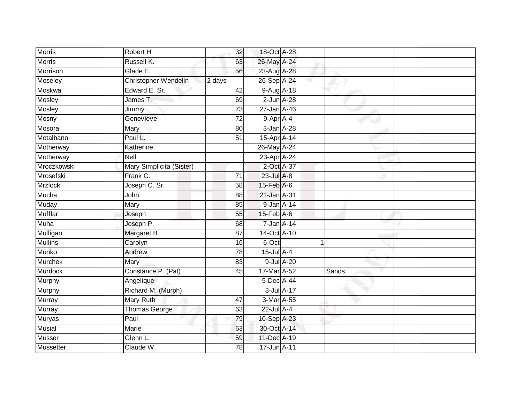| <b>Morris</b>    | Robert H.                | 32              | 18-Oct A-28       |            |       |  |
|------------------|--------------------------|-----------------|-------------------|------------|-------|--|
| <b>Morris</b>    | Russell K.               | 63              | 26-May A-24       |            |       |  |
| Morrison         | Glade E.                 | 56              | 23-Aug A-28       |            |       |  |
| Moseley          | Christopher Wendelin     | 2 days          | 26-Sep A-24       |            |       |  |
| Moskwa           | Edward E. Sr.            | 42              | 9-Aug A-18        |            |       |  |
| Mosley           | James T.                 | 69              | $2$ -Jun $A-28$   |            |       |  |
| Mosley           | Jimmy                    | $\overline{73}$ | $27 - Jan A - 46$ |            |       |  |
| Mosny            | Genevieve                | 72              | 9-Apr A-4         |            |       |  |
| Mosora           | Mary                     | 80              | $3$ -Jan $A-28$   |            |       |  |
| Motalbano        | Paul L.                  | $\overline{51}$ | 15-Apr A-14       |            |       |  |
| Motherway        | Katherine                |                 | 26-May A-24       |            |       |  |
| Motherway        | Nell                     |                 | 23-Apr A-24       |            |       |  |
| Mroczkowski      | Mary Simplicita (Sister) |                 | 2-Oct A-37        |            |       |  |
| Mrosefski        | Frank G.                 | 71              | 23-Jul A-8        |            |       |  |
| <b>Mrzlock</b>   | Joseph C. Sr.            | $\overline{58}$ | $15$ -Feb $A$ -6  |            |       |  |
| <b>Mucha</b>     | John                     | 88              | 21-Jan A-31       |            |       |  |
| Muday            | Mary                     | 85              | 9-Jan A-14        |            |       |  |
| <b>Mufflar</b>   | Joseph                   | 55              | $15$ -Feb $A$ -6  |            |       |  |
| <b>Muha</b>      | Joseph P.                | 68              | $7$ -Jan $A-14$   |            |       |  |
| Mulligan         | Margaret B.              | $\overline{87}$ | 14-Oct A-10       |            |       |  |
| <b>Mullins</b>   | Carolyn                  | 16              | 6-Oct             |            |       |  |
| Munko            | Andrew                   | 78              | 15-Jul A-4        |            |       |  |
| Murchek          | Mary                     | 83              |                   | 9-Jul A-20 |       |  |
| Murdock          | Constance P. (Pat)       | 45              | 17-Mar A-52       |            | Sands |  |
| Murphy           | Angelique                |                 | 5-Dec A-44        |            |       |  |
| Murphy           | Richard M. (Murph)       |                 |                   | 3-Jul A-17 |       |  |
| Murray           | Mary Ruth                | 47              | 3-Mar A-55        |            |       |  |
| <b>Murray</b>    | <b>Thomas George</b>     | 63              | 22-Jul A-4        |            |       |  |
| <b>Muryas</b>    | Paul                     | 79              | 10-Sep A-23       |            |       |  |
| Musial           | Marie                    | 63              | 30-Oct A-14       |            |       |  |
| Musser           | Glenn L.                 | 59              | 11-Dec A-19       |            |       |  |
| <b>Mussetter</b> | Claude W.                | 78              | 17-Jun A-11       |            |       |  |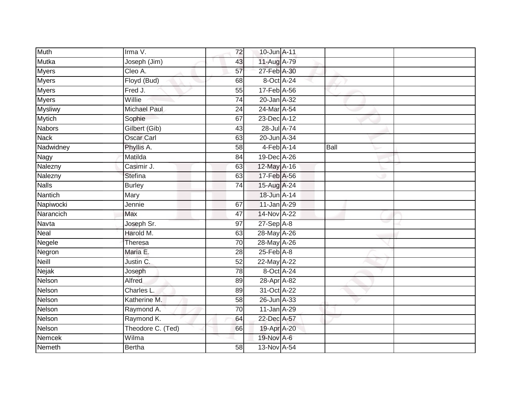| <b>Muth</b>    | Irma V.             | 72              | 10-Jun A-11      |      |  |
|----------------|---------------------|-----------------|------------------|------|--|
| Mutka          | Joseph (Jim)        | 43              | 11-Aug A-79      |      |  |
| <b>Myers</b>   | Cleo A.             | 57              | 27-Feb A-30      |      |  |
| <b>Myers</b>   | Floyd (Bud)         | 68              | 8-Oct A-24       |      |  |
| <b>Myers</b>   | Fred J.             | $\overline{55}$ | 17-Feb A-56      |      |  |
| Myers          | Willie              | $\overline{74}$ | 20-Jan A-32      |      |  |
| <b>Mysliwy</b> | <b>Michael Paul</b> | 24              | 24-Mar A-54      |      |  |
| <b>Mytich</b>  | Sophie              | 67              | 23-Dec A-12      |      |  |
| <b>Nabors</b>  | Gilbert (Gib)       | 43              | 28-Jul A-74      |      |  |
| <b>Nack</b>    | <b>Oscar Carl</b>   | 63              | 20-Jun A-34      |      |  |
| Nadwidney      | Phyllis A.          | $\overline{58}$ | $4-Feb$ A-14     | Ball |  |
| Nagy           | Matilda             | 84              | 19-Dec A-26      |      |  |
| Nalezny        | Casimir J.          | 63              | 12-May A-16      |      |  |
| Nalezny        | <b>Stefina</b>      | 63              | 17-Feb A-56      |      |  |
| <b>Nalls</b>   | <b>Burley</b>       | $\overline{74}$ | 15-Aug A-24      |      |  |
| Nantich        | Mary                |                 | 18-Jun A-14      |      |  |
| Napiwocki      | Jennie              | 67              | 11-Jan A-29      |      |  |
| Narancich      | Max                 | 47              | 14-Nov A-22      |      |  |
| Navta          | Joseph Sr.          | 97              | $27-Sep$ A-8     |      |  |
| <b>Neal</b>    | Harold M.           | 63              | 28-May A-26      |      |  |
| Negele         | Theresa             | 70              | 28-May A-26      |      |  |
| Negron         | Maria E.            | 28              | $25$ -Feb $A$ -8 |      |  |
| Neill          | Justin C.           | 52              | 22-May A-22      |      |  |
| Nejak          | Joseph              | 78              | 8-Oct A-24       |      |  |
| Nelson         | Alfred              | 89              | 28-Apr A-82      |      |  |
| Nelson         | Charles L.          | 89              | 31-Oct A-22      |      |  |
| Nelson         | Katherine M.        | 58              | 26-Jun A-33      |      |  |
| Nelson         | Raymond A.          | 70              | 11-Jan A-29      |      |  |
| Nelson         | Raymond K.          | 64              | 22-Dec A-57      |      |  |
| Nelson         | Theodore C. (Ted)   | 66              | 19-Apr A-20      |      |  |
| Nemcek         | Wilma               |                 | 19-Nov A-6       |      |  |
| <b>Nemeth</b>  | <b>Bertha</b>       | 58              | 13-Nov A-54      |      |  |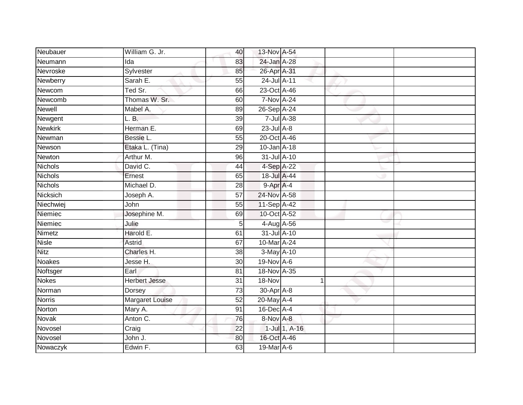| Neubauer        | William G. Jr.       | 40              | 13-Nov A-54       |               |  |
|-----------------|----------------------|-----------------|-------------------|---------------|--|
| Neumann         | Ida                  | 83              | 24-Jan A-28       |               |  |
| <b>Nevroske</b> | Sylvester            | 85              | 26-Apr A-31       |               |  |
| Newberry        | Sarah E.             | 55              | 24-Jul A-11       |               |  |
| Newcom          | Ted Sr.              | 66              | 23-Oct A-46       |               |  |
| Newcomb         | Thomas W. Sr.        | 60              | <b>7-Nov A-24</b> |               |  |
| Newell          | Mabel A.             | 89              | 26-Sep A-24       |               |  |
| Newgent         | L. B.                | 39              | 7-Jul A-38        |               |  |
| Newkirk         | Herman E.            | 69              | $23$ -Jul $A-8$   |               |  |
| Newman          | Bessie L.            | 55              | 20-Oct A-46       |               |  |
| Newson          | Etaka L. (Tina)      | 29              | 10-Jan A-18       |               |  |
| Newton          | Arthur M.            | 96              | 31-Jul A-10       |               |  |
| <b>Nichols</b>  | David C.             | 44              | 4-Sep A-22        |               |  |
| <b>Nichols</b>  | Ernest               | 65              | 18-Jul A-44       |               |  |
| <b>Nichols</b>  | Michael D.           | 28              | 9-Apr A-4         |               |  |
| Nicksich        | Joseph A.            | 57              | 24-Nov A-58       |               |  |
| Niechwiej       | John                 | $\overline{55}$ | 11-Sep A-42       |               |  |
| Niemiec         | Josephine M.         | 69              | 10-Oct A-52       |               |  |
| Niemiec         | Julie                | 5               | 4-Aug A-56        |               |  |
| Nimetz          | Harold E.            | 61              | 31-Jul A-10       |               |  |
| <b>Nisle</b>    | Astrid               | 67              | 10-Mar A-24       |               |  |
| <b>Nitz</b>     | Charles H.           | $\overline{38}$ | 3-May A-10        |               |  |
| Noakes          | Jesse H.             | 30              | 19-Nov A-6        |               |  |
| Noftsger        | Earl                 | 81              | 18-Nov A-35       |               |  |
| <b>Nokes</b>    | <b>Herbert Jesse</b> | 31              | 18-Nov            |               |  |
| Norman          | Dorsey               | 73              | 30-Apr A-8        |               |  |
| <b>Norris</b>   | Margaret Louise      | 52              | 20-May A-4        |               |  |
| Norton          | Mary A.              | 91              | $16$ -Dec $A$ -4  |               |  |
| Novak           | Anton C.             | 76              | 8-Nov A-8         |               |  |
| Novosel         | Craig                | 22              |                   | 1-Jul 1, A-16 |  |
| Novosel         | John J.              | 80              | 16-Oct A-46       |               |  |
| Nowaczyk        | Edwin F.             | 63              | 19-Mar A-6        |               |  |
|                 |                      |                 |                   |               |  |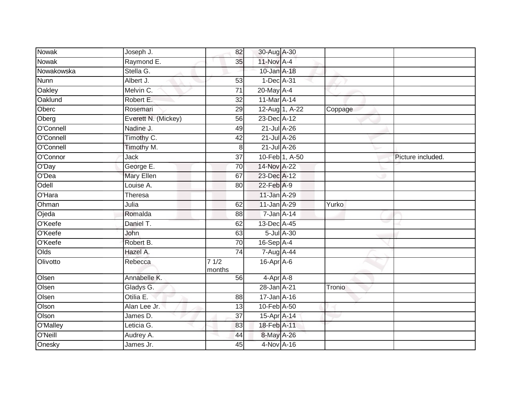| <b>Nowak</b> | Joseph J.           | 82              | 30-Aug A-30      |                |         |                   |
|--------------|---------------------|-----------------|------------------|----------------|---------|-------------------|
| Nowak        | Raymond E.          | 35              | 11-Nov A-4       |                |         |                   |
| Nowakowska   | Stella G.           |                 | 10-Jan A-18      |                |         |                   |
| Nunn         | Albert J.           | 53              | $1-Dec$ A-31     |                |         |                   |
| Oakley       | Melvin C.           | $\overline{71}$ | 20-May A-4       |                |         |                   |
| Oaklund      | Robert E.           | $\overline{32}$ | 11-Mar A-14      |                |         |                   |
| Oberc        | Rosemari            | 29              |                  | 12-Aug 1, A-22 | Coppage |                   |
| Oberg        | Everett N. (Mickey) | 56              | 23-Dec A-12      |                |         |                   |
| O'Connell    | Nadine J.           | 49              | 21-Jul A-26      |                |         |                   |
| O'Connell    | Timothy C.          | $\overline{42}$ | 21-Jul A-26      |                |         |                   |
| O'Connell    | Timothy M.          | 8 <sup>1</sup>  | 21-Jul A-26      |                |         |                   |
| O'Connor     | Jack                | 37              |                  | 10-Feb 1, A-50 |         | Picture included. |
| O'Day        | George E.           | 70              | 14-Nov A-22      |                |         |                   |
| O'Dea        | <b>Mary Ellen</b>   | 67              | 23-Dec A-12      |                |         |                   |
| Odell        | Louise A.           | 80              | 22-Feb A-9       |                |         |                   |
| O'Hara       | <b>Theresa</b>      |                 | 11-Jan A-29      |                |         |                   |
| Ohman        | Julia               | 62              | 11-Jan A-29      |                | Yurko   |                   |
| Ojeda        | Romalda             | 88              | 7-Jan A-14       |                |         |                   |
| O'Keefe      | Daniel T.           | 62              | 13-Dec A-45      |                |         |                   |
| O'Keefe      | <b>John</b>         | 63              |                  | 5-Jul A-30     |         |                   |
| O'Keefe      | Robert B.           | 70              | $16-Sep$ A-4     |                |         |                   |
| Olds         | Hazel A.            | 74              | 7-Aug A-44       |                |         |                   |
| Olivotto     | Rebecca             | 71/2<br>months  | $16$ -Apr $A$ -6 |                |         |                   |
| Olsen        | Annabelle K.        | 56              | 4-Apr A-8        |                |         |                   |
| Olsen        | Gladys G.           |                 | 28-Jan A-21      |                | Tronio  |                   |
| Olsen        | Otilia E.           | 88              | 17-Jan A-16      |                |         |                   |
| Olson        | Alan Lee Jr.        | 13              | 10-Feb A-50      |                |         |                   |
| Olson        | James D.            | 37              | 15-Apr A-14      |                |         |                   |
| O'Malley     | Leticia G.          | 83              | 18-Feb A-11      |                |         |                   |
| O'Neill      | Audrey A.           | 44              | 8-May A-26       |                |         |                   |
| Onesky       | James Jr.           | 45              | $4-Nov A-16$     |                |         |                   |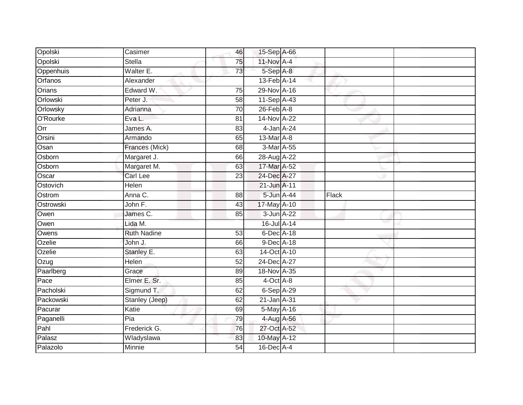| Opolski   | Casimer               | 46              | 15-Sep A-66      |       |  |
|-----------|-----------------------|-----------------|------------------|-------|--|
| Opolski   | <b>Stella</b>         | 75              | $11-Nov$ A-4     |       |  |
| Oppenhuis | Walter E.             | 73              | 5-Sep A-8        |       |  |
| Orfanos   | Alexander             |                 | 13-Feb A-14      |       |  |
| Orians    | Edward W.             | $\overline{75}$ | 29-Nov A-16      |       |  |
| Orlowski  | Peter J.              | 58              | 11-Sep A-43      |       |  |
| Orlowsky  | Adrianna              | 70              | $26$ -Feb $A$ -8 |       |  |
| O'Rourke  | Eva L.                | 81              | 14-Nov A-22      |       |  |
| Orr       | James A.              | 83              | 4-Jan A-24       |       |  |
| Orsini    | Armando               | 65              | 13-Mar A-8       |       |  |
| Osan      | Frances (Mick)        | 68              | 3-Mar A-55       |       |  |
| Osborn    | Margaret J.           | 66              | 28-Aug A-22      |       |  |
| Osborn    | Margaret M.           | 63              | 17-Mar A-52      |       |  |
| Oscar     | <b>Carl Lee</b>       | 23              | 24-Dec A-27      |       |  |
| Ostovich  | <b>Helen</b>          |                 | 21-Jun A-11      |       |  |
| Ostrom    | Anna C.               | 88              | 5-Jun A-44       | Flack |  |
| Ostrowski | John F.               | $\overline{43}$ | 17-May A-10      |       |  |
| Owen      | James C.              | 85              | 3-Jun A-22       |       |  |
| Owen      | Lida M.               |                 | 16-Jul A-14      |       |  |
| Owens     | <b>Ruth Nadine</b>    | 53              | 6-Dec A-18       |       |  |
| Ozelie    | John J.               | 66              | 9-Dec A-18       |       |  |
| Ozelie    | Stanley E.            | 63              | 14-Oct A-10      |       |  |
| Ozug      | Helen                 | 52              | 24-Dec A-27      |       |  |
| Paarlberg | Grace                 | 89              | 18-Nov A-35      |       |  |
| Pace      | Elmer E. Sr.          | 85              | 4-Oct A-8        |       |  |
| Pacholski | Sigmund T.            | 62              | $6-Sep$ $A-29$   |       |  |
| Packowski | <b>Stanley (Jeep)</b> | 62              | 21-Jan A-31      |       |  |
| Pacurar   | Katie                 | 69              | 5-May A-16       |       |  |
| Paganelli | Pia                   | 79              | 4-Aug A-56       |       |  |
| Pahl      | Frederick G.          | 76              | 27-Oct A-52      |       |  |
| Palasz    | Wladyslawa            | 83              | 10-May A-12      |       |  |
| Palazolo  | <b>Minnie</b>         | $\overline{54}$ | 16-Dec A-4       |       |  |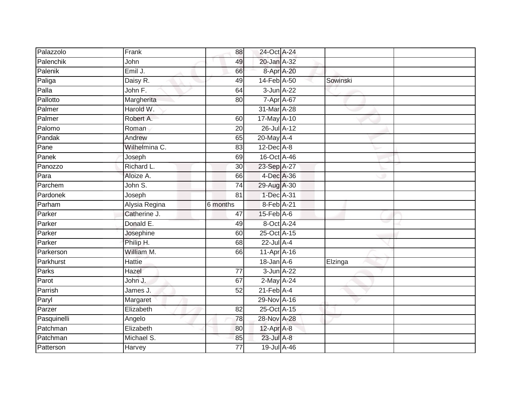| Palazzolo   | Frank         | 88              | 24-Oct A-24      |          |  |
|-------------|---------------|-----------------|------------------|----------|--|
| Palenchik   | John          | 49              | 20-Jan A-32      |          |  |
| Palenik     | Emil J.       | 66              | 8-Apr A-20       |          |  |
| Paliga      | Daisy R.      | 49              | 14-Feb A-50      | Sowinski |  |
| Palla       | John F.       | 64              | 3-Jun A-22       |          |  |
| Pallotto    | Margherita    | 80              | $7 - Apr$ $A-67$ |          |  |
| Palmer      | Harold W.     |                 | 31-Mar A-28      |          |  |
| Palmer      | Robert A.     | 60              | 17-May A-10      |          |  |
| Palomo      | Roman         | 20              | 26-Jul A-12      |          |  |
| Pandak      | Andrew        | 65              | 20-May A-4       |          |  |
| Pane        | Wilhelmina C. | 83              | $12$ -Dec $A-8$  |          |  |
| Panek       | Joseph        | 69              | 16-Oct A-46      |          |  |
| Panozzo     | Richard L.    | 30              | 23-Sep A-27      |          |  |
| Para        | Aloize A.     | 66              | 4-Dec A-36       |          |  |
| Parchem     | John S.       | $\overline{74}$ | 29-Aug A-30      |          |  |
| Pardonek    | Joseph        | 81              | 1-Dec A-31       |          |  |
| Parham      | Alysia Regina | 6 months        | 8-Feb A-21       |          |  |
| Parker      | Catherine J.  | 47              | $15$ -Feb $A$ -6 |          |  |
| Parker      | Donald E.     | 49              | 8-Oct A-24       |          |  |
| Parker      | Josephine     | 60              | 25-Oct A-15      |          |  |
| Parker      | Philip H.     | 68              | 22-Jul A-4       |          |  |
| Parkerson   | William M.    | 66              | 11-Apr A-16      |          |  |
| Parkhurst   | Hattie        |                 | 18-Jan A-6       | Elzinga  |  |
| Parks       | Hazel         | 77              | 3-Jun A-22       |          |  |
| Parot       | John J.       | 67              | 2-May A-24       |          |  |
| Parrish     | James J.      | $\overline{52}$ | $21$ -Feb $A$ -4 |          |  |
| Paryl       | Margaret      |                 | 29-Nov A-16      |          |  |
| Parzer      | Elizabeth     | 82              | 25-Oct A-15      |          |  |
| Pasquinelli | Angelo        | 78              | 28-Nov A-28      |          |  |
| Patchman    | Elizabeth     | 80              | 12-Apr A-8       |          |  |
| Patchman    | Michael S.    | 85              | 23-Jul A-8       |          |  |
| Patterson   | Harvey        | $\overline{77}$ | 19-Jul A-46      |          |  |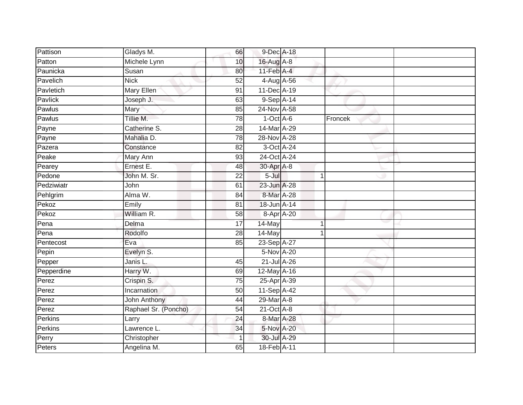| Pattison   | Gladys M.            | 66              | 9-Dec A-18       |   |         |  |
|------------|----------------------|-----------------|------------------|---|---------|--|
| Patton     | Michele Lynn         | 10              | 16-Aug A-8       |   |         |  |
| Paunicka   | Susan                | 80              | $11$ -Feb $A$ -4 |   |         |  |
| Pavelich   | <b>Nick</b>          | 52              | 4-Aug A-56       |   |         |  |
| Pavletich  | Mary Ellen           | 91              | 11-Dec A-19      |   |         |  |
| Pavlick    | Joseph J.            | 63              | 9-Sep A-14       |   |         |  |
| Pawlus     | Mary                 | 85              | 24-Nov A-58      |   |         |  |
| Pawlus     | Tillie M.            | 78              | $1-Oct$ A-6      |   | Froncek |  |
| Payne      | Catherine S.         | 28              | 14-Mar A-29      |   |         |  |
| Payne      | Mahalia D.           | 78              | 28-Nov A-28      |   |         |  |
| Pazera     | Constance            | 82              | 3-Oct A-24       |   |         |  |
| Peake      | Mary Ann             | 93              | 24-Oct A-24      |   |         |  |
| Pearey     | Ernest E.            | 48              | 30-Apr A-8       |   |         |  |
| Pedone     | John M. Sr.          | 22              | $5 -$ Jul        | 1 |         |  |
| Pedziwiatr | John                 | 61              | 23-Jun A-28      |   |         |  |
| Pehlgrim   | Alma W.              | 84              | 8-Mar A-28       |   |         |  |
| Pekoz      | Emily                | $\overline{81}$ | 18-Jun A-14      |   |         |  |
| Pekoz      | William R.           | 58              | 8-Apr A-20       |   |         |  |
| Pena       | Delma                | 17              | 14-May           |   |         |  |
| Pena       | Rodolfo              | $\overline{28}$ | $14$ -May        | 1 |         |  |
| Pentecost  | Eva                  | 85              | 23-Sep A-27      |   |         |  |
| Pepin      | Evelyn S.            |                 | 5-Nov A-20       |   |         |  |
| Pepper     | Janis L.             | 45              | $21$ -Jul A-26   |   |         |  |
| Pepperdine | Harry W.             | 69              | 12-May A-16      |   |         |  |
| Perez      | Crispin S.           | 75              | 25-Apr A-39      |   |         |  |
| Perez      | Incarnation          | 50              | 11-Sep A-42      |   |         |  |
| Perez      | <b>John Anthony</b>  | 44              | 29-Mar A-8       |   |         |  |
| Perez      | Raphael Sr. (Poncho) | 54              | 21-Oct A-8       |   |         |  |
| Perkins    | Larry                | 24              | 8-Mar A-28       |   |         |  |
| Perkins    | Lawrence L.          | 34              | 5-Nov A-20       |   |         |  |
| Perry      | Christopher          |                 | 30-Jul A-29      |   |         |  |
| Peters     | Angelina M.          | 65              | 18-Feb A-11      |   |         |  |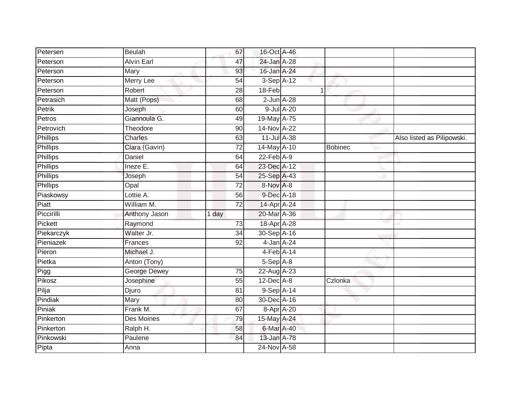| Petersen        | <b>Beulah</b>       | 67              | 16-Oct A-46     |            |                |                            |
|-----------------|---------------------|-----------------|-----------------|------------|----------------|----------------------------|
| Peterson        | <b>Alvin Earl</b>   | 47              | 24-Jan A-28     |            |                |                            |
| Peterson        | Mary                | 93              | 16-Jan A-24     |            |                |                            |
| Peterson        | Merry Lee           | 54              | 3-Sep A-12      |            |                |                            |
| Peterson        | Robert              | $\overline{28}$ | 18-Feb          | 1          |                |                            |
| Petrasich       | Matt (Pops)         | 68              | $2$ -Jun $A-28$ |            |                |                            |
| Petrik          | Joseph              | 60              |                 | 9-Jul A-20 |                |                            |
| Petros          | Giannoula G.        | 49              | 19-May A-75     |            |                |                            |
| Petrovich       | Theodore            | 90              | 14-Nov A-22     |            |                |                            |
| Phillips        | Charles             | 63              | 11-Jul A-38     |            |                | Also listed as Pilipowski. |
| <b>Phillips</b> | Clara (Gavin)       | 72              | 14-May A-10     |            | <b>Bobinec</b> |                            |
| Phillips        | Daniel              | 64              | $22$ -Feb $A-9$ |            |                |                            |
| Phillips        | Ineze E.            | 64              | 23-Dec A-12     |            |                |                            |
| <b>Phillips</b> | Joseph              | 54              | 25-Sep A-43     |            |                |                            |
| <b>Phillips</b> | Opal                | $\overline{72}$ | 8-Nov A-8       |            |                |                            |
| Piaskowsy       | Lottie A.           | 56              | 9-Dec A-18      |            |                |                            |
| Piatt           | William M.          | 72              | 14-Apr A-24     |            |                |                            |
| Piccirilli      | Anthony Jason       | 1 day           | 20-Mar A-36     |            |                |                            |
| Pickett         | Raymond             | 73              | 18-Apr A-28     |            |                |                            |
| Piekarczyk      | Walter Jr.          | 34              | 30-Sep A-16     |            |                |                            |
| Pieniazek       | Frances             | 92              | 4-Jan A-24      |            |                |                            |
| Pieron          | Michael J.          |                 | $4-Feb$ A-14    |            |                |                            |
| Pietka          | Anton (Tony)        |                 | 5-Sep A-8       |            |                |                            |
| Pigg            | <b>George Dewey</b> | $\overline{75}$ | 22-Aug A-23     |            |                |                            |
| Pikosz          | Josephine           | 55              | $12$ -Dec $A-8$ |            | Czlonka        |                            |
| Pilja           | Djuro               | 81              | $9-SepA-14$     |            |                |                            |
| Pindiak         | Mary                | 80              | 30-Dec A-16     |            |                |                            |
| Piniak          | Frank M.            | 67              |                 | 8-Apr A-20 |                |                            |
| Pinkerton       | Des Moines          | 79              | 15-May A-24     |            |                |                            |
| Pinkerton       | Ralph H.            | 58              | 6-Mar A-40      |            |                |                            |
| Pinkowski       | Paulene             | 84              | 13-Jan A-78     |            |                |                            |
| Pipta           | Anna                |                 | 24-Nov A-58     |            |                |                            |
|                 |                     |                 |                 |            |                |                            |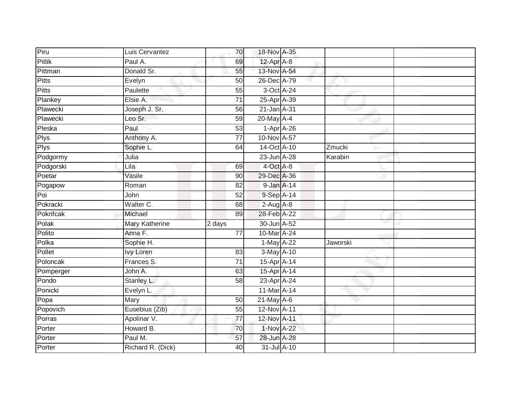| Piru         | Luis Cervantez    | 70              | 18-Nov A-35     |          |  |
|--------------|-------------------|-----------------|-----------------|----------|--|
| Pitlik       | Paul A.           | 69              | 12-Apr A-8      |          |  |
| Pittman      | Donald Sr.        | 55              | 13-Nov A-54     |          |  |
| Pitts        | Evelyn            | 50              | 26-Dec A-79     |          |  |
| <b>Pitts</b> | Paulette          | $\overline{55}$ | 3-Oct A-24      |          |  |
| Plankey      | Elsie A.          | $\overline{71}$ | 25-Apr A-39     |          |  |
| Plawecki     | Joseph J. Sr.     | 56              | 21-Jan A-31     |          |  |
| Plawecki     | Leo Sr.           | 59              | 20-May A-4      |          |  |
| Pleska       | Paul              | 53              | $1-Apr$ $A-26$  |          |  |
| <b>Plys</b>  | Anthony A.        | $\overline{77}$ | 10-Nov A-57     |          |  |
| <b>Plys</b>  | Sophie L.         | 64              | 14-Oct A-10     | Zmucki   |  |
| Podgormy     | Julia             |                 | 23-Jun A-28     | Karabin  |  |
| Podgorski    | Lila              | 69              | 4-Oct A-8       |          |  |
| Poetar       | Vasile            | 90              | 29-Dec A-36     |          |  |
| Pogapow      | Roman             | $\overline{82}$ | 9-Jan A-14      |          |  |
| Poi          | John              | $\overline{52}$ | 9-Sep A-14      |          |  |
| Pokracki     | Walter C.         | 68              | $2-Aug$ $A-8$   |          |  |
| Pokrifcak    | Michael           | 89              | 28-Feb A-22     |          |  |
| Polak        | Mary Katherine    | 2 days          | 30-Jun A-52     |          |  |
| Polito       | Anna F.           | $\overline{77}$ | 10-Mar A-24     |          |  |
| Polka        | Sophie H.         |                 | 1-May A-22      | Jaworski |  |
| Pollet       | <b>Ivy Loren</b>  | 83              | 3-May A-10      |          |  |
| Poloncak     | Frances S.        | $\overline{71}$ | 15-Apr A-14     |          |  |
| Pomperger    | John A.           | 63              | 15-Apr A-14     |          |  |
| Pondo        | Stanley L.        | 58              | 23-Apr A-24     |          |  |
| Ponicki      | Evelyn L.         |                 | 11-Mar A-14     |          |  |
| Popa         | Mary              | 50              | $21$ -May $A-6$ |          |  |
| Popovich     | Eusebius (Zib)    | 55              | 12-Nov A-11     |          |  |
| Porras       | Apolinar V.       | $\overline{77}$ | 12-Nov A-11     |          |  |
| Porter       | Howard B.         | 70              | 1-Nov A-22      |          |  |
| Porter       | Paul M.           | 57              | 28-Jun A-28     |          |  |
| Porter       | Richard R. (Dick) | 40              | 31-Jul A-10     |          |  |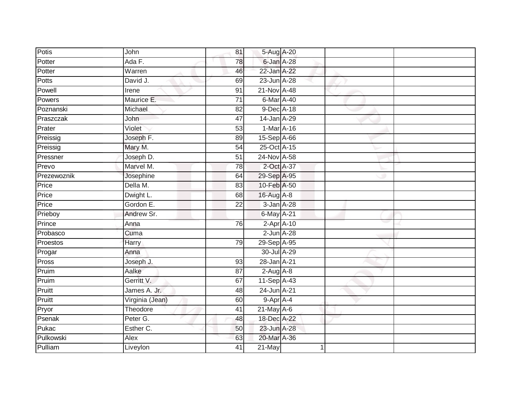| Potis       | John            | 81              | 5-Aug A-20      |  |  |
|-------------|-----------------|-----------------|-----------------|--|--|
| Potter      | Ada F.          | 78              | 6-Jan A-28      |  |  |
| Potter      | Warren          | 46              | 22-Jan A-22     |  |  |
| Potts       | David J.        | 69              | 23-Jun A-28     |  |  |
| Powell      | Irene           | $\overline{91}$ | 21-Nov A-48     |  |  |
| Powers      | Maurice E.      | $\overline{71}$ | 6-Mar A-40      |  |  |
| Poznanski   | Michael         | 82              | 9-Dec A-18      |  |  |
| Praszczak   | John            | 47              | 14-Jan A-29     |  |  |
| Prater      | Violet          | 53              | 1-Mar A-16      |  |  |
| Preissig    | Joseph F.       | 89              | 15-Sep A-66     |  |  |
| Preissig    | Mary M.         | 54              | 25-Oct A-15     |  |  |
| Pressner    | Joseph D.       | 51              | 24-Nov A-58     |  |  |
| Prevo       | Marvel M.       | 78              | 2-Oct A-37      |  |  |
| Prezewoznik | Josephine       | 64              | 29-Sep A-95     |  |  |
| Price       | Della M.        | 83              | 10-Feb A-50     |  |  |
| Price       | Dwight L.       | 68              | 16-Aug A-8      |  |  |
| Price       | Gordon E.       | $\overline{22}$ | 3-Jan A-28      |  |  |
| Prieboy     | Andrew Sr.      |                 | 6-May A-21      |  |  |
| Prince      | Anna            | 76              | $2$ -Apr $A-10$ |  |  |
| Probasco    | Cuma            |                 | $2$ -Jun $A-28$ |  |  |
| Proestos    | Harry           | 79              | 29-Sep A-95     |  |  |
| Progar      | Anna            |                 | 30-Jul A-29     |  |  |
| Pross       | Joseph J.       | 93              | 28-Jan A-21     |  |  |
| Pruim       | Aalke           | 87              | $2$ -Aug $A$ -8 |  |  |
| Pruim       | Gerritt V.      | 67              | 11-Sep A-43     |  |  |
| Pruitt      | James A. Jr.    | 48              | 24-Jun A-21     |  |  |
| Pruitt      | Virginia (Jean) | 60              | 9-Apr A-4       |  |  |
| Pryor       | Theodore        | 41              | $21$ -May A-6   |  |  |
| Psenak      | Peter G.        | 48              | 18-Dec A-22     |  |  |
| Pukac       | Esther C.       | 50              | 23-Jun A-28     |  |  |
| Pulkowski   | Alex            | 63              | 20-Mar A-36     |  |  |
| Pulliam     | Liveylon        | $\overline{41}$ | $21$ -May       |  |  |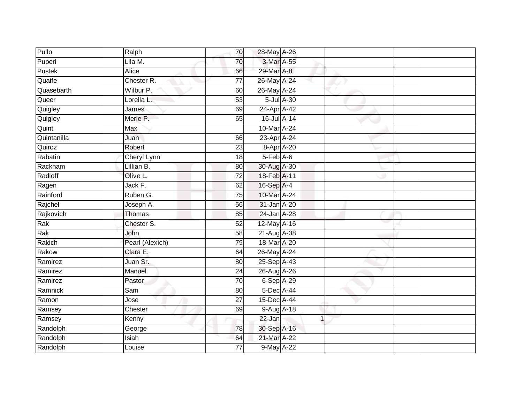| Pullo       | Ralph           | 70              | 28-May A-26      |             |  |
|-------------|-----------------|-----------------|------------------|-------------|--|
| Puperi      | Lila M.         | 70              | 3-Mar A-55       |             |  |
| Pustek      | <b>Alice</b>    | 66              | 29-Mar A-8       |             |  |
| Quaife      | Chester R.      | 77              | 26-May A-24      |             |  |
| Quasebarth  | Wilbur P.       | 60              | 26-May A-24      |             |  |
| Queer       | Lorella L.      | 53              | $5$ -Jul $A$ -30 |             |  |
| Quigley     | James           | 69              | 24-Apr A-42      |             |  |
| Quigley     | Merle P.        | 65              | 16-Jul A-14      |             |  |
| Quint       | Max             |                 | 10-Mar A-24      |             |  |
| Quintanilla | Juan            | 66              | 23-Apr A-24      |             |  |
| Quiroz      | Robert          | 23              | 8-Apr A-20       |             |  |
| Rabatin     | Cheryl Lynn     | 18              | 5-Feb A-6        |             |  |
| Rackham     | Lillian B.      | 80              | 30-Aug A-30      |             |  |
| Radloff     | Olive L.        | 72              | 18-Feb A-11      |             |  |
| Ragen       | Jack F.         | 62              | 16-Sep A-4       |             |  |
| Rainford    | Ruben G.        | 75              | 10-Mar A-24      |             |  |
| Rajchel     | Joseph A.       | 56              | 31-Jan A-20      |             |  |
| Rajkovich   | Thomas          | 85              | 24-Jan A-28      |             |  |
| Rak         | Chester S.      | 52              | 12-May A-16      |             |  |
| Rak         | John            | 58              | 21-Aug A-38      |             |  |
| Rakich      | Pearl (Alexich) | 79              | 18-Mar A-20      |             |  |
| Rakow       | Clara E.        | 64              | 26-May A-24      |             |  |
| Ramirez     | Juan Sr.        | 80              | 25-Sep A-43      |             |  |
| Ramirez     | Manuel          | $\overline{24}$ | 26-Aug A-26      |             |  |
| Ramirez     | Pastor          | 70              | 6-Sep A-29       |             |  |
| Ramnick     | Sam             | 80              | $5$ -Dec A-44    |             |  |
| Ramon       | Jose            | $\overline{27}$ | 15-Dec A-44      |             |  |
| Ramsey      | Chester         | 69              | 9-Aug A-18       |             |  |
| Ramsey      | Kenny           |                 | 22-Jan           | $\mathbf 1$ |  |
| Randolph    | George          | 78              | 30-Sep A-16      |             |  |
| Randolph    | Isiah           | 64              | 21-Mar A-22      |             |  |
| Randolph    | Louise          | $\overline{77}$ | 9-May A-22       |             |  |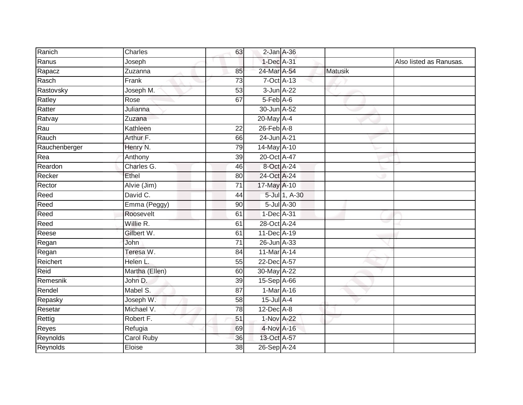| Ranich        | Charles           | 63              | $2$ -Jan $A$ -36 |               |         |                         |
|---------------|-------------------|-----------------|------------------|---------------|---------|-------------------------|
| Ranus         | Joseph            |                 | 1-Dec A-31       |               |         | Also listed as Ranusas. |
| Rapacz        | Zuzanna           | 85              | 24-Mar A-54      |               | Matusik |                         |
| Rasch         | Frank             | 73              | $7-Oct$ $A-13$   |               |         |                         |
| Rastovsky     | Joseph M.         | $\overline{53}$ | 3-Jun A-22       |               |         |                         |
| Ratley        | Rose              | 67              | $5-Feb$ A-6      |               |         |                         |
| Ratter        | Julianna          |                 | 30-Jun A-52      |               |         |                         |
| Ratvay        | Zuzana            |                 | 20-May A-4       |               |         |                         |
| Rau           | Kathleen          | 22              | $26$ -Feb $A$ -8 |               |         |                         |
| Rauch         | Arthur F.         | 66              | 24-Jun A-21      |               |         |                         |
| Rauchenberger | Henry N.          | 79              | 14-May A-10      |               |         |                         |
| Rea           | Anthony           | 39              | 20-Oct A-47      |               |         |                         |
| Reardon       | Charles G.        | 46              | 8-Oct A-24       |               |         |                         |
| Recker        | Ethel             | 80              | 24-Oct A-24      |               |         |                         |
| Rector        | Alvie (Jim)       | $\overline{71}$ | 17-May A-10      |               |         |                         |
| Reed          | David C.          | 44              |                  | 5-Jul 1, A-30 |         |                         |
| Reed          | Emma (Peggy)      | 90              |                  | 5-Jul A-30    |         |                         |
| Reed          | Roosevelt         | 61              | 1-Dec A-31       |               |         |                         |
| Reed          | Willie R.         | 61              | 28-Oct A-24      |               |         |                         |
| Reese         | Gilbert W.        | 61              | 11-Dec A-19      |               |         |                         |
| Regan         | <b>John</b>       | 71              | 26-Jun A-33      |               |         |                         |
| Regan         | Teresa W.         | $\overline{84}$ | 11-Mar A-14      |               |         |                         |
| Reichert      | Helen L.          | 55              | 22-Dec A-57      |               |         |                         |
| Reid          | Martha (Ellen)    | 60              | 30-May A-22      |               |         |                         |
| Remesnik      | John D.           | 39              | 15-Sep A-66      |               |         |                         |
| Rendel        | Mabel S.          | 87              | $1-Mar A-16$     |               |         |                         |
| Repasky       | Joseph W.         | 58              | $15$ -Jul $A-4$  |               |         |                         |
| Resetar       | Michael V.        | 78              | $12$ -Dec $A-8$  |               |         |                         |
| Rettig        | Robert F.         | 51              | 1-Nov A-22       |               |         |                         |
| Reyes         | Refugia           | 69              | 4-Nov A-16       |               |         |                         |
| Reynolds      | <b>Carol Ruby</b> | 36              | 13-Oct A-57      |               |         |                         |
| Reynolds      | Eloise            | 38              | 26-Sep A-24      |               |         |                         |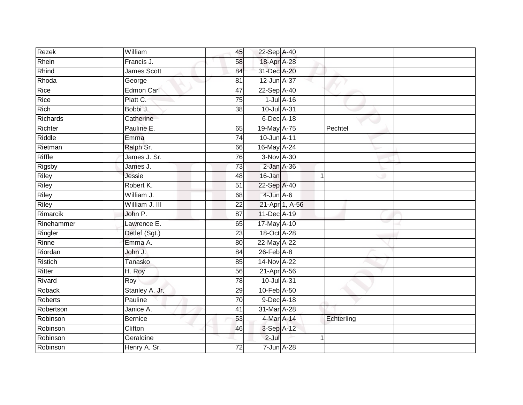| Rezek      | William        | 45              | 22-Sep A-40      |                 |            |  |
|------------|----------------|-----------------|------------------|-----------------|------------|--|
| Rhein      | Francis J.     | 58              | 18-Apr A-28      |                 |            |  |
| Rhind      | James Scott    | 84              | 31-Dec A-20      |                 |            |  |
| Rhoda      | George         | 81              | 12-Jun A-37      |                 |            |  |
| Rice       | Edmon Carl     | $\overline{47}$ | 22-Sep A-40      |                 |            |  |
| Rice       | Platt C.       | 75              |                  | $1$ -Jul $A-16$ |            |  |
| Rich       | Bobbi J.       | 38              | 10-Jul A-31      |                 |            |  |
| Richards   | Catherine      |                 | 6-Dec A-18       |                 |            |  |
| Richter    | Pauline E.     | 65              | 19-May A-75      |                 | Pechtel    |  |
| Riddle     | Emma           | $\overline{74}$ | 10-Jun A-11      |                 |            |  |
| Rietman    | Ralph Sr.      | 66              | 16-May A-24      |                 |            |  |
| Riffle     | James J. Sr.   | 76              | 3-Nov A-30       |                 |            |  |
| Rigsby     | James J.       | 73              | $2$ -Jan $A-36$  |                 |            |  |
| Riley      | Jessie         | 48              | 16-Jan           |                 | 1          |  |
| Riley      | Robert K.      | $\overline{51}$ | 22-Sep A-40      |                 |            |  |
| Riley      | William J.     | 68              | 4-Jun A-6        |                 |            |  |
| Riley      | William J. III | $\overline{22}$ |                  | 21-Apr 1, A-56  |            |  |
| Rimarcik   | John P.        | 87              | 11-Dec A-19      |                 |            |  |
| Rinehammer | Lawrence E.    | 65              | 17-May A-10      |                 |            |  |
| Ringler    | Detlef (Sgt.)  | 23              | 18-Oct A-28      |                 |            |  |
| Rinne      | Emma A.        | 80              | 22-May A-22      |                 |            |  |
| Riordan    | John J.        | $\overline{84}$ | $26$ -Feb $A$ -8 |                 |            |  |
| Ristich    | Tanasko        | 85              | 14-Nov A-22      |                 |            |  |
| Ritter     | H. Roy         | 56              | 21-Apr A-56      |                 |            |  |
| Rivard     | Roy            | 78              | 10-Jul A-31      |                 |            |  |
| Roback     | Stanley A. Jr. | 29              | 10-Feb A-50      |                 |            |  |
| Roberts    | Pauline        | 70              | 9-Dec A-18       |                 |            |  |
| Robertson  | Janice A.      | 41              | 31-Mar A-28      |                 |            |  |
| Robinson   | <b>Bernice</b> | 53              | 4-Mar A-14       |                 | Echterling |  |
| Robinson   | Clifton        | 46              | 3-Sep A-12       |                 |            |  |
| Robinson   | Geraldine      |                 | $2-Jul$          |                 | 1          |  |
| Robinson   | Henry A. Sr.   | $\overline{72}$ | 7-Jun A-28       |                 |            |  |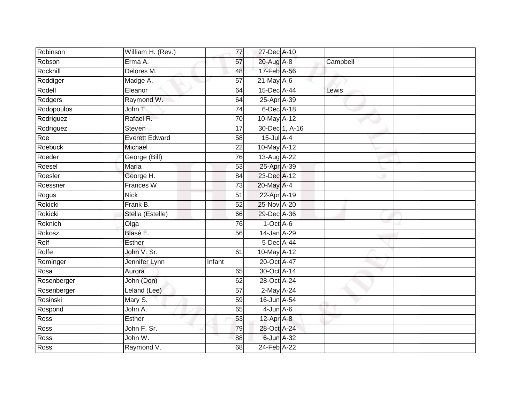| Robinson       | William H. (Rev.)     | 77              | 27-Dec A-10            |          |  |
|----------------|-----------------------|-----------------|------------------------|----------|--|
| Robson         | Erma A.               | 57              | 20-Aug A-8             | Campbell |  |
| Rockhill       | Delores M.            | 48              | 17-Feb A-56            |          |  |
| Roddiger       | Madge A.              | 57              | $21$ -May A-6          |          |  |
| Rodell         | Eleanor               | 64              | 15-Dec A-44            | Lewis    |  |
| Rodgers        | Raymond W.            | 64              | 25-Apr <sup>A-39</sup> |          |  |
| Rodopoulos     | John T.               | $\overline{74}$ | 6-Dec A-18             |          |  |
| Rodriguez      | Rafael R.             | 70              | 10-May A-12            |          |  |
| Rodriguez      | Steven                | 17              | 30-Dec 1, A-16         |          |  |
| Roe            | <b>Everett Edward</b> | 58              | $15$ -Jul $A-4$        |          |  |
| <b>Roebuck</b> | Michael               | 22              | 10-May A-12            |          |  |
| Roeder         | George (Bill)         | 76              | 13-Aug A-22            |          |  |
| Roesel         | Maria                 | 53              | 25-Apr A-39            |          |  |
| Roesler        | George H.             | 84              | 23-Dec A-12            |          |  |
| Roessner       | Frances W.            | 73              | 20-May A-4             |          |  |
| Rogus          | <b>Nick</b>           | 51              | 22-Apr A-19            |          |  |
| Rokicki        | Frank B.              | $\overline{52}$ | 25-Nov A-20            |          |  |
| Rokicki        | Stella (Estelle)      | 66              | 29-Dec A-36            |          |  |
| Roknich        | Olga                  | 76              | $1-Oct$ A-6            |          |  |
| Rokosz         | Blasé E.              | 56              | 14-Jan A-29            |          |  |
| Rolf           | <b>Esther</b>         |                 | 5-Dec A-44             |          |  |
| Rolfe          | John V. Sr.           | 61              | 10-May A-12            |          |  |
| Rominger       | Jennifer Lynn         | Infant          | 20-Oct A-47            |          |  |
| Rosa           | Aurora                | 65              | 30-Oct A-14            |          |  |
| Rosenberger    | John (Don)            | 62              | 28-Oct A-24            |          |  |
| Rosenberger    | Leland (Lee)          | 57              | 2-May A-24             |          |  |
| Rosinski       | Mary S.               | 59              | 16-Jun A-54            |          |  |
| Rospond        | John A.               | 65              | $4$ -Jun $A$ -6        |          |  |
| Ross           | Esther                | 53              | $12$ -Apr $A$ -8       |          |  |
| Ross           | John F. Sr.           | 79              | 28-Oct A-24            |          |  |
| Ross           | John W.               | 88              | 6-Jun A-32             |          |  |
| Ross           | Raymond V.            | $\overline{68}$ | 24-Feb A-22            |          |  |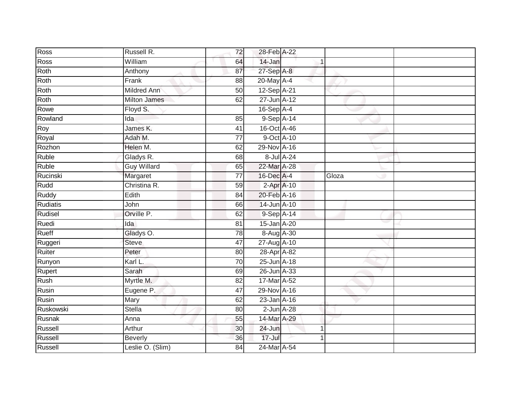| Ross      | Russell R.          | 72              | 28-Feb A-22     |             |       |  |
|-----------|---------------------|-----------------|-----------------|-------------|-------|--|
| Ross      | William             | 64              | 14-Jan          |             |       |  |
| Roth      | Anthony             | 87              | 27-Sep A-8      |             |       |  |
| Roth      | Frank               | 88              | 20-May A-4      |             |       |  |
| Roth      | <b>Mildred Ann</b>  | $\overline{50}$ | 12-Sep A-21     |             |       |  |
| Roth      | <b>Milton James</b> | 62              | 27-Jun A-12     |             |       |  |
| Rowe      | Floyd S.            |                 | $16-Sep$ A-4    |             |       |  |
| Rowland   | Ida                 | 85              | 9-Sep A-14      |             |       |  |
| Roy       | James K.            | 41              | 16-Oct A-46     |             |       |  |
| Royal     | Adah M.             | $\overline{77}$ | 9-Oct A-10      |             |       |  |
| Rozhon    | Helen M.            | 62              | 29-Nov A-16     |             |       |  |
| Ruble     | Gladys R.           | 68              | 8-Jul A-24      |             |       |  |
| Ruble     | <b>Guy Willard</b>  | 65              | 22-Mar A-28     |             |       |  |
| Rucinski  | Margaret            | 77              | 16-Dec A-4      |             | Gloza |  |
| Rudd      | Christina R.        | 59              | 2-Apr A-10      |             |       |  |
| Ruddy     | Edith               | 84              | 20-Feb A-16     |             |       |  |
| Rudiatis  | John                | 66              | 14-Jun A-10     |             |       |  |
| Rudisel   | Orville P.          | 62              | 9-Sep A-14      |             |       |  |
| Ruedi     | Ida                 | 81              | 15-Jan A-20     |             |       |  |
| Rueff     | Gladys O.           | 78              | 8-Aug A-30      |             |       |  |
| Ruggeri   | Steve               | 47              | 27-Aug A-10     |             |       |  |
| Ruiter    | Peter               | $\overline{80}$ | 28-Apr A-82     |             |       |  |
| Runyon    | Karl L.             | 70              | 25-Jun A-18     |             |       |  |
| Rupert    | Sarah               | 69              | 26-Jun A-33     |             |       |  |
| Rush      | Myrtle M.           | 82              | 17-Mar A-52     |             |       |  |
| Rusin     | Eugene P.           | 47              | 29-Nov A-16     |             |       |  |
| Rusin     | Mary                | 62              | 23-Jan A-16     |             |       |  |
| Ruskowski | <b>Stella</b>       | 80              | $2$ -Jun $A-28$ |             |       |  |
| Rusnak    | Anna                | 55              | 14-Mar A-29     |             |       |  |
| Russell   | Arthur              | 30              | 24-Jun          | $\mathbf 1$ |       |  |
| Russell   | <b>Beverly</b>      | 36              | 17-Jul          |             |       |  |
| Russell   | Leslie O. (Slim)    | $\overline{84}$ | 24-Mar A-54     |             |       |  |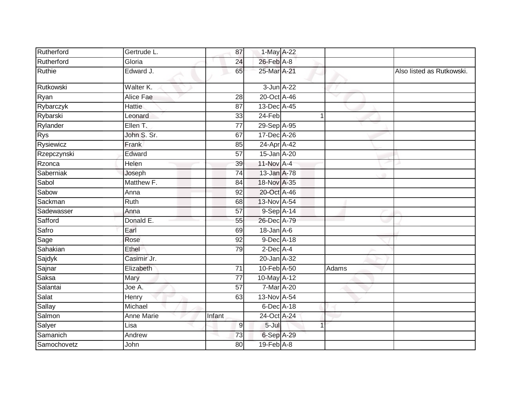| Rutherford  | Gertrude L. | 87              | 1-May A-22       |   |       |                           |
|-------------|-------------|-----------------|------------------|---|-------|---------------------------|
| Rutherford  | Gloria      | 24              | 26-Feb A-8       |   |       |                           |
| Ruthie      | Edward J.   | 65              | 25-Mar A-21      |   |       | Also listed as Rutkowski. |
| Rutkowski   | Walter K.   |                 | 3-Jun A-22       |   |       |                           |
| Ryan        | Alice Fae   | 28              | 20-Oct A-46      |   |       |                           |
| Rybarczyk   | Hattie      | 87              | 13-Dec A-45      |   |       |                           |
| Rybarski    | Leonard     | 33              | 24-Feb           | 1 |       |                           |
| Rylander    | Ellen T.    | $\overline{77}$ | 29-Sep A-95      |   |       |                           |
| <b>Rys</b>  | John S. Sr. | 67              | 17-Dec A-26      |   |       |                           |
| Rysiewicz   | Frank       | 85              | 24-Apr A-42      |   |       |                           |
| Rzepczynski | Edward      | $\overline{57}$ | 15-Jan A-20      |   |       |                           |
| Rzonca      | Helen       | 39              | 11-Nov A-4       |   |       |                           |
| Saberniak   | Joseph      | $\overline{74}$ | 13-Jan A-78      |   |       |                           |
| Sabol       | Matthew F.  | 84              | 18-Nov A-35      |   |       |                           |
| Sabow       | Anna        | 92              | 20-Oct A-46      |   |       |                           |
| Sackman     | Ruth        | 68              | 13-Nov A-54      |   |       |                           |
| Sadewasser  | Anna        | 57              | 9-Sep A-14       |   |       |                           |
| Safford     | Donald E.   | 55              | 26-Dec A-79      |   |       |                           |
| Safro       | Earl        | 69              | $18$ -Jan $A$ -6 |   |       |                           |
| Sage        | Rose        | 92              | 9-Dec A-18       |   |       |                           |
| Sahakian    | Ethel       | 79              | $2$ -Dec $A$ -4  |   |       |                           |
| Sajdyk      | Casimir Jr. |                 | 20-Jan A-32      |   |       |                           |
| Sajnar      | Elizabeth   | $\overline{71}$ | 10-Feb A-50      |   | Adams |                           |
| Saksa       | Mary        | 77              | 10-May A-12      |   |       |                           |
| Salantai    | Joe A.      | $\overline{57}$ | 7-Mar A-20       |   |       |                           |
| Salat       | Henry       | 63              | 13-Nov A-54      |   |       |                           |
| Sallay      | Michael     |                 | 6-Dec A-18       |   |       |                           |
| Salmon      | Anne Marie  | Infant          | 24-Oct A-24      |   |       |                           |
| Salyer      | Lisa        | $\overline{9}$  | $5 -$ Jul        |   |       |                           |
| Samanich    | Andrew      | 73              | 6-Sep A-29       |   |       |                           |
| Samochovetz | John        | 80              | $19$ -Feb $A$ -8 |   |       |                           |
|             |             |                 |                  |   |       |                           |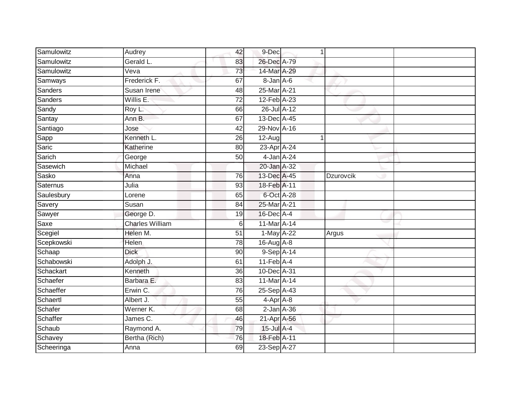| Samulowitz | Audrey                 | 42              | 9-Dec                       | 1 |           |  |
|------------|------------------------|-----------------|-----------------------------|---|-----------|--|
| Samulowitz | Gerald L.              | 83              | 26-Dec A-79                 |   |           |  |
| Samulowitz | Veva                   | 73              | 14-Mar A-29                 |   |           |  |
| Samways    | Frederick F.           | 67              | $8 - Jan$ $A - 6$           |   |           |  |
| Sanders    | Susan Irene            | 48              | 25-Mar A-21                 |   |           |  |
| Sanders    | Willis E.              | 72              | 12-Feb A-23                 |   |           |  |
| Sandy      | Roy L.                 | 66              | 26-Jul A-12                 |   |           |  |
| Santay     | Ann B.                 | 67              | 13-Dec A-45                 |   |           |  |
| Santiago   | Jose                   | 42              | 29-Nov A-16                 |   |           |  |
| Sapp       | Kenneth L.             | 26              | $12-Aug$                    |   |           |  |
| Saric      | Katherine              | 80              | 23-Apr A-24                 |   |           |  |
| Sarich     | George                 | 50              | 4-Jan A-24                  |   |           |  |
| Sasewich   | Michael                |                 | 20-Jan A-32                 |   |           |  |
| Sasko      | Anna                   | 76              | 13-Dec A-45                 |   | Dzurovcik |  |
| Saternus   | Julia                  | 93              | 18-Feb A-11                 |   |           |  |
| Saulesbury | Lorene                 | 65              | 6-Oct A-28                  |   |           |  |
| Savery     | Susan                  | 84              | 25-Mar A-21                 |   |           |  |
| Sawyer     | George D.              | 19              | 16-Dec A-4                  |   |           |  |
| Saxe       | <b>Charles William</b> | 6               | 11-Mar A-14                 |   |           |  |
| Scegiel    | Helen M.               | $\overline{51}$ | 1-May A-22                  |   | Argus     |  |
| Scepkowski | Helen                  | 78              | 16-Aug A-8                  |   |           |  |
| Schaap     | <b>Dick</b>            | 90              | 9-Sep A-14                  |   |           |  |
| Schabowski | Adolph J.              | 61              | $11$ -Feb $\overline{A}$ -4 |   |           |  |
| Schackart  | Kenneth                | 36              | 10-Dec A-31                 |   |           |  |
| Schaefer   | Barbara E.             | 83              | 11-Mar A-14                 |   |           |  |
| Schaeffer  | Erwin C.               | 76              | 25-Sep A-43                 |   |           |  |
| Schaertl   | Albert J.              | 55              | $4-AprA-8$                  |   |           |  |
| Schafer    | Werner K.              | 68              | $2$ -Jan $A$ -36            |   |           |  |
| Schaffer   | James $C$ .            | 46              | 21-Apr A-56                 |   |           |  |
| Schaub     | Raymond A.             | 79              | 15-Jul A-4                  |   |           |  |
| Schavey    | Bertha (Rich)          | $\overline{76}$ | 18-Feb A-11                 |   |           |  |
| Scheeringa | Anna                   | 69              | 23-Sep A-27                 |   |           |  |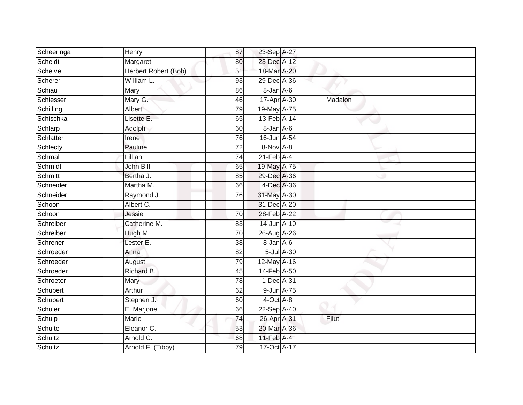| Scheeringa | Henry                | 87              | 23-Sep A-27                 |         |  |
|------------|----------------------|-----------------|-----------------------------|---------|--|
| Scheidt    | Margaret             | 80              | 23-Dec A-12                 |         |  |
| Scheive    | Herbert Robert (Bob) | 51              | 18-Mar A-20                 |         |  |
| Scherer    | William L.           | 93              | 29-Dec A-36                 |         |  |
| Schiau     | Mary                 | 86              | 8-Jan A-6                   |         |  |
| Schiesser  | Mary G.              | 46              | 17-Apr A-30                 | Madalon |  |
| Schilling  | Albert               | 79              | 19-May A-75                 |         |  |
| Schischka  | Lisette E.           | 65              | 13-Feb A-14                 |         |  |
| Schlarp    | Adolph               | 60              | 8-Jan A-6                   |         |  |
| Schlatter  | Irene                | 76              | 16-Jun A-54                 |         |  |
| Schlecty   | Pauline              | 72              | 8-Nov A-8                   |         |  |
| Schmal     | Lillian              | 74              | $21$ -Feb $\overline{A}$ -4 |         |  |
| Schmidt    | John Bill            | 65              | 19-May A-75                 |         |  |
| Schmitt    | Bertha J.            | 85              | 29-Dec A-36                 |         |  |
| Schneider  | Martha M.            | 66              | 4-Dec A-36                  |         |  |
| Schneider  | Raymond J.           | 76              | 31-May A-30                 |         |  |
| Schoon     | Albert C.            |                 | 31-Dec A-20                 |         |  |
| Schoon     | Jessie               | $\overline{70}$ | 28-Feb A-22                 |         |  |
| Schreiber  | Catherine M.         | 83              | 14-Jun A-10                 |         |  |
| Schreiber  | Hugh M.              | $\overline{70}$ | 26-Aug A-26                 |         |  |
| Schrener   | Lester E.            | 38              | 8-Jan A-6                   |         |  |
| Schroeder  | Anna                 | 82              | 5-Jul A-30                  |         |  |
| Schroeder  | August               | 79              | 12-May A-16                 |         |  |
| Schroeder  | Richard B.           | 45              | 14-Feb A-50                 |         |  |
| Schroeter  | Mary                 | 78              | $1-Dec$ A-31                |         |  |
| Schubert   | Arthur               | 62              | 9-Jun A-75                  |         |  |
| Schubert   | Stephen J.           | 60              | $4$ -Oct $A$ -8             |         |  |
| Schuler    | E. Marjorie          | 66              | 22-Sep A-40                 |         |  |
| Schulp     | <b>Marie</b>         | 74              | 26-Apr A-31                 | Filut   |  |
| Schulte    | Eleanor C.           | 53              | 20-Mar A-36                 |         |  |
| Schultz    | Arnold C.            | 68              | $11$ -Feb $A$ -4            |         |  |
| Schultz    | Arnold F. (Tibby)    | $\overline{79}$ | 17-Oct A-17                 |         |  |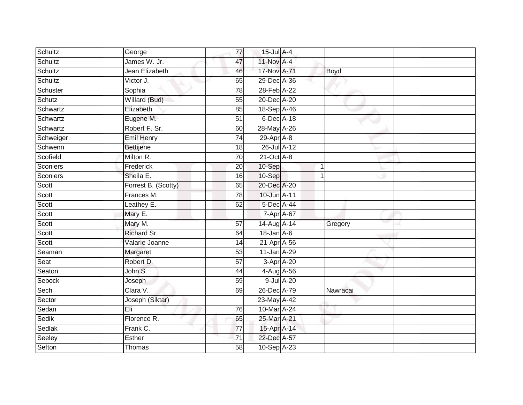| Schultz         | George              | 77              | 15-Jul A-4       |             |  |
|-----------------|---------------------|-----------------|------------------|-------------|--|
| Schultz         | James W. Jr.        | 47              | 11-Nov A-4       |             |  |
| Schultz         | Jean Elizabeth      | 46              | 17-Nov A-71      | <b>Boyd</b> |  |
| Schultz         | Victor J.           | 65              | 29-Dec A-36      |             |  |
| Schuster        | Sophia              | $\overline{78}$ | 28-Feb A-22      |             |  |
| Schutz          | Willard (Bud)       | 55              | 20-Dec A-20      |             |  |
| Schwartz        | Elizabeth           | 85              | 18-Sep A-46      |             |  |
| Schwartz        | Eugene M.           | 51              | 6-Dec A-18       |             |  |
| Schwartz        | Robert F. Sr.       | 60              | 28-May A-26      |             |  |
| Schweiger       | Emil Henry          | 74              | 29-Apr A-8       |             |  |
| Schwenn         | Bettijene           | 18              | 26-Jul A-12      |             |  |
| Scofield        | Milton R.           | 70              | $21$ -Oct $A-8$  |             |  |
| <b>Sconiers</b> | Frederick           | 20              | 10-Sep           | 1           |  |
| Sconiers        | Sheila E.           | 16              | 10-Sep           | 1           |  |
| Scott           | Forrest B. (Scotty) | 65              | 20-Dec A-20      |             |  |
| Scott           | Frances M.          | 78              | 10-Jun A-11      |             |  |
| Scott           | Leathey E.          | 62              | 5-Dec A-44       |             |  |
| Scott           | Mary E.             |                 | 7-Apr A-67       |             |  |
| Scott           | Mary M.             | 57              | 14-Aug A-14      | Gregory     |  |
| Scott           | Richard Sr.         | 64              | $18$ -Jan $A$ -6 |             |  |
| Scott           | Valarie Joanne      | 14              | 21-Apr A-56      |             |  |
| Seaman          | Margaret            | 53              | 11-Jan A-29      |             |  |
| Seat            | Robert D.           | 57              | $3-Apr$ A-20     |             |  |
| Seaton          | John S.             | 44              | 4-Aug A-56       |             |  |
| Sebock          | Joseph              | 59              | 9-Jul A-20       |             |  |
| Sech            | Clara V.            | 69              | 26-Dec A-79      | Nawracai    |  |
| Sector          | Joseph (Siktar)     |                 | 23-May A-42      |             |  |
| Sedan           | Eli                 | 76              | 10-Mar A-24      |             |  |
| Sedik           | Florence R.         | 65              | 25-Mar A-21      |             |  |
| Sedlak          | Frank C.            | $\overline{77}$ | 15-Apr A-14      |             |  |
| Seeley          | Esther              | $\overline{71}$ | 22-Dec A-57      |             |  |
| Sefton          | Thomas              | $\overline{58}$ | 10-Sep A-23      |             |  |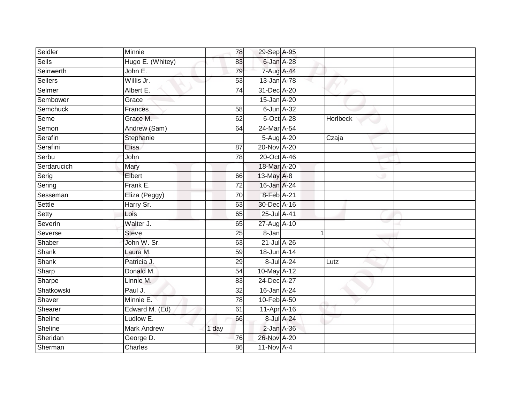| Seidler      | Minnie             | 78              | 29-Sep A-95      |            |          |  |
|--------------|--------------------|-----------------|------------------|------------|----------|--|
| <b>Seils</b> | Hugo E. (Whitey)   | 83              | 6-Jan A-28       |            |          |  |
| Seinwerth    | John E.            | 79              | 7-Aug A-44       |            |          |  |
| Sellers      | Willis Jr.         | 53              | 13-Jan A-78      |            |          |  |
| Selmer       | Albert E.          | 74              | 31-Dec A-20      |            |          |  |
| Sembower     | Grace              |                 | 15-Jan A-20      |            |          |  |
| Semchuck     | Frances            | 58              | $6$ -Jun $A$ -32 |            |          |  |
| Seme         | Grace M.           | 62              | 6-Oct A-28       |            | Horlbeck |  |
| Semon        | Andrew (Sam)       | 64              | 24-Mar A-54      |            |          |  |
| Serafin      | Stephanie          |                 | 5-Aug A-20       |            | Czaja    |  |
| Serafini     | Elisa              | 87              | 20-Nov A-20      |            |          |  |
| Serbu        | John               | 78              | 20-Oct A-46      |            |          |  |
| Serdarucich  | Mary               |                 | 18-Mar A-20      |            |          |  |
| Serig        | Elbert             | 66              | 13-May A-8       |            |          |  |
| Sering       | Frank E.           | $\overline{72}$ | 16-Jan A-24      |            |          |  |
| Sesseman     | Eliza (Peggy)      | $\overline{70}$ | 8-Feb A-21       |            |          |  |
| Settle       | Harry Sr.          | 63              | 30-Dec A-16      |            |          |  |
| Setty        | Lois               | 65              | 25-Jul A-41      |            |          |  |
| Severin      | Walter J.          | 65              | 27-Aug A-10      |            |          |  |
| Severse      | <b>Steve</b>       | $\overline{25}$ | $8 - Jan$        |            |          |  |
| Shaber       | John W. Sr.        | 63              | 21-Jul A-26      |            |          |  |
| <b>Shank</b> | Laura M.           | 59              | 18-Jun A-14      |            |          |  |
| <b>Shank</b> | Patricia J.        | 29              |                  | 8-Jul A-24 | Lutz     |  |
| Sharp        | Donald M.          | 54              | 10-May A-12      |            |          |  |
| Sharpe       | Linnie M.          | 83              | 24-Dec A-27      |            |          |  |
| Shatkowski   | Paul J.            | 32              | 16-Jan A-24      |            |          |  |
| Shaver       | Minnie E.          | 78              | 10-Feb A-50      |            |          |  |
| Shearer      | Edward M. (Ed)     | 61              | 11-Apr A-16      |            |          |  |
| Sheline      | Ludlow E.          | 66              |                  | 8-Jul A-24 |          |  |
| Sheline      | <b>Mark Andrew</b> | 1 day           | $2$ -Jan $A$ -36 |            |          |  |
| Sheridan     | George D.          | 76              | 26-Nov A-20      |            |          |  |
| Sherman      | Charles            | 86              | $11-NovA-4$      |            |          |  |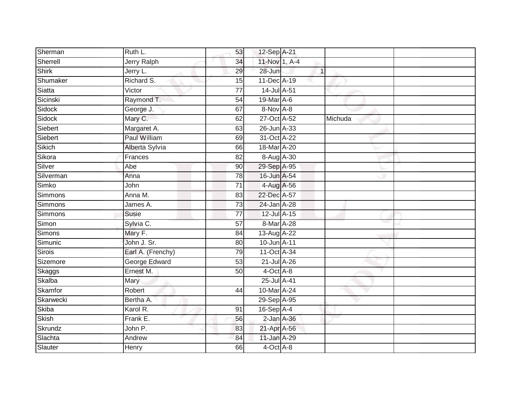| Sherman        | Ruth L.            | 53              | 12-Sep A-21      |         |  |
|----------------|--------------------|-----------------|------------------|---------|--|
| Sherrell       | <b>Jerry Ralph</b> | 34              | 11-Nov 1, A-4    |         |  |
| <b>Shirk</b>   | Jerry L.           | 29              | 28-Jun           |         |  |
| Shumaker       | Richard S.         | 15              | 11-Dec A-19      |         |  |
| Siatta         | Victor             | $\overline{77}$ | 14-Jul A-51      |         |  |
| Sicinski       | Raymond T.         | 54              | 19-Mar A-6       |         |  |
| Sidock         | George J.          | 67              | 8-Nov A-8        |         |  |
| Sidock         | Mary C.            | 62              | 27-Oct A-52      | Michuda |  |
| Siebert        | Margaret A.        | 63              | 26-Jun A-33      |         |  |
| Siebert        | Paul William       | 69              | 31-Oct A-22      |         |  |
| Sikich         | Alberta Sylvia     | 66              | 18-Mar A-20      |         |  |
| Sikora         | Frances            | $\overline{82}$ | 8-Aug A-30       |         |  |
| Silver         | Abe                | 90              | 29-Sep A-95      |         |  |
| Silverman      | Anna               | $\overline{78}$ | 16-Jun A-54      |         |  |
| Simko          | John               | 71              | 4-Aug A-56       |         |  |
| <b>Simmons</b> | Anna M.            | 83              | 22-Dec A-57      |         |  |
| Simmons        | James A.           | $\overline{73}$ | 24-Jan A-28      |         |  |
| <b>Simmons</b> | Susie              | 77              | 12-Jul A-15      |         |  |
| Simon          | Sylvia C.          | 57              | 8-Mar A-28       |         |  |
| <b>Simons</b>  | Mary F.            | 84              | 13-Aug A-22      |         |  |
| Simunic        | John J. Sr.        | 80              | 10-Jun A-11      |         |  |
| <b>Sirois</b>  | Earl A. (Frenchy)  | 79              | 11-Oct A-34      |         |  |
| Sizemore       | George Edward      | 53              | 21-Jul A-26      |         |  |
| Skaggs         | Ernest M.          | 50              | $4$ -Oct $A$ -8  |         |  |
| Skalba         | Mary               |                 | 25-Jul A-41      |         |  |
| Skamfor        | Robert             | 44              | 10-Mar A-24      |         |  |
| Skarwecki      | Bertha A.          |                 | 29-Sep A-95      |         |  |
| <b>Skiba</b>   | Karol R.           | 91              | 16-Sep A-4       |         |  |
| <b>Skish</b>   | Frank E.           | 56              | $2$ -Jan $A$ -36 |         |  |
| Skrundz        | John P.            | 83              | 21-Apr A-56      |         |  |
| Slachta        | Andrew             | 84              | 11-Jan A-29      |         |  |
| Slauter        | Henry              | 66              | $4$ -Oct $A$ -8  |         |  |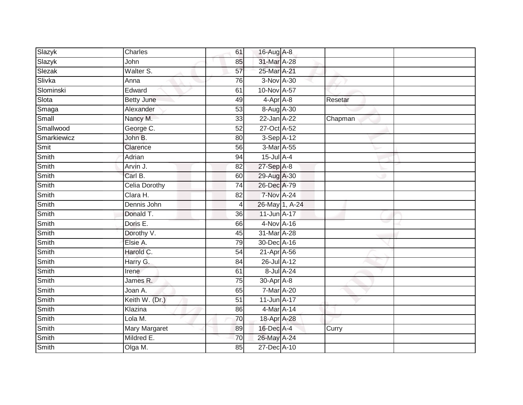| Slazyk      | Charles              | 61              | 16-Aug A-8        |         |  |
|-------------|----------------------|-----------------|-------------------|---------|--|
| Slazyk      | John                 | 85              | 31-Mar A-28       |         |  |
| Slezak      | Walter S.            | 57              | 25-Mar A-21       |         |  |
| Slivka      | Anna                 | 76              | 3-Nov A-30        |         |  |
| Slominski   | Edward               | 61              | 10-Nov A-57       |         |  |
| Slota       | <b>Betty June</b>    | 49              | $4-AprA-8$        | Resetar |  |
| Smaga       | Alexander            | $\overline{53}$ | 8-Aug A-30        |         |  |
| Small       | Nancy M.             | 33              | 22-Jan A-22       | Chapman |  |
| Smallwood   | George C.            | 52              | 27-Oct A-52       |         |  |
| Smarkiewicz | John B.              | 80              | 3-Sep A-12        |         |  |
| Smit        | Clarence             | 56              | 3-Mar A-55        |         |  |
| Smith       | Adrian               | 94              | $15$ -Jul $A-4$   |         |  |
| Smith       | Arvin J.             | 82              | 27-Sep A-8        |         |  |
| Smith       | Carl B.              | 60              | 29-Aug A-30       |         |  |
| Smith       | <b>Celia Dorothy</b> | $\overline{74}$ | 26-Dec A-79       |         |  |
| Smith       | Clara H.             | 82              | <b>7-Nov A-24</b> |         |  |
| Smith       | Dennis John          | 4               | 26-May 1, A-24    |         |  |
| Smith       | Donald T.            | 36              | 11-Jun A-17       |         |  |
| Smith       | Doris E.             | 66              | 4-Nov A-16        |         |  |
| Smith       | Dorothy V.           | 45              | 31-Mar A-28       |         |  |
| Smith       | Elsie A.             | 79              | 30-Dec A-16       |         |  |
| Smith       | Harold C.            | 54              | 21-Apr A-56       |         |  |
| Smith       | Harry G.             | 84              | 26-Jul A-12       |         |  |
| Smith       | <b>Irene</b>         | 61              | 8-Jul A-24        |         |  |
| Smith       | James R.             | 75              | 30-Apr A-8        |         |  |
| Smith       | Joan A.              | 65              | 7-Mar A-20        |         |  |
| Smith       | Keith W. (Dr.)       | 51              | 11-Jun A-17       |         |  |
| Smith       | Klazina              | 86              | 4-Mar A-14        |         |  |
| Smith       | Lola M.              | 70              | 18-Apr A-28       |         |  |
| Smith       | <b>Mary Margaret</b> | 89              | 16-Dec A-4        | Curry   |  |
| Smith       | Mildred E.           | 70              | 26-May A-24       |         |  |
| Smith       | Olga M.              | 85              | 27-Dec A-10       |         |  |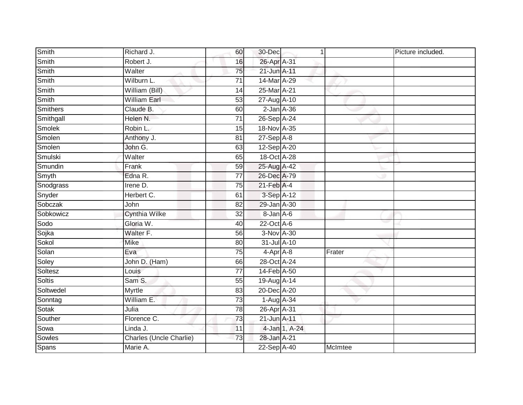| Smith         | Richard J.              | 60              | 30-Dec                  | $\mathbf{1}$  |         | Picture included. |
|---------------|-------------------------|-----------------|-------------------------|---------------|---------|-------------------|
| Smith         | Robert J.               | 16              | 26-Apr A-31             |               |         |                   |
| Smith         | Walter                  | 75              | 21-Jun A-11             |               |         |                   |
| Smith         | Wilburn L.              | 71              | 14-Mar A-29             |               |         |                   |
| Smith         | William (Bill)          | 14              | 25-Mar <sub>A</sub> -21 |               |         |                   |
| Smith         | <b>William Earl</b>     | 53              | 27-Aug A-10             |               |         |                   |
| Smithers      | Claude B.               | 60              | $2$ -Jan $A$ -36        |               |         |                   |
| Smithgall     | Helen N.                | 71              | 26-Sep A-24             |               |         |                   |
| Smolek        | Robin L.                | 15              | 18-Nov A-35             |               |         |                   |
| Smolen        | Anthony J.              | 81              | $27-SepA-8$             |               |         |                   |
| Smolen        | John G.                 | 63              | 12-Sep A-20             |               |         |                   |
| Smulski       | Walter                  | 65              | 18-Oct A-28             |               |         |                   |
| Smundin       | Frank                   | 59              | 25-Aug A-42             |               |         |                   |
| Smyth         | Edna R.                 | 77              | 26-Dec A-79             |               |         |                   |
| Snodgrass     | Irene D.                | 75              | $21$ -Feb $A$ -4        |               |         |                   |
| Snyder        | Herbert C.              | 61              | 3-Sep A-12              |               |         |                   |
| Sobczak       | John                    | 82              | 29-Jan A-30             |               |         |                   |
| Sobkowicz     | <b>Cynthia Wilke</b>    | 32              | 8-Jan A-6               |               |         |                   |
| Sodo          | Gloria W.               | 40              | 22-Oct A-6              |               |         |                   |
| Sojka         | Walter F.               | 56              | 3-Nov A-30              |               |         |                   |
| Sokol         | Mike                    | 80              | 31-Jul A-10             |               |         |                   |
| Solan         | Eva                     | $\overline{75}$ | 4-Apr A-8               |               | Frater  |                   |
| Soley         | John D. (Ham)           | 66              | 28-Oct A-24             |               |         |                   |
| Soltesz       | Louis                   | $\overline{77}$ | 14-Feb A-50             |               |         |                   |
| <b>Soltis</b> | Sam S.                  | 55              | 19-Aug A-14             |               |         |                   |
| Soltwedel     | Myrtle                  | 83              | 20-Dec A-20             |               |         |                   |
| Sonntag       | William E.              | $\overline{73}$ | 1-Aug A-34              |               |         |                   |
| Sotak         | Julia                   | 78              | 26-Apr A-31             |               |         |                   |
| Souther       | Florence C.             | 73              | 21-Jun A-11             |               |         |                   |
| Sowa          | Linda J.                | 11              |                         | 4-Jan 1, A-24 |         |                   |
| Sowles        | Charles (Uncle Charlie) | 73              | 28-Jan A-21             |               |         |                   |
| <b>Spans</b>  | Marie A.                |                 | 22-Sep A-40             |               | McImtee |                   |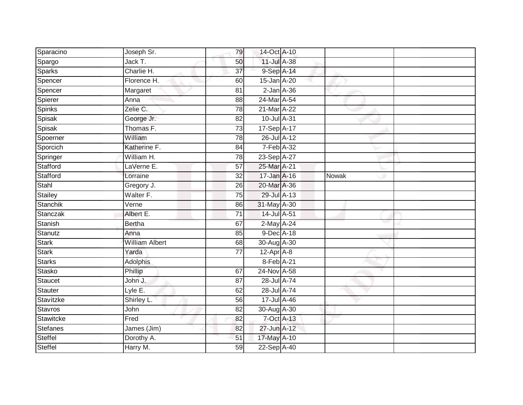| Sparacino       | Joseph Sr.            | 79              | 14-Oct A-10       |              |
|-----------------|-----------------------|-----------------|-------------------|--------------|
| Spargo          | Jack T.               | 50              | 11-Jul A-38       |              |
| <b>Sparks</b>   | Charlie H.            | $\overline{37}$ | 9-Sep A-14        |              |
| Spencer         | Florence H.           | 60              | 15-Jan A-20       |              |
| Spencer         | Margaret              | $\overline{81}$ | $2$ -Jan $A$ -36  |              |
| Spierer         | Anna                  | 88              | 24-Mar A-54       |              |
| Spinks          | Zelie C.              | $\overline{78}$ | 21-Mar A-22       |              |
| Spisak          | George Jr.            | 82              | 10-Jul A-31       |              |
| Spisak          | Thomas F.             | 73              | 17-Sep A-17       |              |
| Spoerner        | William               | 78              | 26-Jul A-12       |              |
| Sporcich        | Katherine F.          | 84              | 7-Feb A-32        |              |
| Springer        | William H.            | 78              | 23-Sep A-27       |              |
| Stafford        | LaVerne E.            | 57              | 25-Mar A-21       |              |
| Stafford        | Lorraine              | 32              | 17-Jan A-16       | <b>Nowak</b> |
| Stahl           | Gregory J.            | $\overline{26}$ | 20-Mar A-36       |              |
| Stailey         | Walter F.             | 75              | 29-Jul A-13       |              |
| <b>Stanchik</b> | Verne                 | 86              | 31-May A-30       |              |
| Stanczak        | Albert E.             | 71              | 14-Jul A-51       |              |
| Stanish         | <b>Bertha</b>         | 67              | 2-May A-24        |              |
| Stanutz         | Anna                  | 85              | 9-Dec A-18        |              |
| <b>Stark</b>    | <b>William Albert</b> | 68              | 30-Aug A-30       |              |
| <b>Stark</b>    | Yarda                 | $\overline{77}$ | $12-Apr$ A-8      |              |
| <b>Starks</b>   | <b>Adolphis</b>       |                 | 8-Feb A-21        |              |
| Stasko          | Phillip               | 67              | 24-Nov A-58       |              |
| <b>Staucet</b>  | John J.               | 87              | 28-Jul A-74       |              |
| <b>Stauter</b>  | Lyle E.               | 62              | 28-Jul A-74       |              |
| Stavitzke       | Shirley L.            | 56              | $17$ -Jul $A$ -46 |              |
| <b>Stavros</b>  | John                  | 82              | 30-Aug A-30       |              |
| Stawitcke       | Fred                  | 82              | $7-Oct$ $A-13$    |              |
| <b>Stefanes</b> | James (Jim)           | 82              | 27-Jun A-12       |              |
| Steffel         | Dorothy A.            | 51              | 17-May A-10       |              |
| <b>Steffel</b>  | Harry M.              | 59              | $22-SepA-40$      |              |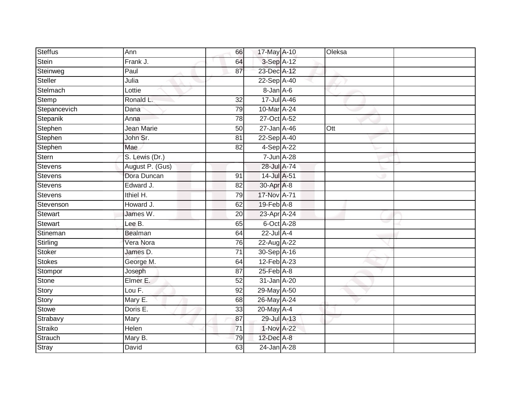| <b>Steffus</b> | Ann                  | 66              | 17-May A-10                | Oleksa |  |
|----------------|----------------------|-----------------|----------------------------|--------|--|
| Stein          | Frank J.             | 64              | 3-Sep A-12                 |        |  |
| Steinweg       | Paul                 | 87              | 23-Dec A-12                |        |  |
| Steller        | Julia                |                 | 22-Sep A-40                |        |  |
| Stelmach       | Lottie               |                 | 8-Jan A-6                  |        |  |
| Stemp          | Ronald L.            | 32              | 17-Jul A-46                |        |  |
| Stepancevich   | Dana                 | $\overline{79}$ | 10-Mar A-24                |        |  |
| Stepanik       | Anna                 | 78              | 27-Oct A-52                |        |  |
| Stephen        | <b>Jean Marie</b>    | 50              | 27-Jan A-46                | Ott    |  |
| Stephen        | John Sr.             | $\overline{81}$ | 22-Sep A-40                |        |  |
| Stephen        | Mae                  | 82              | 4-Sep A-22                 |        |  |
| Stern          | S. Lewis (Dr.)       |                 | 7-Jun A-28                 |        |  |
| <b>Stevens</b> | August P. (Gus)      |                 | 28-Jul A-74                |        |  |
| <b>Stevens</b> | Dora Duncan          | 91              | 14-Jul A-51                |        |  |
| <b>Stevens</b> | Edward J.            | 82              | 30-Apr A-8                 |        |  |
| <b>Stevens</b> | Ithiel H.            | $\overline{79}$ | 17-Nov A-71                |        |  |
| Stevenson      | Howard J.            | 62              | $19$ -Feb $\overline{A-8}$ |        |  |
| <b>Stewart</b> | James W.             | 20              | 23-Apr A-24                |        |  |
| <b>Stewart</b> | Lee B.               | 65              | 6-Oct A-28                 |        |  |
| Stineman       | <b>Bealman</b>       | 64              | 22-Jul A-4                 |        |  |
| Stirling       | Vera Nora            | 76              | 22-Aug A-22                |        |  |
| <b>Stoker</b>  | James D.             | $\overline{71}$ | 30-Sep A-16                |        |  |
| <b>Stokes</b>  | George M.            | 64              | 12-Feb A-23                |        |  |
| Stompor        | Joseph               | 87              | $25$ -Feb $A$ -8           |        |  |
| Stone          | Elmer E.             | 52              | 31-Jan A-20                |        |  |
| Story          | Lou $\overline{F}$ . | 92              | 29-May A-50                |        |  |
| Story          | Mary E.              | 68              | 26-May A-24                |        |  |
| <b>Stowe</b>   | Doris E.             | 33              | 20-May A-4                 |        |  |
| Strabavy       | Mary                 | 87              | 29-Jul A-13                |        |  |
| Straiko        | Helen                | 71              | 1-Nov A-22                 |        |  |
| Strauch        | Mary B.              | 79              | 12-Dec A-8                 |        |  |
| <b>Stray</b>   | David                | 63              | 24-Jan A-28                |        |  |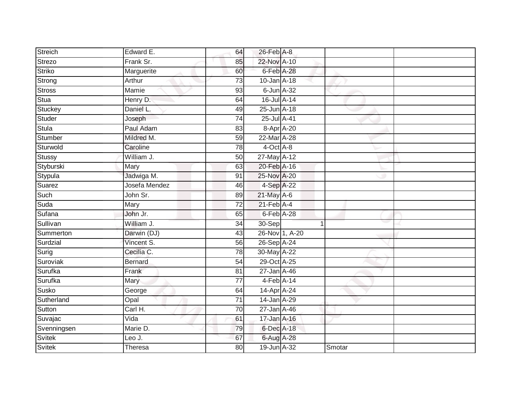| Streich       | Edward E.      | 64              | 26-Feb A-8                 |                |        |  |
|---------------|----------------|-----------------|----------------------------|----------------|--------|--|
| <b>Strezo</b> | Frank Sr.      | 85              | 22-Nov A-10                |                |        |  |
| Striko        | Marguerite     | 60              | 6-Feb A-28                 |                |        |  |
| Strong        | Arthur         | 73              | 10-Jan A-18                |                |        |  |
| Stross        | Mamie          | 93              | $6$ -Jun $A$ -32           |                |        |  |
| Stua          | Henry D.       | 64              | 16-Jul A-14                |                |        |  |
| Stuckey       | Daniel L.      | 49              | 25-Jun A-18                |                |        |  |
| Studer        | Joseph         | 74              | 25-Jul A-41                |                |        |  |
| Stula         | Paul Adam      | 83              | 8-Apr A-20                 |                |        |  |
| Stumber       | Mildred M.     | 59              | 22-Mar A-28                |                |        |  |
| Sturwold      | Caroline       | 78              | 4-Oct A-8                  |                |        |  |
| <b>Stussy</b> | William J.     | 50              | 27-May A-12                |                |        |  |
| Styburski     | Mary           | 63              | 20-Feb A-16                |                |        |  |
| Stypula       | Jadwiga M.     | 91              | 25-Nov A-20                |                |        |  |
| Suarez        | Josefa Mendez  | 46              | 4-Sep A-22                 |                |        |  |
| Such          | John Sr.       | 89              | $21$ -May A-6              |                |        |  |
| Suda          | Mary           | $\overline{72}$ | $21$ -Feb $\overline{A-4}$ |                |        |  |
| Sufana        | John Jr.       | 65              | 6-Feb A-28                 |                |        |  |
| Sullivan      | William J.     | 34              | 30-Sep                     |                |        |  |
| Summerton     | Darwin (DJ)    | 43              |                            | 26-Nov 1, A-20 |        |  |
| Surdzial      | Vincent S.     | 56              | 26-Sep A-24                |                |        |  |
| Surig         | Cecilia C.     | 78              | 30-May A-22                |                |        |  |
| Suroviak      | <b>Bernard</b> | 54              | 29-Oct A-25                |                |        |  |
| Surufka       | Frank          | 81              | 27-Jan A-46                |                |        |  |
| Surufka       | Mary           | 77              | $4-Feb$ A-14               |                |        |  |
| Susko         | George         | 64              | $14-Apr$ A-24              |                |        |  |
| Sutherland    | Opal           | $\overline{71}$ | 14-Jan A-29                |                |        |  |
| Sutton        | Carl H.        | 70              | 27-Jan A-46                |                |        |  |
| Suvajac       | Vida           | 61              | 17-Jan A-16                |                |        |  |
| Svenningsen   | Marie D.       | 79              | 6-Dec A-18                 |                |        |  |
| Svitek        | Leo J.         | 67              | 6-Aug A-28                 |                |        |  |
| Svitek        | Theresa        | 80              | 19-Jun A-32                |                | Smotar |  |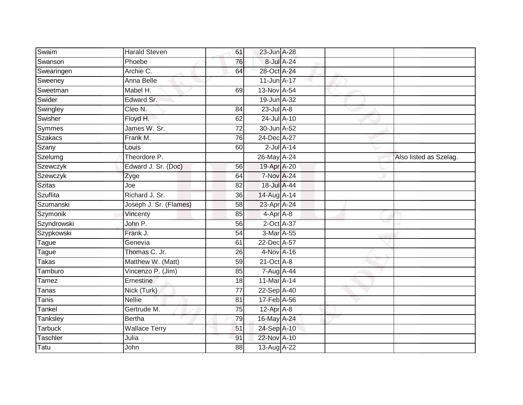| Swaim           | <b>Harald Steven</b>   | 61 | 23-Jun A-28       |                  |                        |
|-----------------|------------------------|----|-------------------|------------------|------------------------|
| Swanson         | Phoebe                 | 76 |                   | 8-Jul A-24       |                        |
| Swearingen      | Archie C.              | 64 | 28-Oct A-24       |                  |                        |
| Sweeney         | Anna Belle             |    | 11-Jun A-17       |                  |                        |
| Sweetman        | Mabel H.               | 69 | 13-Nov A-54       |                  |                        |
| Swider          | Edward Sr.             |    | 19-Jun A-32       |                  |                        |
| Swingley        | Cleo N.                | 84 | $23$ -Jul A-8     |                  |                        |
| Swisher         | Floyd H.               | 62 | 24-Jul A-10       |                  |                        |
| <b>Symmes</b>   | James W. Sr.           | 72 | 30-Jun A-52       |                  |                        |
| Szakacs         | Frank M.               | 76 | 24-Dec A-27       |                  |                        |
| Szany           | Louis                  | 60 |                   | $2$ -Jul $A$ -14 |                        |
| Szelumg         | Theordore P.           |    | 26-May A-24       |                  | Also listed as Szelag. |
| Szewczyk        | Edward J. Sr. (Doc)    | 56 | 19-Apr A-20       |                  |                        |
| Szewczyk        | Zyge                   | 64 | <b>7-Nov A-24</b> |                  |                        |
| <b>Szitas</b>   | Joe                    | 82 | 18-Jul A-44       |                  |                        |
| <b>Szuflita</b> | Richard J. Sr.         | 36 | 14-Aug A-14       |                  |                        |
| Szumanski       | Joseph J. Sr. (Flames) | 58 | 23-Apr A-24       |                  |                        |
| Szymonik        | Vincenty               | 85 | 4-Apr A-8         |                  |                        |
| Szyndrowski     | John P.                | 56 | 2-Oct A-37        |                  |                        |
| Szypkowski      | Frank J.               | 54 | 3-Mar A-55        |                  |                        |
| Tague           | Genevia                | 61 | 22-Dec A-57       |                  |                        |
| Tague           | Thomas C. Jr.          | 26 | 4-Nov A-16        |                  |                        |
| Takas           | Matthew W. (Matt)      | 59 | $21$ -Oct $A-8$   |                  |                        |
| Tamburo         | Vincenzo P. (Jim)      | 85 | 7-Aug A-44        |                  |                        |
| Tamez           | Ernestine              | 18 | 11-Mar A-14       |                  |                        |
| Tanas           | Nick (Turk)            | 77 | 22-Sep A-40       |                  |                        |
| Tanis           | <b>Nellie</b>          | 81 | 17-Feb A-56       |                  |                        |
| Tankel          | Gertrude M.            | 75 | $12$ -Apr $A$ -8  |                  |                        |
| Tanksley        | <b>Bertha</b>          | 79 | 16-May A-24       |                  |                        |
| <b>Tarbuck</b>  | <b>Wallace Terry</b>   | 51 | 24-Sep A-10       |                  |                        |
| Taschler        | Julia                  | 91 | 22-Nov A-10       |                  |                        |
| Tatu            | John                   | 88 | 13-Aug A-22       |                  |                        |
|                 |                        |    |                   |                  |                        |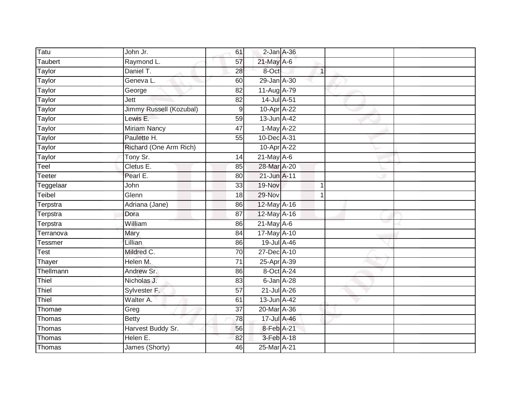| Tatu           | John Jr.                | 61              | $2$ -Jan $A$ -36 |   |  |
|----------------|-------------------------|-----------------|------------------|---|--|
| Taubert        | Raymond L.              | 57              | $21$ -May $A-6$  |   |  |
| <b>Taylor</b>  | Daniel T.               | 28              | 8-Oct            | 1 |  |
| Taylor         | Geneva L.               | 60              | 29-Jan A-30      |   |  |
| <b>Taylor</b>  | George                  | $\overline{82}$ | 11-Aug A-79      |   |  |
| Taylor         | Jett                    | 82              | 14-Jul A-51      |   |  |
| Taylor         | Jimmy Russell (Kozubal) | 9               | 10-Apr A-22      |   |  |
| Taylor         | Lewis E.                | 59              | 13-Jun A-42      |   |  |
| Taylor         | <b>Miriam Nancy</b>     | 47              | 1-May A-22       |   |  |
| Taylor         | Paulette H.             | 55              | 10-Dec A-31      |   |  |
| Taylor         | Richard (One Arm Rich)  |                 | 10-Apr A-22      |   |  |
| Taylor         | Tony Sr.                | 14              | $21$ -May $A-6$  |   |  |
| Teel           | Cletus E.               | 85              | 28-Mar A-20      |   |  |
| <b>Teeter</b>  | Pearl E.                | 80              | 21-Jun A-11      |   |  |
| Teggelaar      | John                    | 33              | 19-Nov           | 1 |  |
| Teibel         | Glenn                   | 18              | $29-Nov$         |   |  |
| Terpstra       | Adriana (Jane)          | 86              | 12-May A-16      |   |  |
| Terpstra       | Dora                    | 87              | 12-May A-16      |   |  |
| Terpstra       | William                 | 86              | 21-May A-6       |   |  |
| Terranova      | Mary                    | $\overline{84}$ | 17-May A-10      |   |  |
| <b>Tessmer</b> | Lillian                 | 86              | 19-Jul A-46      |   |  |
| <b>Test</b>    | Mildred C.              | 70              | 27-Dec A-10      |   |  |
| Thayer         | Helen M.                | 71              | 25-Apr A-39      |   |  |
| Thellmann      | Andrew Sr.              | 86              | 8-Oct A-24       |   |  |
| Thiel          | Nicholas J.             | 83              | 6-Jan A-28       |   |  |
| Thiel          | Sylvester F.            | $\overline{57}$ | 21-Jul A-26      |   |  |
| Thiel          | Walter A.               | 61              | 13-Jun A-42      |   |  |
| Thomae         | Greg                    | 37              | 20-Mar A-36      |   |  |
| Thomas         | <b>Betty</b>            | 78              | 17-Jul A-46      |   |  |
| Thomas         | Harvest Buddy Sr.       | 56              | 8-Feb A-21       |   |  |
| Thomas         | Helen E.                | 82              | 3-Feb A-18       |   |  |
| Thomas         | James (Shorty)          | 46              | 25-Mar A-21      |   |  |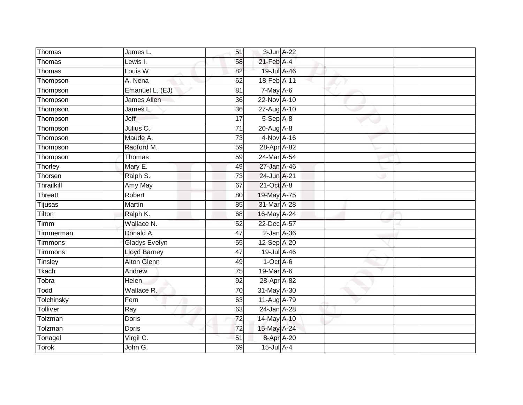| Thomas         | James L.             | 51              | 3-Jun A-22       |  |  |
|----------------|----------------------|-----------------|------------------|--|--|
| Thomas         | Lewis I.             | 58              | $21$ -Feb $A$ -4 |  |  |
| Thomas         | Louis W.             | 82              | 19-Jul A-46      |  |  |
| Thompson       | A. Nena              | 62              | 18-Feb A-11      |  |  |
| Thompson       | Emanuel L. (EJ)      | $\overline{81}$ | $7-May$ A-6      |  |  |
| Thompson       | James Allen          | 36              | 22-Nov A-10      |  |  |
| Thompson       | James L.             | 36              | 27-Aug A-10      |  |  |
| Thompson       | Jeff                 | 17              | 5-Sep A-8        |  |  |
| Thompson       | Julius C.            | 71              | $20$ -Aug $A-8$  |  |  |
| Thompson       | Maude A.             | $\overline{73}$ | 4-Nov A-16       |  |  |
| Thompson       | Radford M.           | 59              | 28-Apr A-82      |  |  |
| Thompson       | Thomas               | 59              | 24-Mar A-54      |  |  |
| Thorley        | Mary E.              | 49              | 27-Jan A-46      |  |  |
| Thorsen        | Ralph S.             | 73              | 24-Jun A-21      |  |  |
| Thrailkill     | Amy May              | 67              | 21-Oct A-8       |  |  |
| <b>Threatt</b> | Robert               | 80              | 19-May A-75      |  |  |
| Tijusas        | Martin               | 85              | 31-Mar A-28      |  |  |
| Tilton         | Ralph K.             | 68              | 16-May A-24      |  |  |
| Timm           | Wallace N.           | 52              | 22-Dec A-57      |  |  |
| Timmerman      | Donald A.            | 47              | $2$ -Jan $A$ -36 |  |  |
| Timmons        | <b>Gladys Evelyn</b> | 55              | 12-Sep A-20      |  |  |
| <b>Timmons</b> | <b>Lloyd Barney</b>  | 47              | 19-Jul A-46      |  |  |
| Tinsley        | Alton Glenn          | 49              | $1-Oct$ A-6      |  |  |
| Tkach          | Andrew               | $\overline{75}$ | 19-Mar A-6       |  |  |
| Tobra          | Helen                | 92              | 28-Apr A-82      |  |  |
| Todd           | Wallace R.           | 70              | 31-May A-30      |  |  |
| Tolchinsky     | Fern                 | 63              | 11-Aug A-79      |  |  |
| Tolliver       | Ray                  | 63              | 24-Jan A-28      |  |  |
| Tolzman        | Doris                | 72              | 14-May A-10      |  |  |
| Tolzman        | Doris                | $\overline{72}$ | 15-May A-24      |  |  |
| Tonagel        | Virgil C.            | 51              | 8-Apr A-20       |  |  |
| <b>Torok</b>   | John G.              | 69              | $15$ -Jul $A-4$  |  |  |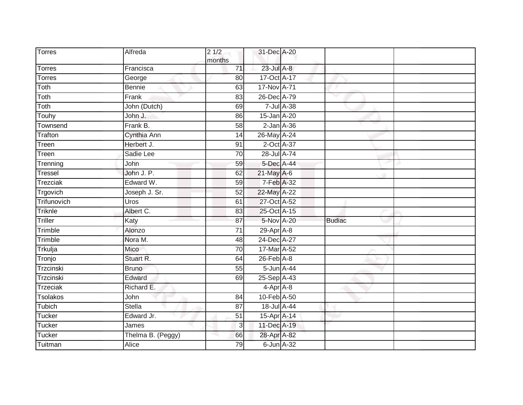| <b>Torres</b>   | Alfreda           | $2\sqrt{1/2}$<br>months | 31-Dec A-20      |            |               |  |
|-----------------|-------------------|-------------------------|------------------|------------|---------------|--|
| <b>Torres</b>   | Francisca         | 71                      | 23-Jul A-8       |            |               |  |
| <b>Torres</b>   | George            | 80                      | 17-Oct A-17      |            |               |  |
| Toth            | <b>Bennie</b>     | 63                      | 17-Nov A-71      |            |               |  |
| Toth            | Frank             | 83                      | 26-Dec A-79      |            |               |  |
| Toth            | John (Dutch)      | 69                      |                  | 7-Jul A-38 |               |  |
| Touhy           | John J.           | 86                      | 15-Jan A-20      |            |               |  |
| Townsend        | Frank B.          | $\overline{58}$         | $2$ -Jan $A$ -36 |            |               |  |
| Trafton         | Cynthia Ann       | 14                      | 26-May A-24      |            |               |  |
| Treen           | Herbert J.        | 91                      | 2-Oct A-37       |            |               |  |
| Treen           | Sadie Lee         | 70                      | 28-Jul A-74      |            |               |  |
| Trenning        | John              | 59                      | 5-Dec A-44       |            |               |  |
| Tressel         | John J. P.        | 62                      | 21-May A-6       |            |               |  |
| Trezciak        | Edward W.         | 59                      | 7-Feb A-32       |            |               |  |
| Trgovich        | Joseph J. Sr.     | 52                      | 22-May A-22      |            |               |  |
| Trifunovich     | Uros              | 61                      | 27-Oct A-52      |            |               |  |
| Triknle         | Albert C.         | 83                      | 25-Oct A-15      |            |               |  |
| Triller         | Katy              | 87                      | 5-Nov A-20       |            | <b>Budiac</b> |  |
| Trimble         | Alonzo            | 71                      | 29-Apr A-8       |            |               |  |
| Trimble         | Nora M.           | 48                      | 24-Dec A-27      |            |               |  |
| Trkulja         | Mico              | 70                      | 17-Mar A-52      |            |               |  |
| Tronjo          | Stuart R.         | 64                      | $26$ -Feb $A-8$  |            |               |  |
| Trzcinski       | <b>Bruno</b>      | 55                      | 5-Jun A-44       |            |               |  |
| Trzcinski       | Edward            | 69                      | 25-Sep A-43      |            |               |  |
| <b>Trzeciak</b> | Richard E.        |                         | $4-Apr$ A-8      |            |               |  |
| Tsolakos        | John              | 84                      | 10-Feb A-50      |            |               |  |
| Tubich          | <b>Stella</b>     | $\overline{87}$         | 18-Jul A-44      |            |               |  |
| <b>Tucker</b>   | Edward Jr.        | 51                      | 15-Apr A-14      |            |               |  |
| <b>Tucker</b>   | James             | $\overline{3}$          | 11-Dec A-19      |            |               |  |
| Tucker          | Thelma B. (Peggy) | 66                      | 28-Apr A-82      |            |               |  |
| Tuitman         | Alice             | 79                      | $6$ -Jun $A$ -32 |            |               |  |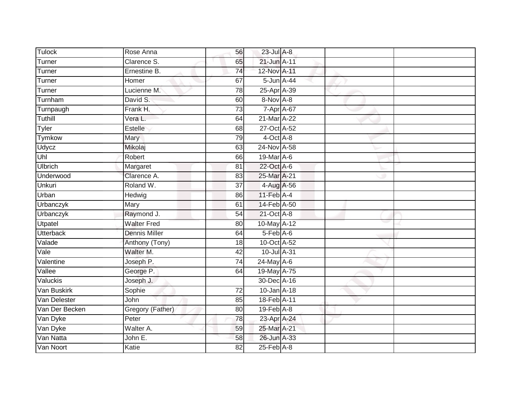| <b>Tulock</b>    | Rose Anna            | 56              | 23-Jul A-8       |  |  |
|------------------|----------------------|-----------------|------------------|--|--|
| Turner           | Clarence S.          | 65              | 21-Jun A-11      |  |  |
| Turner           | Ernestine B.         | 74              | 12-Nov A-11      |  |  |
| Turner           | Homer                | 67              | 5-Jun A-44       |  |  |
| Turner           | Lucienne M.          | $\overline{78}$ | 25-Apr A-39      |  |  |
| Turnham          | David S.             | 60              | 8-Nov A-8        |  |  |
| Turnpaugh        | Frank H.             | $\overline{73}$ | 7-Apr A-67       |  |  |
| Tuthill          | Vera L.              | 64              | 21-Mar A-22      |  |  |
| <b>Tyler</b>     | Estelle              | 68              | 27-Oct A-52      |  |  |
| Tymkow           | Mary                 | 79              | 4-Oct A-8        |  |  |
| Udycz            | Mikolaj              | 63              | 24-Nov A-58      |  |  |
| Uhl              | Robert               | 66              | 19-Mar A-6       |  |  |
| <b>Ulbrich</b>   | Margaret             | 81              | 22-Oct A-6       |  |  |
| Underwood        | Clarence A.          | 83              | 25-Mar A-21      |  |  |
| <b>Unkuri</b>    | Roland W.            | $\overline{37}$ | 4-Aug A-56       |  |  |
| Urban            | Hedwig               | 86              | 11-Feb A-4       |  |  |
| Urbanczyk        | Mary                 | 61              | 14-Feb A-50      |  |  |
| Urbanczyk        | Raymond J.           | 54              | 21-Oct A-8       |  |  |
| Utpatel          | <b>Walter Fred</b>   | 80              | 10-May A-12      |  |  |
| <b>Utterback</b> | <b>Dennis Miller</b> | 64              | $5$ -Feb $A$ -6  |  |  |
| Valade           | Anthony (Tony)       | 18              | 10-Oct A-52      |  |  |
| Vale             | Walter M.            | 42              | 10-Jul A-31      |  |  |
| Valentine        | Joseph P.            | 74              | 24-May A-6       |  |  |
| Vallee           | George P.            | 64              | 19-May A-75      |  |  |
| Valuckis         | Joseph J.            |                 | 30-Dec A-16      |  |  |
| Van Buskirk      | Sophie               | 72              | 10-Jan A-18      |  |  |
| Van Delester     | John                 | 85              | 18-Feb A-11      |  |  |
| Van Der Becken   | Gregory (Father)     | 80              | $19$ -Feb $A$ -8 |  |  |
| Van Dyke         | Peter                | 78              | 23-Apr A-24      |  |  |
| Van Dyke         | Walter A.            | 59              | 25-Mar A-21      |  |  |
| Van Natta        | John E.              | $\overline{58}$ | 26-Jun A-33      |  |  |
| Van Noort        | Katie                | $\overline{82}$ | $25$ -Feb $A-8$  |  |  |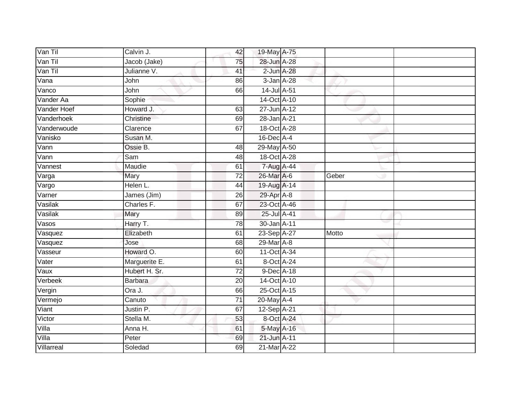| Van Til     | Calvin J.      | 42              | 19-May A-75      |       |  |
|-------------|----------------|-----------------|------------------|-------|--|
| Van Til     | Jacob (Jake)   | 75              | 28-Jun A-28      |       |  |
| Van Til     | Julianne V.    | 41              | 2-Jun A-28       |       |  |
| Vana        | John           | 86              | $3$ -Jan $A$ -28 |       |  |
| Vanco       | John           | 66              | 14-Jul A-51      |       |  |
| Vander Aa   | Sophie         |                 | 14-Oct A-10      |       |  |
| Vander Hoef | Howard J.      | 63              | 27-Jun A-12      |       |  |
| Vanderhoek  | Christine      | 69              | 28-Jan A-21      |       |  |
| Vanderwoude | Clarence       | 67              | 18-Oct A-28      |       |  |
| Vanisko     | Susan M.       |                 | 16-Dec A-4       |       |  |
| Vann        | Ossie B.       | 48              | 29-May A-50      |       |  |
| Vann        | Sam            | 48              | 18-Oct A-28      |       |  |
| Vannest     | Maudie         | 61              | 7-Aug A-44       |       |  |
| Varga       | Mary           | 72              | 26-Mar A-6       | Geber |  |
| Vargo       | Helen L.       | 44              | 19-Aug A-14      |       |  |
| Varner      | James (Jim)    | 26              | 29-Apr A-8       |       |  |
| Vasilak     | Charles F.     | 67              | 23-Oct A-46      |       |  |
| Vasilak     | <b>Mary</b>    | 89              | 25-Jul A-41      |       |  |
| Vasos       | Harry T.       | 78              | 30-Jan A-11      |       |  |
| Vasquez     | Elizabeth      | 61              | 23-Sep A-27      | Motto |  |
| Vasquez     | Jose           | 68              | 29-Mar A-8       |       |  |
| Vasseur     | Howard O.      | 60              | 11-Oct A-34      |       |  |
| Vater       | Marguerite E.  | 61              | 8-Oct A-24       |       |  |
| Vaux        | Hubert H. Sr.  | 72              | 9-Dec A-18       |       |  |
| Verbeek     | <b>Barbara</b> | 20              | 14-Oct A-10      |       |  |
| Vergin      | Ora J.         | 66              | 25-Oct A-15      |       |  |
| Vermejo     | Canuto         | $\overline{71}$ | 20-May A-4       |       |  |
| Viant       | Justin P.      | 67              | 12-Sep A-21      |       |  |
| Victor      | Stella M.      | 53              | 8-Oct A-24       |       |  |
| Villa       | Anna H.        | 61              | 5-May A-16       |       |  |
| Villa       | Peter          | 69              | 21-Jun A-11      |       |  |
| Villarreal  | Soledad        | 69              | 21-Mar A-22      |       |  |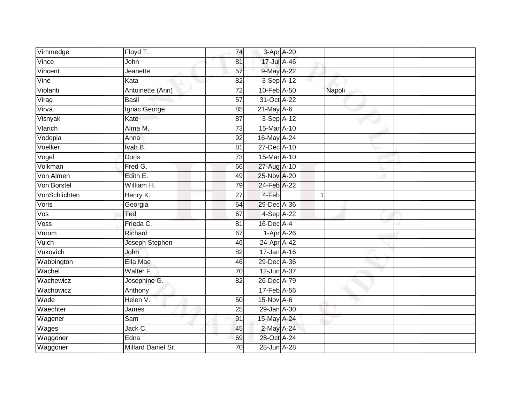| Vimmedge      | Floyd T.           | 74              | 3-Apr A-20    |        |  |
|---------------|--------------------|-----------------|---------------|--------|--|
| Vince         | John               | 81              | 17-Jul A-46   |        |  |
| Vincent       | Jeanette           | 57              | 9-May A-22    |        |  |
| Vine          | Kata               | 82              | $3-Sep$ A-12  |        |  |
| Violanti      | Antoinette (Ann)   | $\overline{72}$ | 10-Feb A-50   | Napoli |  |
| Virag         | <b>Basil</b>       | $\overline{57}$ | 31-Oct A-22   |        |  |
| Virva         | Ignac George       | 85              | $21$ -May A-6 |        |  |
| Visnyak       | Kate               | 87              | 3-Sep A-12    |        |  |
| Vlarich       | Alma M.            | 73              | 15-Mar A-10   |        |  |
| Vodopia       | Anna               | 92              | 16-May A-24   |        |  |
| Voelker       | Ivah B.            | 81              | 27-Dec A-10   |        |  |
| Vogel         | Doris              | 73              | 15-Mar A-10   |        |  |
| Volkman       | Fred G.            | 66              | 27-Aug A-10   |        |  |
| Von Almen     | Edith E.           | 49              | 25-Nov A-20   |        |  |
| Von Borstel   | William H.         | 79              | 24-Feb A-22   |        |  |
| VonSchlichten | Henry K.           | 27              | 4-Feb         | 1      |  |
| Voris         | Georgia            | 64              | 29-Dec A-36   |        |  |
| Vos           | Ted                | 67              | 4-Sep A-22    |        |  |
| Voss          | Frieda C.          | 81              | 16-Dec A-4    |        |  |
| Vroom         | Richard            | 67              | $1-Apr$ A-26  |        |  |
| Vuich         | Joseph Stephen     | 46              | 24-Apr A-42   |        |  |
| Vukovich      | John               | $\overline{82}$ | 17-Jan A-16   |        |  |
| Wabbington    | Ella Mae           | 46              | 29-Dec A-36   |        |  |
| Wachel        | Walter F.          | $\overline{70}$ | 12-Jun A-37   |        |  |
| Wachewicz     | Josephine G.       | 82              | 26-Dec A-79   |        |  |
| Wachowicz     | Anthony            |                 | 17-Feb A-56   |        |  |
| Wade          | Helen V.           | 50              | $15-Nov$ A-6  |        |  |
| Waechter      | James              | 25              | 29-Jan A-30   |        |  |
| Wagener       | Sam                | 91              | 15-May A-24   |        |  |
| Wages         | Jack C.            | 45              | 2-May A-24    |        |  |
| Waggoner      | Edna               | 69              | 28-Oct A-24   |        |  |
| Waggoner      | Millard Daniel Sr. | $\overline{70}$ | 28-Jun A-28   |        |  |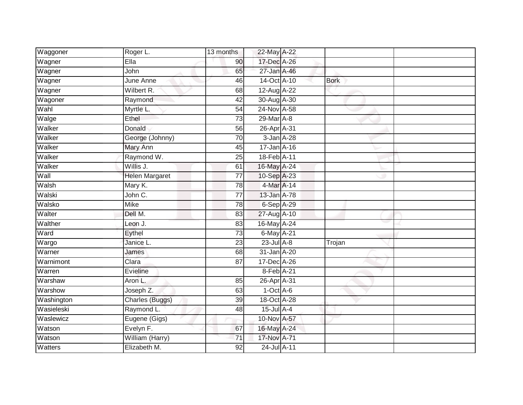| Waggoner   | Roger L.              | 13 months       | 22-May A-22     |             |  |
|------------|-----------------------|-----------------|-----------------|-------------|--|
| Wagner     | Ella                  | 90              | 17-Dec A-26     |             |  |
| Wagner     | John                  | 65              | 27-Jan A-46     |             |  |
| Wagner     | June Anne             | 46              | 14-Oct A-10     | <b>Bork</b> |  |
| Wagner     | Wilbert R.            | 68              | 12-Aug A-22     |             |  |
| Wagoner    | Raymond               | 42              | 30-Aug A-30     |             |  |
| Wahl       | Myrtle L.             | 54              | 24-Nov A-58     |             |  |
| Walge      | Ethel                 | 73              | 29-Mar A-8      |             |  |
| Walker     | Donald                | 56              | 26-Apr A-31     |             |  |
| Walker     | George (Johnny)       | 70              | 3-Jan A-28      |             |  |
| Walker     | Mary Ann              | 45              | 17-Jan A-16     |             |  |
| Walker     | Raymond W.            | $\overline{25}$ | 18-Feb A-11     |             |  |
| Walker     | Willis J.             | 61              | 16-May A-24     |             |  |
| Wall       | <b>Helen Margaret</b> | $\overline{77}$ | 10-Sep A-23     |             |  |
| Walsh      | Mary K.               | 78              | 4-Mar A-14      |             |  |
| Walski     | John C.               | $\overline{77}$ | 13-Jan A-78     |             |  |
| Walsko     | <b>Mike</b>           | 78              | 6-Sep A-29      |             |  |
| Walter     | Dell M.               | 83              | 27-Aug A-10     |             |  |
| Walther    | Leon J.               | 83              | 16-May A-24     |             |  |
| Ward       | Eythel                | $\overline{73}$ | 6-May A-21      |             |  |
| Wargo      | Janice L.             | 23              | $23$ -Jul $A-8$ | Trojan      |  |
| Warner     | James                 | 68              | 31-Jan A-20     |             |  |
| Warnimont  | Clara                 | 87              | 17-Dec A-26     |             |  |
| Warren     | Evieline              |                 | 8-Feb A-21      |             |  |
| Warshaw    | Aron L.               | 85              | 26-Apr A-31     |             |  |
| Warshow    | Joseph Z.             | 63              | $1-Oct$ A-6     |             |  |
| Washington | Charles (Buggs)       | 39              | 18-Oct A-28     |             |  |
| Wasieleski | Raymond L.            | 48              | $15$ -Jul A-4   |             |  |
| Waslewicz  | Eugene (Gigs)         |                 | 10-Nov A-57     |             |  |
| Watson     | Evelyn F.             | 67              | 16-May A-24     |             |  |
| Watson     | William (Harry)       | 71              | 17-Nov A-71     |             |  |
| Watters    | Elizabeth M.          | 92              | 24-Jul A-11     |             |  |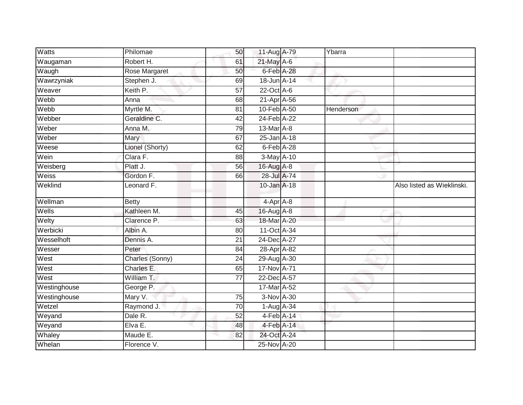| <b>Watts</b> | Philomae        | 50              | 11-Aug A-79       | Ybarra    |                            |
|--------------|-----------------|-----------------|-------------------|-----------|----------------------------|
| Waugaman     | Robert H.       | 61              | 21-May A-6        |           |                            |
| Waugh        | Rose Margaret   | 50              | 6-Feb A-28        |           |                            |
| Wawrzyniak   | Stephen J.      | 69              | $18$ -Jun $A$ -14 |           |                            |
| Weaver       | Keith P.        | $\overline{57}$ | $22$ -Oct $A-6$   |           |                            |
| Webb         | Anna            | 68              | 21-Apr A-56       |           |                            |
| Webb         | Myrtle M.       | 81              | 10-Feb A-50       | Henderson |                            |
| Webber       | Geraldine C.    | 42              | 24-Feb A-22       |           |                            |
| Weber        | Anna M.         | 79              | 13-Mar A-8        |           |                            |
| Weber        | Mary            | 67              | $25 - Jan$ A-18   |           |                            |
| Weese        | Lionel (Shorty) | 62              | 6-Feb A-28        |           |                            |
| Wein         | Clara F.        | 88              | $3-May$ A-10      |           |                            |
| Weisberg     | Platt J.        | 56              | 16-Aug A-8        |           |                            |
| Weiss        | Gordon F.       | 66              | 28-Jul A-74       |           |                            |
| Weklind      | Leonard F.      |                 | $10$ -Jan $A-18$  |           | Also listed as Wieklinski. |
| Wellman      | <b>Betty</b>    |                 | 4-Apr A-8         |           |                            |
| Wells        | Kathleen M.     | 45              | 16-Aug A-8        |           |                            |
| Welty        | Clarence P.     | 63              | 18-Mar A-20       |           |                            |
| Werbicki     | Albin A.        | 80              | 11-Oct A-34       |           |                            |
| Wesselhoft   | Dennis A.       | 21              | 24-Dec A-27       |           |                            |
| Wesser       | Peter           | 84              | 28-Apr A-82       |           |                            |
| West         | Charles (Sonny) | $\overline{24}$ | $29$ -Aug A-30    |           |                            |
| West         | Charles E.      | 65              | 17-Nov A-71       |           |                            |
| West         | William T.      | 77              | 22-Dec A-57       |           |                            |
| Westinghouse | George P.       |                 | 17-Mar A-52       |           |                            |
| Westinghouse | Mary V.         | 75              | 3-Nov A-30        |           |                            |
| Wetzel       | Raymond J.      | $\overline{70}$ | $1-Aug$ A-34      |           |                            |
| Weyand       | Dale R.         | 52              | $4-Feb$ A-14      |           |                            |
| Weyand       | Elva E.         | 48              | 4-Feb A-14        |           |                            |
| Whaley       | Maude E.        | 82              | 24-Oct A-24       |           |                            |
| Whelan       | Florence V.     |                 | 25-Nov A-20       |           |                            |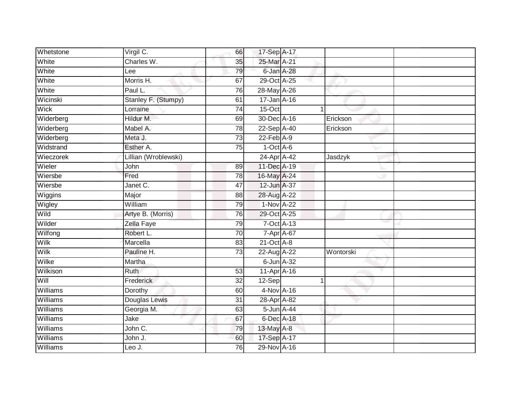| Whetstone       | Virgil C.            | 66              | 17-Sep A-17      |           |
|-----------------|----------------------|-----------------|------------------|-----------|
| White           | Charles W.           | 35              | 25-Mar A-21      |           |
| White           | Lee                  | 79              | 6-Jan A-28       |           |
| White           | Morris H.            | 67              | 29-Oct A-25      |           |
| White           | Paul L.              | 76              | 28-May A-26      |           |
| Wicinski        | Stanley F. (Stumpy)  | 61              | 17-Jan A-16      |           |
| Wick            | Lorraine             | $\overline{74}$ | 15-Oct           |           |
| Widerberg       | Hildur M.            | 69              | 30-Dec A-16      | Erickson  |
| Widerberg       | Mabel A.             | 78              | 22-Sep A-40      | Erickson  |
| Widerberg       | Meta J.              | 73              | $22$ -Feb $A-9$  |           |
| Widstrand       | Esther A.            | 75              | $1-Oct$ A-6      |           |
| Wieczorek       | Lillian (Wroblewski) |                 | 24-Apr A-42      | Jasdzyk   |
| Wieler          | John                 | 89              | 11-Dec A-19      |           |
| Wiersbe         | Fred                 | 78              | 16-May A-24      |           |
| Wiersbe         | Janet C.             | 47              | 12-Jun A-37      |           |
| Wiggins         | Major                | 88              | 28-Aug A-22      |           |
| Wigley          | William              | 79              | 1-Nov A-22       |           |
| Wild            | Artye B. (Morris)    | 76              | 29-Oct A-25      |           |
| Wilder          | Zella Faye           | 79              | 7-Oct A-13       |           |
| Wilfong         | Robert L.            | 70              | 7-Apr A-67       |           |
| Wilk            | Marcella             | 83              | $21$ -Oct $A-8$  |           |
| <b>Wilk</b>     | Pauline H.           | 73              | 22-Aug A-22      | Wontorski |
| Wilke           | Martha               |                 | $6$ -Jun $A$ -32 |           |
| Wilkison        | <b>Ruth</b>          | 53              | 11-Apr A-16      |           |
| Will            | Frederick            | 32              | 12-Sep           |           |
| Williams        | Dorothy              | 60              | 4-Nov A-16       |           |
| Williams        | Douglas Lewis        | $\overline{31}$ | 28-Apr A-82      |           |
| Williams        | Georgia M.           | 63              | 5-Jun A-44       |           |
| Williams        | Jake                 | 67              | 6-Dec A-18       |           |
| Williams        | John C.              | 79              | 13-May A-8       |           |
| <b>Williams</b> | John J.              | 60              | 17-Sep A-17      |           |
| Williams        | Leo J.               | 76              | 29-Nov A-16      |           |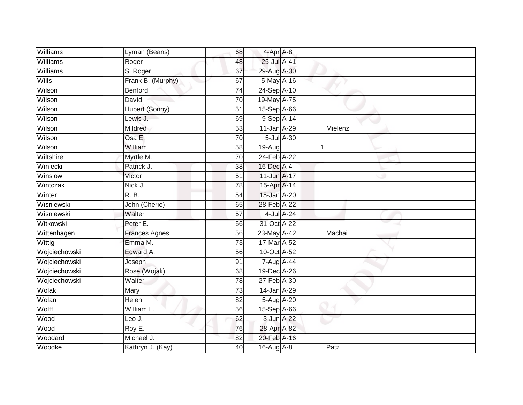| Williams      | Lyman (Beans)                  | 68              | 4-Apr A-8      |         |  |
|---------------|--------------------------------|-----------------|----------------|---------|--|
| Williams      | Roger                          | 48              | 25-Jul A-41    |         |  |
| Williams      | S. Roger                       | 67              | 29-Aug A-30    |         |  |
| Wills         | Frank B. (Murphy)              | 67              | 5-May A-16     |         |  |
| Wilson        | Benford                        | $\overline{74}$ | 24-Sep A-10    |         |  |
| Wilson        | David                          | 70              | 19-May A-75    |         |  |
| Wilson        | Hubert (Sonny)                 | $\overline{51}$ | 15-Sep A-66    |         |  |
| Wilson        | Lewis J.                       | 69              | 9-Sep A-14     |         |  |
| Wilson        | Mildred                        | 53              | 11-Jan A-29    | Mielenz |  |
| Wilson        | Osa E.                         | 70              | 5-Jul A-30     |         |  |
| Wilson        | William                        | 58              | 19-Aug         | 1       |  |
| Wiltshire     | Myrtle M.                      | 70              | 24-Feb A-22    |         |  |
| Winiecki      | Patrick J.                     | 38              | 16-Dec A-4     |         |  |
| Winslow       | Victor                         | 51              | 11-Jun A-17    |         |  |
| Wintczak      | Nick J.                        | 78              | 15-Apr A-14    |         |  |
| Winter        | R. B.                          | 54              | 15-Jan A-20    |         |  |
| Wisniewski    | John (Cherie)                  | 65              | 28-Feb A-22    |         |  |
| Wisniewski    | Walter                         | 57              | 4-Jul A-24     |         |  |
| Witkowski     | Peter E.                       | 56              | 31-Oct A-22    |         |  |
| Wittenhagen   | <b>Frances Agnes</b>           | 56              | 23-May A-42    | Machai  |  |
| Wittig        | Emma M.                        | $\overline{73}$ | 17-Mar A-52    |         |  |
| Wojciechowski | Edward A.                      | 56              | 10-Oct A-52    |         |  |
| Wojciechowski | Joseph                         | 91              | $7 - Aug$ A-44 |         |  |
| Wojciechowski | Rose (Wojak)                   | 68              | 19-Dec A-26    |         |  |
| Wojciechowski | Walter                         | 78              | 27-Feb A-30    |         |  |
| Wolak         | Mary                           | 73              | 14-Jan A-29    |         |  |
| Wolan         | Helen                          | $\overline{82}$ | 5-Aug A-20     |         |  |
| Wolff         | $\overline{\text{William}}$ L. | 56              | $15-Sep$ A-66  |         |  |
| Wood          | Leo J.                         | 62              | 3-Jun A-22     |         |  |
| Wood          | Roy E.                         | 76              | 28-Apr A-82    |         |  |
| Woodard       | Michael J.                     | 82              | 20-Feb A-16    |         |  |
| Woodke        | Kathryn J. (Kay)               | 40              | 16-Aug A-8     | Patz    |  |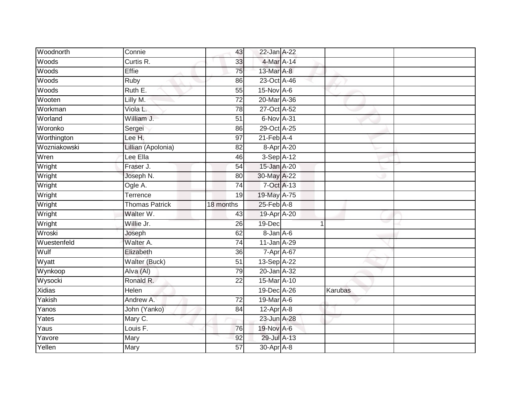| Woodnorth    | Connie                | 43              | 22-Jan A-22      |                |  |
|--------------|-----------------------|-----------------|------------------|----------------|--|
| Woods        | Curtis R.             | 33              | 4-Mar A-14       |                |  |
| Woods        | <b>Effie</b>          | 75              | 13-Mar A-8       |                |  |
| Woods        | Ruby                  | 86              | 23-Oct A-46      |                |  |
| Woods        | Ruth E.               | $\overline{55}$ | 15-Nov A-6       |                |  |
| Wooten       | Lilly M.              | 72              | 20-Mar A-36      |                |  |
| Workman      | Viola L.              | 78              | 27-Oct A-52      |                |  |
| Worland      | William J.            | 51              | 6-Nov A-31       |                |  |
| Woronko      | Sergei                | 86              | 29-Oct A-25      |                |  |
| Worthington  | Lee H.                | $\overline{97}$ | $21$ -Feb $A$ -4 |                |  |
| Wozniakowski | Lillian (Apolonia)    | 82              | 8-Apr A-20       |                |  |
| Wren         | Lee Ella              | 46              | $3-$ Sep $A-12$  |                |  |
| Wright       | Fraser J.             | 54              | 15-Jan A-20      |                |  |
| Wright       | Joseph N.             | 80              | 30-May A-22      |                |  |
| Wright       | Ogle A.               | $\overline{74}$ | 7-Oct A-13       |                |  |
| Wright       | Terrence              | 19              | 19-May A-75      |                |  |
| Wright       | <b>Thomas Patrick</b> | 18 months       | $25$ -Feb $A-8$  |                |  |
| Wright       | Walter W.             | 43              | 19-Apr A-20      |                |  |
| Wright       | Willie Jr.            | 26              | 19-Dec           | $\overline{1}$ |  |
| Wroski       | Joseph                | 62              | 8-Jan A-6        |                |  |
| Wuestenfeld  | Walter A.             | 74              | 11-Jan A-29      |                |  |
| Wulf         | Elizabeth             | $\overline{36}$ | 7-Apr A-67       |                |  |
| Wyatt        | Walter (Buck)         | $\overline{51}$ | 13-Sep A-22      |                |  |
| Wynkoop      | Alva (Al)             | $\overline{79}$ | 20-Jan A-32      |                |  |
| Wysocki      | Ronald R.             | 22              | 15-Mar A-10      |                |  |
| Xidias       | Helen                 |                 | 19-Dec A-26      | Karubas        |  |
| Yakish       | Andrew A.             | 72              | 19-Mar A-6       |                |  |
| Yanos        | John (Yanko)          | 84              | $12$ -Apr $A-8$  |                |  |
| Yates        | Mary C.               |                 | 23-Jun A-28      |                |  |
| Yaus         | Louis F.              | 76              | 19-Nov A-6       |                |  |
| Yavore       | Mary                  | 92              | 29-Jul A-13      |                |  |
| Yellen       | Mary                  | $\overline{57}$ | 30-Apr A-8       |                |  |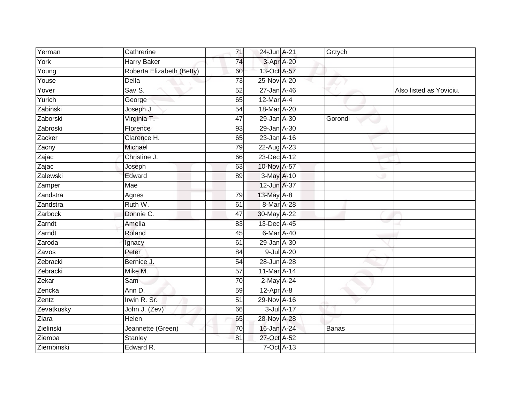| Yerman     | Cathrerine                | 71              | 24-Jun A-21      |                  | Grzych       |                         |
|------------|---------------------------|-----------------|------------------|------------------|--------------|-------------------------|
| York       | Harry Baker               | 74              | 3-Apr A-20       |                  |              |                         |
| Young      | Roberta Elizabeth (Betty) | 60              | 13-Oct A-57      |                  |              |                         |
| Youse      | Della                     | 73              | 25-Nov A-20      |                  |              |                         |
| Yover      | Sav S.                    | $\overline{52}$ | 27-Jan A-46      |                  |              | Also listed as Yoviciu. |
| Yurich     | George                    | 65              | 12-Mar A-4       |                  |              |                         |
| Zabinski   | Joseph J.                 | 54              | 18-Mar A-20      |                  |              |                         |
| Zaborski   | Virginia T.               | 47              | 29-Jan A-30      |                  | Gorondi      |                         |
| Zabroski   | Florence                  | 93              | 29-Jan A-30      |                  |              |                         |
| Zacker     | Clarence H.               | 65              | $23$ -Jan $A-16$ |                  |              |                         |
| Zacny      | Michael                   | 79              | $22-AugA-23$     |                  |              |                         |
| Zajac      | Christine J.              | 66              | 23-Dec A-12      |                  |              |                         |
| Zajac      | Joseph                    | 63              | 10-Nov A-57      |                  |              |                         |
| Zalewski   | Edward                    | 89              | 3-May A-10       |                  |              |                         |
| Zamper     | <b>Mae</b>                |                 | 12-Jun A-37      |                  |              |                         |
| Zandstra   | Agnes                     | 79              | $13$ -May $A-8$  |                  |              |                         |
| Zandstra   | Ruth W.                   | 61              | 8-Mar A-28       |                  |              |                         |
| Zarbock    | Donnie C.                 | 47              | 30-May A-22      |                  |              |                         |
| Zarndt     | Amelia                    | 83              | 13-Dec A-45      |                  |              |                         |
| Zarndt     | Roland                    | 45              | 6-Mar A-40       |                  |              |                         |
| Zaroda     | Ignacy                    | 61              | 29-Jan A-30      |                  |              |                         |
| Zavos      | Peter                     | 84              |                  | 9-Jul A-20       |              |                         |
| Zebracki   | Bernice J.                | 54              | 28-Jun A-28      |                  |              |                         |
| Zebracki   | Mike M.                   | $\overline{57}$ | 11-Mar A-14      |                  |              |                         |
| Zekar      | Sam                       | 70              | 2-May A-24       |                  |              |                         |
| Zencka     | Ann D.                    | 59              | $12$ -Apr $A$ -8 |                  |              |                         |
| Zentz      | Irwin R. Sr.              | $\overline{51}$ | 29-Nov A-16      |                  |              |                         |
| Zevatkusky | John J. (Zev)             | 66              |                  | $3$ -Jul $A$ -17 |              |                         |
| Ziara      | <b>Helen</b>              | 65              | 28-Nov A-28      |                  |              |                         |
| Zielinski  | Jeannette (Green)         | 70              | 16-Jan A-24      |                  | <b>Banas</b> |                         |
| Ziemba     | <b>Stanley</b>            | 81              | 27-Oct A-52      |                  |              |                         |
| Ziembinski | Edward R.                 |                 | $7-Oct$ $A-13$   |                  |              |                         |